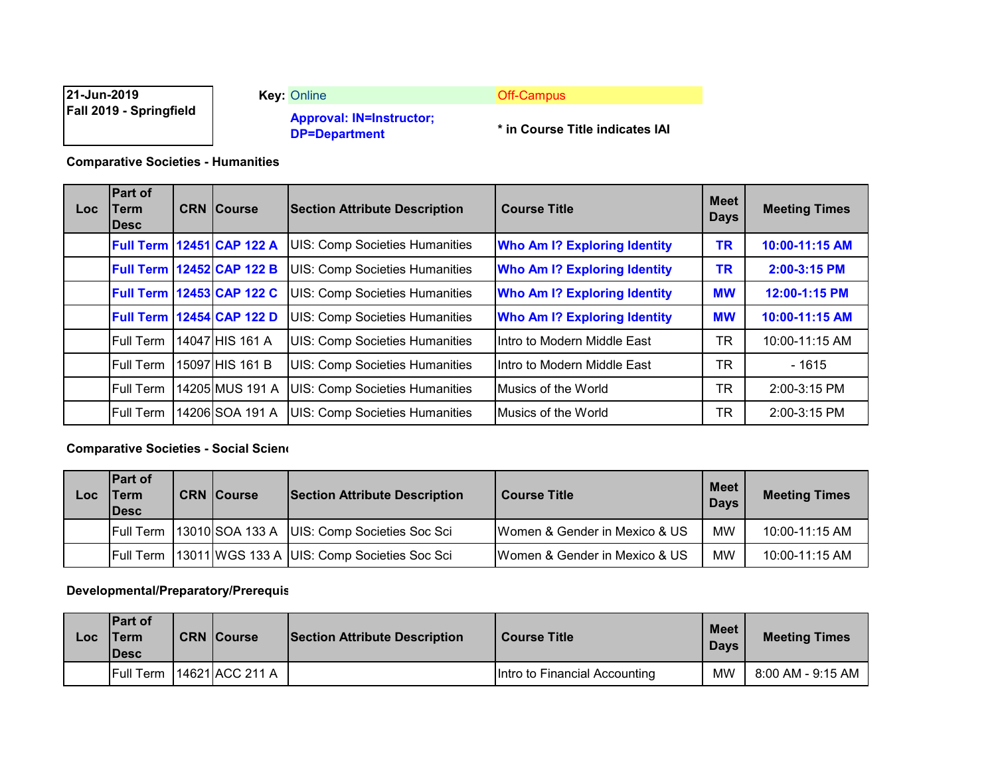| 21-Jun-2019                    | <b>Key: Online</b>                                      | <b>Off-Campus</b>               |
|--------------------------------|---------------------------------------------------------|---------------------------------|
| <b>Fall 2019 - Springfield</b> | <b>Approval: IN=Instructor;</b><br><b>DP=Department</b> | * in Course Title indicates IAI |

**Comparative Societies - Humanities**

| Loc. | <b>Part of</b><br>Term<br><b>IDesc</b> | <b>CRN Course</b>                | <b>Section Attribute Description</b>  | <b>Course Title</b>                 | <b>Meet</b><br><b>Days</b> | <b>Meeting Times</b> |
|------|----------------------------------------|----------------------------------|---------------------------------------|-------------------------------------|----------------------------|----------------------|
|      |                                        | <b>Full Term 12451 CAP 122 A</b> | <b>UIS: Comp Societies Humanities</b> | <b>Who Am I? Exploring Identity</b> | <b>TR</b>                  | 10:00-11:15 AM       |
|      | <b>Full Term</b>                       | 12452 CAP 122 B                  | <b>UIS: Comp Societies Humanities</b> | <b>Who Am I? Exploring Identity</b> | <b>TR</b>                  | 2:00-3:15 PM         |
|      |                                        | <b>Full Term 12453 CAP 122 C</b> | <b>UIS: Comp Societies Humanities</b> | <b>Who Am I? Exploring Identity</b> | <b>MW</b>                  | 12:00-1:15 PM        |
|      | <b>Full Term</b>                       | 12454 CAP 122 D                  | <b>UIS: Comp Societies Humanities</b> | <b>Who Am I? Exploring Identity</b> | <b>MW</b>                  | 10:00-11:15 AM       |
|      | <b>Full Term</b>                       | 14047 HIS 161 A                  | <b>UIS: Comp Societies Humanities</b> | Intro to Modern Middle East         | TR                         | 10:00-11:15 AM       |
|      | <b>Full Term</b>                       | 15097 HIS 161 B                  | <b>UIS: Comp Societies Humanities</b> | IIntro to Modern Middle East        | <b>TR</b>                  | $-1615$              |
|      | Full Term                              | 14205 MUS 191 A                  | <b>UIS: Comp Societies Humanities</b> | Musics of the World                 | TR                         | 2:00-3:15 PM         |
|      | <b>Full Term</b>                       | 14206 SOA 191 A                  | <b>UIS: Comp Societies Humanities</b> | <b>Musics of the World</b>          | <b>TR</b>                  | 2:00-3:15 PM         |

### **Comparative Societies - Social Scienc**

| LOC | <b>Part of</b><br><b>Term</b><br><b>IDesc</b> | <b>CRN Course</b> | <b>Section Attribute Description</b>                      | <b>Course Title</b>           | <b>Meet</b><br><b>Days</b> | <b>Meeting Times</b> |
|-----|-----------------------------------------------|-------------------|-----------------------------------------------------------|-------------------------------|----------------------------|----------------------|
|     |                                               |                   | Full Term   13010 SOA 133 A   UIS: Comp Societies Soc Sci | Women & Gender in Mexico & US | <b>MW</b>                  | 10:00-11:15 AM       |
|     | <b>IFull Term</b>                             |                   | 13011 WGS 133 A UIS: Comp Societies Soc Sci               | Women & Gender in Mexico & US | MW                         | 10:00-11:15 AM       |

## **Developmental/Preparatory/Prerequis**

| Loc | <b>Part of</b><br>Term<br><b>IDesc</b> | <b>CRN Course</b> | <b>Section Attribute Description</b> | <b>Course Title</b>           | Meet I<br><b>Davs</b> | <b>Meeting Times</b> |
|-----|----------------------------------------|-------------------|--------------------------------------|-------------------------------|-----------------------|----------------------|
|     | <b>Full Term</b>                       | 14621 ACC 211 A   |                                      | Intro to Financial Accounting | MW                    | 8:00 AM - 9:15 AM    |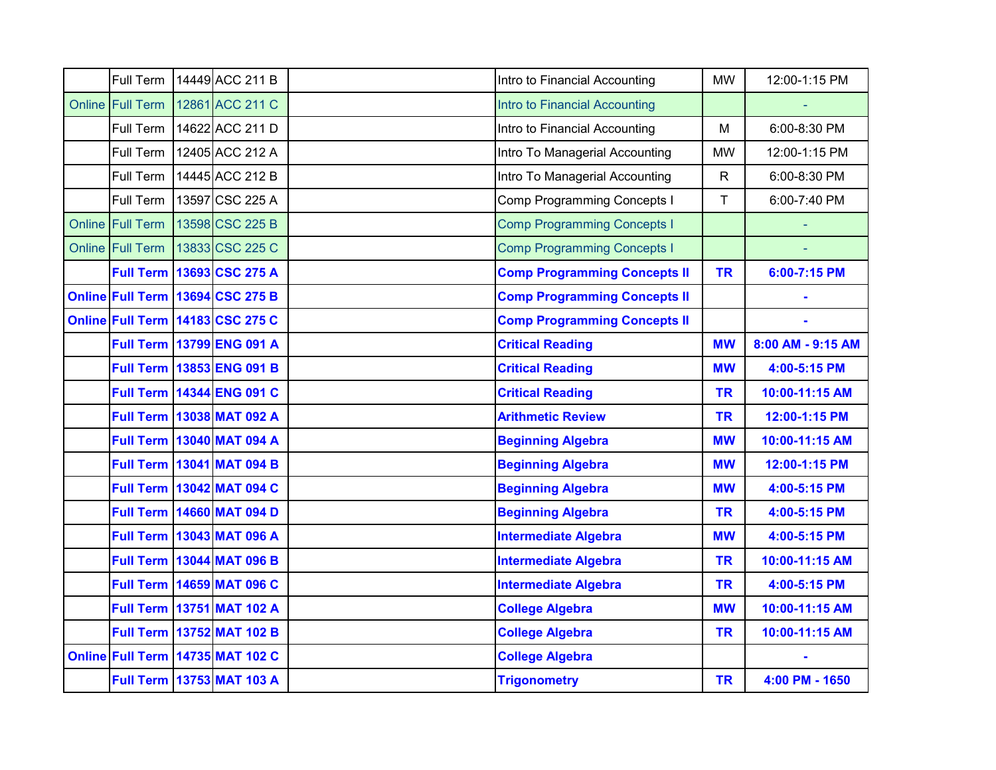| Full Term        | 14449 ACC 211 B                  | Intro to Financial Accounting       | <b>MW</b>    | 12:00-1:15 PM     |
|------------------|----------------------------------|-------------------------------------|--------------|-------------------|
| Online Full Term | 12861 ACC 211 C                  | Intro to Financial Accounting       |              |                   |
| Full Term        | 14622 ACC 211 D                  | Intro to Financial Accounting       | M            | 6:00-8:30 PM      |
| Full Term        | 12405 ACC 212 A                  | Intro To Managerial Accounting      | <b>MW</b>    | 12:00-1:15 PM     |
| Full Term        | 14445 ACC 212 B                  | Intro To Managerial Accounting      | $\mathsf{R}$ | 6:00-8:30 PM      |
| Full Term        | 13597 CSC 225 A                  | Comp Programming Concepts I         | T            | 6:00-7:40 PM      |
| Online Full Term | 13598 CSC 225 B                  | <b>Comp Programming Concepts I</b>  |              |                   |
| Online Full Term | 13833 CSC 225 C                  | <b>Comp Programming Concepts I</b>  |              |                   |
|                  | Full Term 13693 CSC 275 A        | <b>Comp Programming Concepts II</b> | <b>TR</b>    | 6:00-7:15 PM      |
|                  | Online Full Term 13694 CSC 275 B | <b>Comp Programming Concepts II</b> |              |                   |
|                  | Online Full Term 14183 CSC 275 C | <b>Comp Programming Concepts II</b> |              |                   |
|                  | <b>Full Term 13799 ENG 091 A</b> | <b>Critical Reading</b>             | <b>MW</b>    | 8:00 AM - 9:15 AM |
|                  | Full Term 13853 ENG 091 B        | <b>Critical Reading</b>             | <b>MW</b>    | 4:00-5:15 PM      |
|                  | Full Term 14344 ENG 091 C        | <b>Critical Reading</b>             | <b>TR</b>    | 10:00-11:15 AM    |
|                  | <b>Full Term 13038 MAT 092 A</b> | <b>Arithmetic Review</b>            | <b>TR</b>    | 12:00-1:15 PM     |
|                  | Full Term 13040 MAT 094 A        | <b>Beginning Algebra</b>            | <b>MW</b>    | 10:00-11:15 AM    |
|                  | Full Term 13041 MAT 094 B        | <b>Beginning Algebra</b>            | <b>MW</b>    | 12:00-1:15 PM     |
|                  | Full Term 13042 MAT 094 C        | <b>Beginning Algebra</b>            | <b>MW</b>    | 4:00-5:15 PM      |
|                  | <b>Full Term 14660 MAT 094 D</b> | <b>Beginning Algebra</b>            | <b>TR</b>    | 4:00-5:15 PM      |
|                  | Full Term   13043 MAT 096 A      | <b>Intermediate Algebra</b>         | <b>MW</b>    | 4:00-5:15 PM      |
|                  | Full Term 13044 MAT 096 B        | <b>Intermediate Algebra</b>         | <b>TR</b>    | 10:00-11:15 AM    |
|                  | <b>Full Term 14659 MAT 096 C</b> | <b>Intermediate Algebra</b>         | <b>TR</b>    | 4:00-5:15 PM      |
|                  | Full Term 13751 MAT 102 A        | <b>College Algebra</b>              | <b>MW</b>    | 10:00-11:15 AM    |
|                  | <b>Full Term 13752 MAT 102 B</b> | <b>College Algebra</b>              | <b>TR</b>    | 10:00-11:15 AM    |
|                  | Online Full Term 14735 MAT 102 C | <b>College Algebra</b>              |              |                   |
|                  | Full Term 13753 MAT 103 A        | <b>Trigonometry</b>                 | <b>TR</b>    | 4:00 PM - 1650    |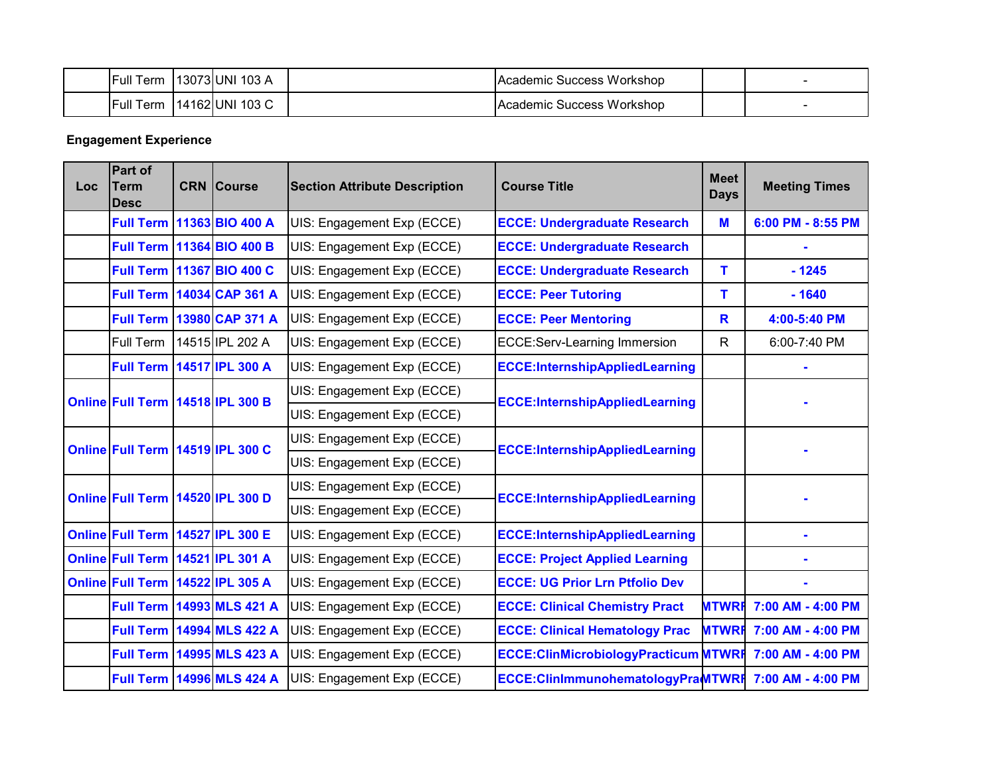| <b>Full Term</b> | 13073 UNI 103 A | Academic Success Workshop |  |
|------------------|-----------------|---------------------------|--|
| <b>Full Term</b> | 14162 UNI 103 C | Academic Success Workshop |  |

# **Engagement Experience**

| <b>Loc</b> | Part of<br><b>Term</b><br><b>Desc</b> |  | <b>CRN</b> Course                | <b>Section Attribute Description</b> | <b>Course Title</b>                          | <b>Meet</b><br><b>Days</b> | <b>Meeting Times</b>                  |  |                            |                                       |  |  |
|------------|---------------------------------------|--|----------------------------------|--------------------------------------|----------------------------------------------|----------------------------|---------------------------------------|--|----------------------------|---------------------------------------|--|--|
|            |                                       |  | Full Term 11363 BIO 400 A        | UIS: Engagement Exp (ECCE)           | <b>ECCE: Undergraduate Research</b>          | M                          | 6:00 PM - 8:55 PM                     |  |                            |                                       |  |  |
|            | <b>Full Term</b>                      |  | 11364 BIO 400 B                  | UIS: Engagement Exp (ECCE)           | <b>ECCE: Undergraduate Research</b>          |                            |                                       |  |                            |                                       |  |  |
|            |                                       |  | Full Term 11367 BIO 400 C        | UIS: Engagement Exp (ECCE)           | <b>ECCE: Undergraduate Research</b>          | т                          | $-1245$                               |  |                            |                                       |  |  |
|            |                                       |  | <b>Full Term 14034 CAP 361 A</b> | UIS: Engagement Exp (ECCE)           | <b>ECCE: Peer Tutoring</b>                   | т                          | $-1640$                               |  |                            |                                       |  |  |
|            | <b>Full Term</b>                      |  | 13980 CAP 371 A                  | UIS: Engagement Exp (ECCE)           | <b>ECCE: Peer Mentoring</b>                  | R                          | 4:00-5:40 PM                          |  |                            |                                       |  |  |
|            | Full Term                             |  | 14515 IPL 202 A                  | UIS: Engagement Exp (ECCE)           | <b>ECCE:Serv-Learning Immersion</b>          | $\mathsf{R}$               | 6:00-7:40 PM                          |  |                            |                                       |  |  |
|            | <b>Full Term</b>                      |  | 14517 IPL 300 A                  | UIS: Engagement Exp (ECCE)           | <b>ECCE:InternshipAppliedLearning</b>        |                            |                                       |  |                            |                                       |  |  |
|            |                                       |  |                                  |                                      |                                              |                            |                                       |  | UIS: Engagement Exp (ECCE) | <b>ECCE:InternshipAppliedLearning</b> |  |  |
|            | Online Full Term 14518 IPL 300 B      |  |                                  | UIS: Engagement Exp (ECCE)           |                                              |                            |                                       |  |                            |                                       |  |  |
|            |                                       |  |                                  | Online Full Term 14519 IPL 300 C     |                                              | UIS: Engagement Exp (ECCE) | <b>ECCE:InternshipAppliedLearning</b> |  |                            |                                       |  |  |
|            |                                       |  |                                  | UIS: Engagement Exp (ECCE)           |                                              |                            |                                       |  |                            |                                       |  |  |
|            | Online Full Term 14520 IPL 300 D      |  |                                  | UIS: Engagement Exp (ECCE)           | <b>ECCE:InternshipAppliedLearning</b>        |                            |                                       |  |                            |                                       |  |  |
|            |                                       |  |                                  | UIS: Engagement Exp (ECCE)           |                                              |                            |                                       |  |                            |                                       |  |  |
|            | Online Full Term 14527 IPL 300 E      |  |                                  | UIS: Engagement Exp (ECCE)           | <b>ECCE:InternshipAppliedLearning</b>        |                            |                                       |  |                            |                                       |  |  |
|            | <b>Online Full Term</b>               |  | 14521 IPL 301 A                  | UIS: Engagement Exp (ECCE)           | <b>ECCE: Project Applied Learning</b>        |                            |                                       |  |                            |                                       |  |  |
|            | Online Full Term 14522 IPL 305 A      |  |                                  | UIS: Engagement Exp (ECCE)           | <b>ECCE: UG Prior Lrn Ptfolio Dev</b>        |                            |                                       |  |                            |                                       |  |  |
|            |                                       |  | <b>Full Term 14993 MLS 421 A</b> | UIS: Engagement Exp (ECCE)           | <b>ECCE: Clinical Chemistry Pract</b>        | <b>MTWRF</b>               | 7:00 AM - 4:00 PM                     |  |                            |                                       |  |  |
|            |                                       |  | <b>Full Term 14994 MLS 422 A</b> | UIS: Engagement Exp (ECCE)           | <b>ECCE: Clinical Hematology Prac</b>        | <b>MTWRF</b>               | 7:00 AM - 4:00 PM                     |  |                            |                                       |  |  |
|            | <b>Full Term</b>                      |  | 14995 MLS 423 A                  | UIS: Engagement Exp (ECCE)           | <b>ECCE: ClinMicrobiologyPracticum MTWRF</b> |                            | 7:00 AM - 4:00 PM                     |  |                            |                                       |  |  |
|            |                                       |  | <b>Full Term 14996 MLS 424 A</b> | UIS: Engagement Exp (ECCE)           | ECCE:ClinImmunohematologyPraMTWRF            |                            | 7:00 AM - 4:00 PM                     |  |                            |                                       |  |  |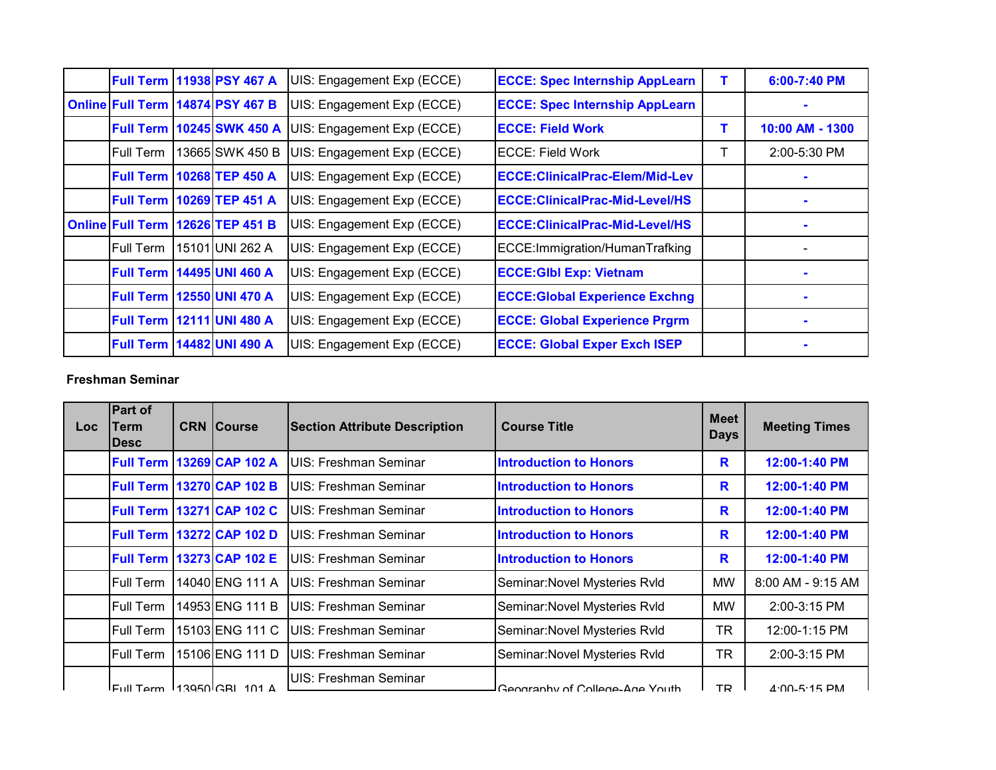|                  | <b>Full Term 11938 PSY 467 A</b>   | UIS: Engagement Exp (ECCE) | <b>ECCE: Spec Internship AppLearn</b> |   | 6:00-7:40 PM    |
|------------------|------------------------------------|----------------------------|---------------------------------------|---|-----------------|
|                  | Online Full Term 14874 PSY 467 B   | UIS: Engagement Exp (ECCE) | <b>ECCE: Spec Internship AppLearn</b> |   |                 |
|                  | <b>Full Term   10245 SWK 450 A</b> | UIS: Engagement Exp (ECCE) | IECCE: Field Work                     | т | 10:00 AM - 1300 |
| Full Term        | 13665 SWK 450 B                    | UIS: Engagement Exp (ECCE) | IECCE: Field Work                     |   | 2:00-5:30 PM    |
|                  | <b>Full Term   10268 TEP 450 A</b> | UIS: Engagement Exp (ECCE) | ECCE:ClinicalPrac-Elem/Mid-Lev        |   |                 |
|                  | <b>Full Term 10269 TEP 451 A</b>   | UIS: Engagement Exp (ECCE) | ECCE: ClinicalPrac-Mid-Level/HS       |   |                 |
|                  | Online Full Term 12626 TEP 451 B   | UIS: Engagement Exp (ECCE) | ECCE: ClinicalPrac-Mid-Level/HS       |   |                 |
| Full Term        | 15101 UNI 262 A                    | UIS: Engagement Exp (ECCE) | ECCE: Immigration/HumanTrafking       |   |                 |
| <b>Full Term</b> | <b>14495 UNI 460 A</b>             | UIS: Engagement Exp (ECCE) | <b>ECCE: GIbl Exp: Vietnam</b>        |   |                 |
|                  | <b>Full Term   12550 UNI 470 A</b> | UIS: Engagement Exp (ECCE) | <b>ECCE: Global Experience Exchng</b> |   |                 |
|                  | <b>Full Term   12111 UNI 480 A</b> | UIS: Engagement Exp (ECCE) | <b>ECCE: Global Experience Prgrm</b>  |   |                 |
|                  | <b>Full Term 14482 UNI 490 A</b>   | UIS: Engagement Exp (ECCE) | <b>ECCE: Global Exper Exch ISEP</b>   |   |                 |

### **Freshman Seminar**

| <b>Loc</b> | Part of<br>Term<br><b>IDesc</b> | <b>CRN Course</b>                        | <b>Section Attribute Description</b> | <b>Course Title</b>            | <b>Meet</b><br><b>Days</b> | <b>Meeting Times</b> |
|------------|---------------------------------|------------------------------------------|--------------------------------------|--------------------------------|----------------------------|----------------------|
|            | <b>Full Term</b>                | 13269 CAP 102 A                          | UIS: Freshman Seminar                | <b>Introduction to Honors</b>  | R                          | 12:00-1:40 PM        |
|            | <b>Full Term</b>                | <b>13270 CAP 102 B</b>                   | UIS: Freshman Seminar                | <b>Introduction to Honors</b>  | R                          | 12:00-1:40 PM        |
|            | <b>Full Term</b>                | 13271 CAP 102 C                          | UIS: Freshman Seminar                | <b>Introduction to Honors</b>  | R                          | 12:00-1:40 PM        |
|            | <b>Full Term</b>                | 13272 CAP 102 D                          | UIS: Freshman Seminar                | <b>Introduction to Honors</b>  | R                          | 12:00-1:40 PM        |
|            | <b>Full Term</b>                | 13273 CAP 102 E                          | UIS: Freshman Seminar                | <b>Introduction to Honors</b>  | R                          | 12:00-1:40 PM        |
|            | <b>Full Term</b>                | 14040 ENG 111 A                          | UIS: Freshman Seminar                | Seminar: Novel Mysteries Rvld  | MW                         | 8:00 AM - 9:15 AM    |
|            | <b>Full Term</b>                | 14953 ENG 111 B                          | UIS: Freshman Seminar                | Seminar: Novel Mysteries Rvld  | MW                         | $2:00-3:15$ PM       |
|            | <b>Full Term</b>                | 15103 ENG 111 C                          | UIS: Freshman Seminar                | Seminar: Novel Mysteries Rvld  | <b>TR</b>                  | 12:00-1:15 PM        |
|            | Full Term                       | 15106 ENG 111 D                          | UIS: Freshman Seminar                | Seminar: Novel Mysteries Rvld  | <b>TR</b>                  | 2:00-3:15 PM         |
|            |                                 | $E_{\text{full}}$ Term $13050$ CRL 101 A | UIS: Freshman Seminar                | Coography of College Age Vouth | TD.                        | $A \cdot 00$ 5.15 DM |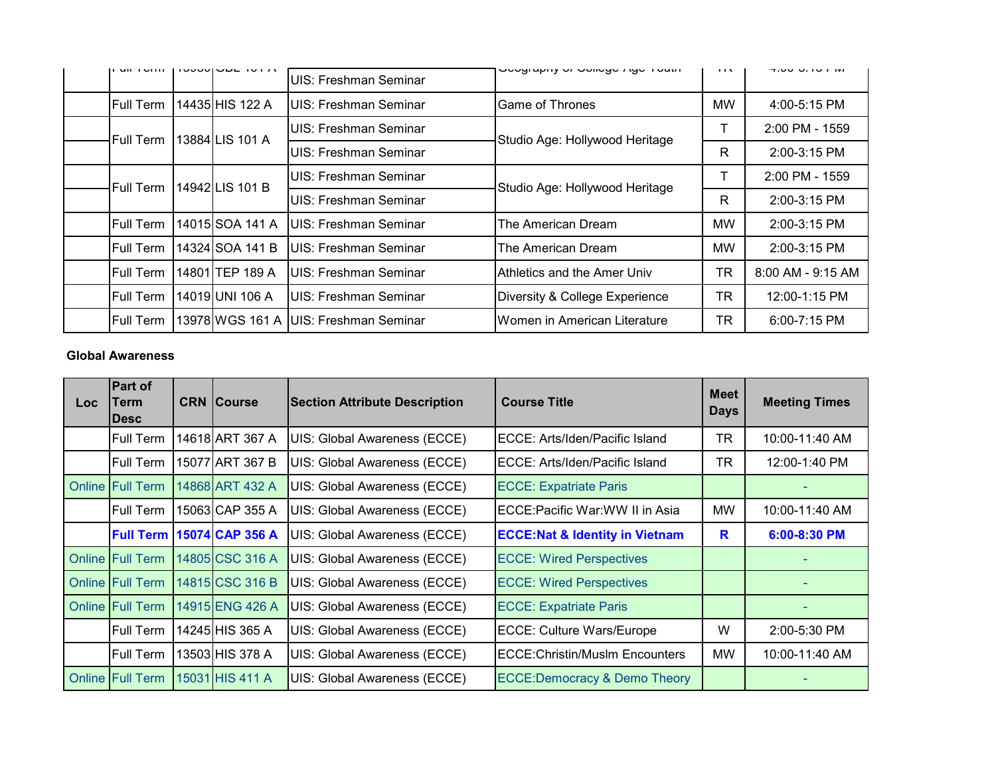| $III \cup 1$     |  | <b>IUUUL IUI A</b> | UIS: Freshman Seminar         | Uchinahiin on Annaha-Unio indin | $\blacksquare$ | 7.0070.101101     |
|------------------|--|--------------------|-------------------------------|---------------------------------|----------------|-------------------|
| <b>Full Term</b> |  | 14435 HIS 122 A    | UIS: Freshman Seminar         | <b>IGame of Thrones</b>         | МW             | $4:00 - 5:15$ PM  |
| Full Term        |  | 13884 LIS 101 A    | UIS: Freshman Seminar         | Studio Age: Hollywood Heritage  |                | 2:00 PM - 1559    |
|                  |  |                    | UIS: Freshman Seminar         |                                 | R              | 2:00-3:15 PM      |
| Full Term        |  | 14942 LIS 101 B    | UIS: Freshman Seminar         | Studio Age: Hollywood Heritage  |                | 2:00 PM - 1559    |
|                  |  |                    | UIS: Freshman Seminar         |                                 | R              | 2:00-3:15 PM      |
| <b>Full Term</b> |  | 14015 SOA 141 A    | IUIS: Freshman Seminar        | The American Dream              | <b>MW</b>      | $2:00-3:15$ PM    |
| <b>Full Term</b> |  | 14324 SOA 141 B    | IUIS: Freshman Seminar        | The American Dream              | <b>MW</b>      | $2:00-3:15$ PM    |
| <b>Full Term</b> |  | 14801 TEP 189 A    | UIS: Freshman Seminar         | Athletics and the Amer Univ     | TR             | 8:00 AM - 9:15 AM |
| <b>Full Term</b> |  | 14019 UNI 106 A    | UIS: Freshman Seminar         | Diversity & College Experience  | TR             | 12:00-1:15 PM     |
| <b>Full Term</b> |  | 13978 WGS 161 A    | <b>IUIS: Freshman Seminar</b> | IWomen in American Literature   | TR             | 6:00-7:15 PM      |

#### **Global Awareness**

| <b>Loc</b> | <b>Part of</b><br>Term<br><b>IDesc</b> | <b>CRN Course</b> | <b>Section Attribute Description</b> | <b>Course Title</b>                       | <b>Meet</b><br><b>Days</b> | <b>Meeting Times</b> |
|------------|----------------------------------------|-------------------|--------------------------------------|-------------------------------------------|----------------------------|----------------------|
|            | <b>Full Term</b>                       | 14618 ART 367 A   | UIS: Global Awareness (ECCE)         | ECCE: Arts/Iden/Pacific Island            | TR                         | 10:00-11:40 AM       |
|            | <b>Full Term</b>                       | 15077 ART 367 B   | UIS: Global Awareness (ECCE)         | ECCE: Arts/Iden/Pacific Island            | TR                         | 12:00-1:40 PM        |
| Online     | <b>Full Term</b>                       | 14868 ART 432 A   | UIS: Global Awareness (ECCE)         | <b>ECCE: Expatriate Paris</b>             |                            |                      |
|            | Full Term                              | 15063 CAP 355 A   | UIS: Global Awareness (ECCE)         | ECCE: Pacific War: WW II in Asia          | <b>MW</b>                  | 10:00-11:40 AM       |
|            | <b>Full Term</b>                       | 15074 CAP 356 A   | UIS: Global Awareness (ECCE)         | <b>ECCE:Nat &amp; Identity in Vietnam</b> | R                          | 6:00-8:30 PM         |
|            | <b>Online Full Term</b>                | 14805 CSC 316 A   | UIS: Global Awareness (ECCE)         | <b>ECCE: Wired Perspectives</b>           |                            |                      |
|            | <b>Online Full Term</b>                | 14815 CSC 316 B   | UIS: Global Awareness (ECCE)         | <b>ECCE: Wired Perspectives</b>           |                            |                      |
|            | <b>Online Full Term</b>                | 14915 ENG 426 A   | UIS: Global Awareness (ECCE)         | <b>ECCE: Expatriate Paris</b>             |                            |                      |
|            | <b>Full Term</b>                       | 14245 HIS 365 A   | UIS: Global Awareness (ECCE)         | <b>ECCE: Culture Wars/Europe</b>          | W                          | 2:00-5:30 PM         |
|            | <b>Full Term</b>                       | 13503 HIS 378 A   | UIS: Global Awareness (ECCE)         | <b>ECCE: Christin/Muslm Encounters</b>    | <b>MW</b>                  | 10:00-11:40 AM       |
|            | <b>Online Full Term</b>                | 15031 HIS 411 A   | UIS: Global Awareness (ECCE)         | <b>ECCE:Democracy &amp; Demo Theory</b>   |                            |                      |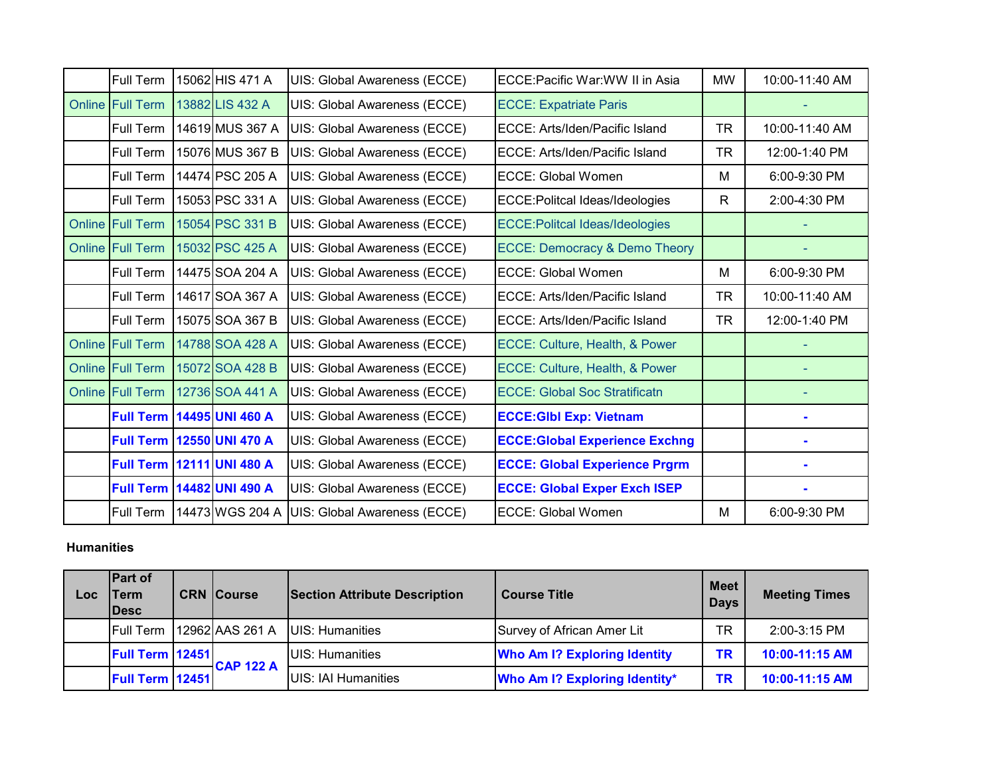| <b>Full Term</b>        | 15062 HIS 471 A | UIS: Global Awareness (ECCE)                   | ECCE:Pacific War:WW II in Asia           | MW        | 10:00-11:40 AM |
|-------------------------|-----------------|------------------------------------------------|------------------------------------------|-----------|----------------|
| <b>Online Full Term</b> | 13882 LIS 432 A | UIS: Global Awareness (ECCE)                   | <b>ECCE: Expatriate Paris</b>            |           |                |
| Full Term               | 14619 MUS 367 A | UIS: Global Awareness (ECCE)                   | ECCE: Arts/Iden/Pacific Island           | <b>TR</b> | 10:00-11:40 AM |
| Full Term               | 15076 MUS 367 B | UIS: Global Awareness (ECCE)                   | ECCE: Arts/Iden/Pacific Island           | <b>TR</b> | 12:00-1:40 PM  |
| Full Term               | 14474 PSC 205 A | UIS: Global Awareness (ECCE)                   | <b>ECCE: Global Women</b>                | M         | 6:00-9:30 PM   |
| Full Term               | 15053 PSC 331 A | UIS: Global Awareness (ECCE)                   | <b>ECCE: Politcal Ideas/Ideologies</b>   | R         | 2:00-4:30 PM   |
| Online Full Term        | 15054 PSC 331 B | UIS: Global Awareness (ECCE)                   | <b>ECCE: Politcal Ideas/Ideologies</b>   |           |                |
| <b>Online Full Term</b> | 15032 PSC 425 A | UIS: Global Awareness (ECCE)                   | <b>ECCE: Democracy &amp; Demo Theory</b> |           |                |
| Full Term               | 14475 SOA 204 A | UIS: Global Awareness (ECCE)                   | <b>ECCE: Global Women</b>                | м         | 6:00-9:30 PM   |
| <b>Full Term</b>        | 14617 SOA 367 A | UIS: Global Awareness (ECCE)                   | IECCE: Arts/Iden/Pacific Island          | <b>TR</b> | 10:00-11:40 AM |
| Full Term               | 15075 SOA 367 B | UIS: Global Awareness (ECCE)                   | ECCE: Arts/Iden/Pacific Island           | <b>TR</b> | 12:00-1:40 PM  |
| Online Full Term        | 14788 SOA 428 A | UIS: Global Awareness (ECCE)                   | ECCE: Culture, Health, & Power           |           |                |
| Online Full Term        | 15072 SOA 428 B | UIS: Global Awareness (ECCE)                   | ECCE: Culture, Health, & Power           |           |                |
| Online Full Term        | 12736 SOA 441 A | UIS: Global Awareness (ECCE)                   | <b>ECCE: Global Soc Stratificatn</b>     |           |                |
| <b>Full Term</b>        | 14495 UNI 460 A | UIS: Global Awareness (ECCE)                   | <b>ECCE:GIbl Exp: Vietnam</b>            |           |                |
| <b>Full Term</b>        | 12550 UNI 470 A | UIS: Global Awareness (ECCE)                   | <b>ECCE: Global Experience Exchng</b>    |           |                |
| <b>Full Term</b>        | 12111 UNI 480 A | UIS: Global Awareness (ECCE)                   | <b>ECCE: Global Experience Prgrm</b>     |           |                |
| <b>Full Term</b>        | 14482 UNI 490 A | UIS: Global Awareness (ECCE)                   | <b>ECCE: Global Exper Exch ISEP</b>      |           |                |
| Full Term               |                 | 14473 WGS 204 A   UIS: Global Awareness (ECCE) | <b>ECCE: Global Women</b>                | M         | 6:00-9:30 PM   |

#### **Humanities**

| $\overline{\mathsf{Loc}}$ | <b>Part of</b><br>Term<br><b>IDesc</b> |  | <b>CRN Course</b>         | <b>Section Attribute Description</b> | <b>Course Title</b>                 | <b>Meet</b><br><b>Days</b> | <b>Meeting Times</b> |
|---------------------------|----------------------------------------|--|---------------------------|--------------------------------------|-------------------------------------|----------------------------|----------------------|
|                           |                                        |  | Full Term 12962 AAS 261 A | UIS: Humanities                      | Survey of African Amer Lit          | <b>TR</b>                  | 2:00-3:15 PM         |
|                           | <b>Full Term 12451</b>                 |  | $-CAP$ 122 A              | UIS: Humanities                      | <b>Who Am I? Exploring Identity</b> | <b>TR</b>                  | 10:00-11:15 AM       |
|                           | <b>Full Term 12451</b>                 |  |                           | UIS: IAI Humanities                  | Who Am I? Exploring Identity*       | TR                         | 10:00-11:15 AM       |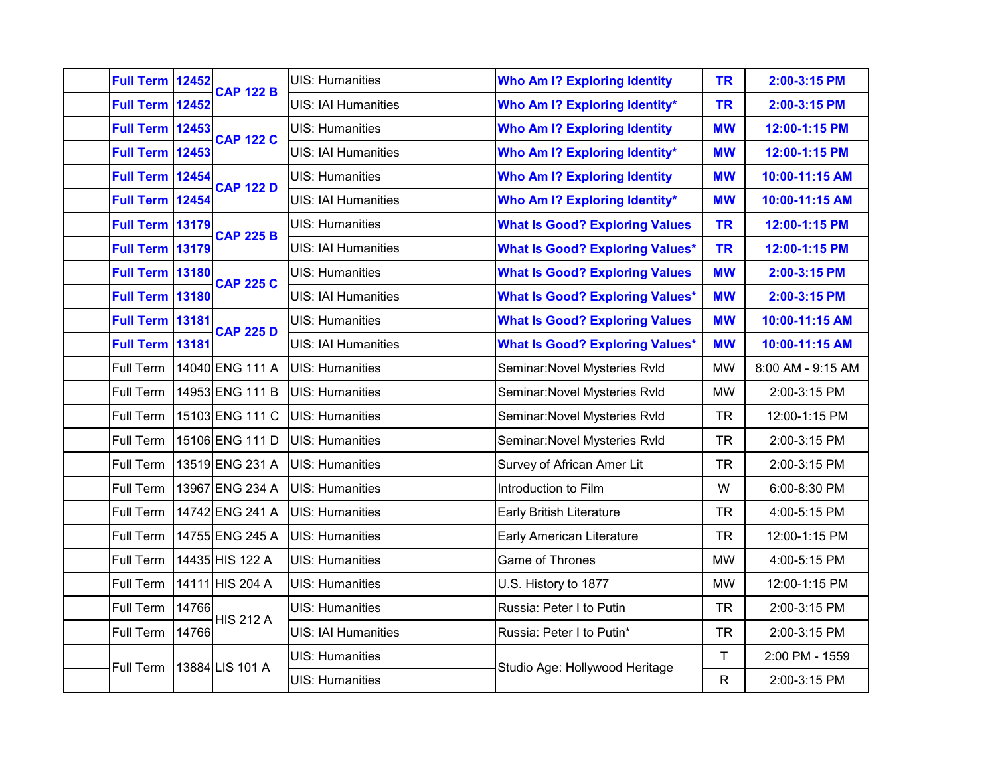| Full Term 12452        |       | <b>CAP 122 B</b> | <b>UIS: Humanities</b>     | <b>Who Am I? Exploring Identity</b>    | <b>TR</b>    | 2:00-3:15 PM      |
|------------------------|-------|------------------|----------------------------|----------------------------------------|--------------|-------------------|
| <b>Full Term</b>       | 12452 |                  | <b>UIS: IAI Humanities</b> | <b>Who Am I? Exploring Identity*</b>   | <b>TR</b>    | 2:00-3:15 PM      |
| <b>Full Term 12453</b> |       | <b>CAP 122 C</b> | <b>UIS: Humanities</b>     | <b>Who Am I? Exploring Identity</b>    | <b>MW</b>    | 12:00-1:15 PM     |
| <b>Full Term 12453</b> |       |                  | <b>UIS: IAI Humanities</b> | <b>Who Am I? Exploring Identity*</b>   | <b>MW</b>    | 12:00-1:15 PM     |
| <b>Full Term 12454</b> |       | <b>CAP 122 D</b> | <b>UIS: Humanities</b>     | <b>Who Am I? Exploring Identity</b>    | <b>MW</b>    | 10:00-11:15 AM    |
| Full Term 12454        |       |                  | <b>UIS: IAI Humanities</b> | <b>Who Am I? Exploring Identity*</b>   | <b>MW</b>    | 10:00-11:15 AM    |
| <b>Full Term</b>       | 13179 | <b>CAP 225 B</b> | <b>UIS: Humanities</b>     | <b>What Is Good? Exploring Values</b>  | <b>TR</b>    | 12:00-1:15 PM     |
| <b>Full Term 13179</b> |       |                  | <b>UIS: IAI Humanities</b> | <b>What Is Good? Exploring Values*</b> | <b>TR</b>    | 12:00-1:15 PM     |
| Full Term 13180        |       | <b>CAP 225 C</b> | <b>UIS: Humanities</b>     | <b>What Is Good? Exploring Values</b>  | <b>MW</b>    | 2:00-3:15 PM      |
| <b>Full Term 13180</b> |       |                  | <b>UIS: IAI Humanities</b> | <b>What Is Good? Exploring Values*</b> | <b>MW</b>    | 2:00-3:15 PM      |
| <b>Full Term 13181</b> |       | <b>CAP 225 D</b> | <b>UIS: Humanities</b>     | <b>What Is Good? Exploring Values</b>  | <b>MW</b>    | 10:00-11:15 AM    |
| <b>Full Term 13181</b> |       |                  | <b>UIS: IAI Humanities</b> | <b>What Is Good? Exploring Values*</b> | <b>MW</b>    | 10:00-11:15 AM    |
| Full Term              |       | 14040 ENG 111 A  | UIS: Humanities            | Seminar: Novel Mysteries Rvld          | <b>MW</b>    | 8:00 AM - 9:15 AM |
| Full Term              |       | 14953 ENG 111 B  | <b>UIS: Humanities</b>     | Seminar: Novel Mysteries Rvld          | <b>MW</b>    | 2:00-3:15 PM      |
| Full Term              |       | 15103 ENG 111 C  | <b>UIS: Humanities</b>     | Seminar: Novel Mysteries Rvld          | <b>TR</b>    | 12:00-1:15 PM     |
| Full Term              |       | 15106 ENG 111 D  | UIS: Humanities            | Seminar: Novel Mysteries Rvld          | <b>TR</b>    | 2:00-3:15 PM      |
| Full Term              |       | 13519 ENG 231 A  | UIS: Humanities            | Survey of African Amer Lit             | <b>TR</b>    | 2:00-3:15 PM      |
| Full Term              |       | 13967 ENG 234 A  | <b>UIS: Humanities</b>     | Introduction to Film                   | W            | 6:00-8:30 PM      |
| Full Term              |       | 14742 ENG 241 A  | <b>UIS: Humanities</b>     | <b>Early British Literature</b>        | <b>TR</b>    | 4:00-5:15 PM      |
| Full Term              |       | 14755 ENG 245 A  | UIS: Humanities            | <b>Early American Literature</b>       | <b>TR</b>    | 12:00-1:15 PM     |
| Full Term              |       | 14435 HIS 122 A  | <b>UIS: Humanities</b>     | Game of Thrones                        | <b>MW</b>    | 4:00-5:15 PM      |
| Full Term              |       | 14111 HIS 204 A  | <b>UIS: Humanities</b>     | U.S. History to 1877                   | <b>MW</b>    | 12:00-1:15 PM     |
| Full Term              | 14766 |                  | <b>UIS: Humanities</b>     | Russia: Peter I to Putin               | <b>TR</b>    | 2:00-3:15 PM      |
| Full Term              | 14766 | <b>HIS 212 A</b> | <b>UIS: IAI Humanities</b> | Russia: Peter I to Putin*              | <b>TR</b>    | 2:00-3:15 PM      |
|                        |       |                  | <b>UIS: Humanities</b>     |                                        | $\mathsf T$  | 2:00 PM - 1559    |
| Full Term              |       | 13884 LIS 101 A  | <b>UIS: Humanities</b>     | Studio Age: Hollywood Heritage         | $\mathsf{R}$ | 2:00-3:15 PM      |
|                        |       |                  |                            |                                        |              |                   |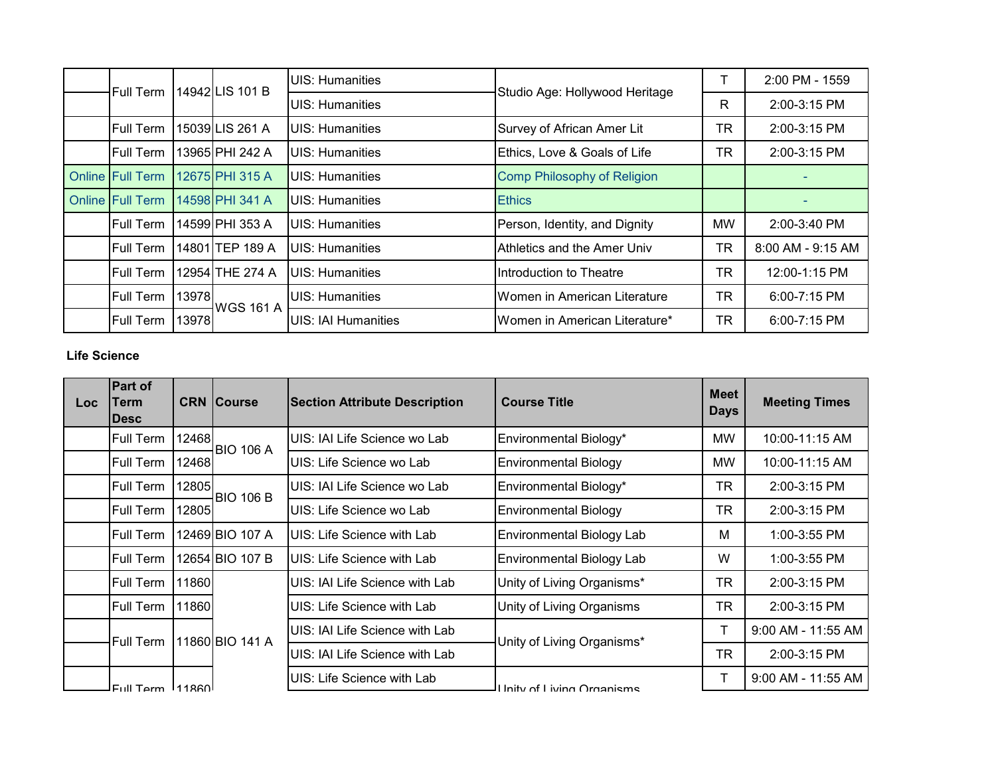| Full Term               |       | 14942 LIS 101 B  | <b>I</b> UIS: Humanities | Studio Age: Hollywood Heritage | ᠇         | 2:00 PM - 1559    |
|-------------------------|-------|------------------|--------------------------|--------------------------------|-----------|-------------------|
|                         |       |                  | <b>IUIS: Humanities</b>  |                                | R         | 2:00-3:15 PM      |
| <b>Full Term</b>        |       | 15039 LIS 261 A  | <b>IUIS: Humanities</b>  | Survey of African Amer Lit     | <b>TR</b> | 2:00-3:15 PM      |
| <b>Full Term</b>        |       | 13965 PHI 242 A  | <b>IUIS: Humanities</b>  | Ethics, Love & Goals of Life   | <b>TR</b> | 2:00-3:15 PM      |
| Online Full Term        |       | 12675 PHI 315 A  | <b>IUIS: Humanities</b>  | Comp Philosophy of Religion    |           |                   |
| <b>Online Full Term</b> |       | 14598 PHI 341 A  | <b>IUIS: Humanities</b>  | <b>Ethics</b>                  |           |                   |
| <b>Full Term</b>        |       | 14599 PHI 353 A  | <b>IUIS: Humanities</b>  | Person, Identity, and Dignity  | MW        | 2:00-3:40 PM      |
| <b>Full Term</b>        |       | 14801 TEP 189 A  | <b>IUIS: Humanities</b>  | Athletics and the Amer Univ    | <b>TR</b> | 8:00 AM - 9:15 AM |
| <b>Full Term</b>        |       | 12954 THE 274 A  | <b>IUIS: Humanities</b>  | Introduction to Theatre        | <b>TR</b> | 12:00-1:15 PM     |
| Full Term               | 13978 | <b>WGS 161 A</b> | <b>UIS: Humanities</b>   | Women in American Literature   | <b>TR</b> | 6:00-7:15 PM      |
| <b>Full Term</b>        | 13978 |                  | UIS: IAI Humanities      | Women in American Literature*  | <b>TR</b> | 6:00-7:15 PM      |

### **Life Science**

| Loc. | <b>Part of</b><br>Term<br><b>IDesc</b> |       | <b>CRN Course</b> | <b>Section Attribute Description</b> | <b>Course Title</b>              | <b>Meet</b><br><b>Days</b> | <b>Meeting Times</b> |
|------|----------------------------------------|-------|-------------------|--------------------------------------|----------------------------------|----------------------------|----------------------|
|      | Full Term                              | 12468 | <b>BIO 106 A</b>  | UIS: IAI Life Science wo Lab         | Environmental Biology*           | MW                         | 10:00-11:15 AM       |
|      | <b>Full Term</b>                       | 12468 |                   | UIS: Life Science wo Lab             | <b>Environmental Biology</b>     | MW                         | 10:00-11:15 AM       |
|      | Full Term                              | 12805 | <b>BIO 106 B</b>  | UIS: IAI Life Science wo Lab         | Environmental Biology*           | TR                         | $2:00-3:15$ PM       |
|      | Full Term                              | 12805 |                   | UIS: Life Science wo Lab             | <b>Environmental Biology</b>     | TR                         | $2:00 - 3:15$ PM     |
|      | Full Term                              |       | 12469 BIO 107 A   | UIS: Life Science with Lab           | Environmental Biology Lab        | M                          | $1:00-3:55$ PM       |
|      | Full Term                              |       | 12654 BIO 107 B   | UIS: Life Science with Lab           | <b>Environmental Biology Lab</b> | W                          | 1:00-3:55 PM         |
|      | Full Term                              | 11860 |                   | UIS: IAI Life Science with Lab       | Unity of Living Organisms*       | TR                         | 2:00-3:15 PM         |
|      | Full Term                              | 11860 |                   | UIS: Life Science with Lab           | Unity of Living Organisms        | <b>TR</b>                  | 2:00-3:15 PM         |
|      | <b>Full Term</b>                       |       | 11860 BIO 141 A   | UIS: IAI Life Science with Lab       |                                  | Т                          | 9:00 AM - 11:55 AM   |
|      |                                        |       |                   | UIS: IAI Life Science with Lab       | Unity of Living Organisms*       | TR                         | 2:00-3:15 PM         |
|      | $FU$ II Tarm $111860$                  |       |                   | UIS: Life Science with Lab           | Llnity of Living Organisms       |                            | 9:00 AM - 11:55 AM   |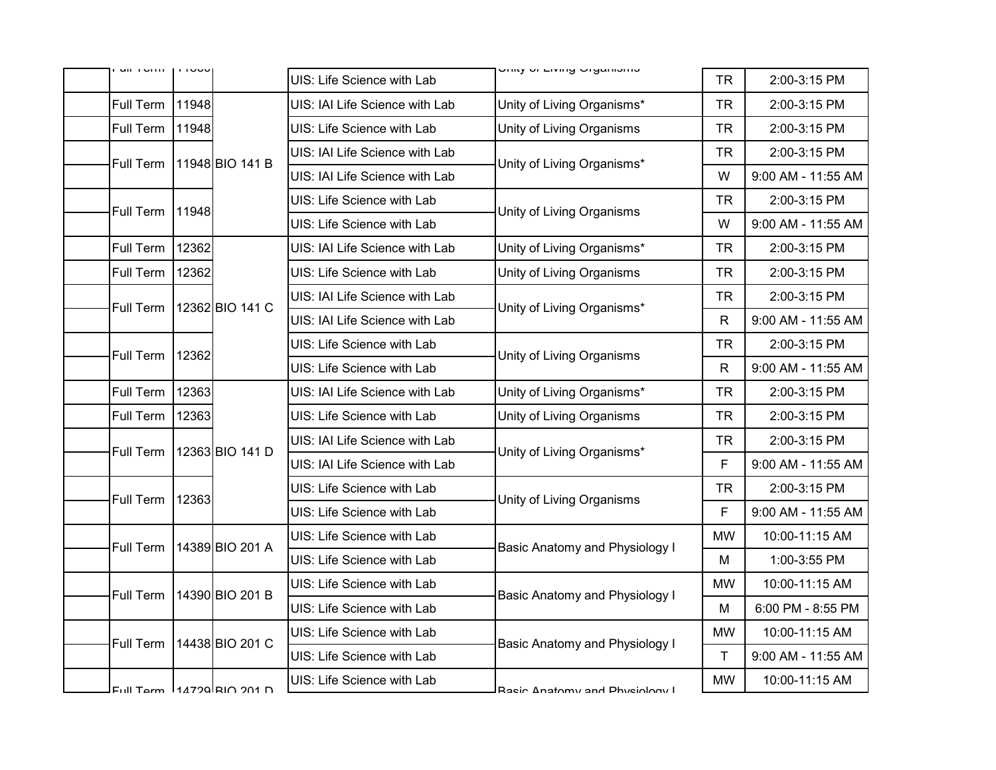| uil Torri        | טטטוו |                               | UIS: Life Science with Lab     | Uriny Ur Living Urganionio     | <b>TR</b>                      | 2:00-3:15 PM       |   |                    |
|------------------|-------|-------------------------------|--------------------------------|--------------------------------|--------------------------------|--------------------|---|--------------------|
| Full Term        | 11948 |                               | UIS: IAI Life Science with Lab | Unity of Living Organisms*     | <b>TR</b>                      | 2:00-3:15 PM       |   |                    |
| Full Term        | 11948 |                               | UIS: Life Science with Lab     | Unity of Living Organisms      | <b>TR</b>                      | 2:00-3:15 PM       |   |                    |
| Full Term        |       | 11948 BIO 141 B               | UIS: IAI Life Science with Lab | Unity of Living Organisms*     | <b>TR</b>                      | 2:00-3:15 PM       |   |                    |
|                  |       |                               | UIS: IAI Life Science with Lab |                                | W                              | 9:00 AM - 11:55 AM |   |                    |
| Full Term        | 11948 |                               | UIS: Life Science with Lab     | Unity of Living Organisms      | <b>TR</b>                      | 2:00-3:15 PM       |   |                    |
|                  |       |                               | UIS: Life Science with Lab     |                                | W                              | 9:00 AM - 11:55 AM |   |                    |
| Full Term        | 12362 |                               | UIS: IAI Life Science with Lab | Unity of Living Organisms*     | <b>TR</b>                      | 2:00-3:15 PM       |   |                    |
| Full Term        | 12362 |                               | UIS: Life Science with Lab     | Unity of Living Organisms      | <b>TR</b>                      | 2:00-3:15 PM       |   |                    |
| Full Term        |       | 12362 BIO 141 C               | UIS: IAI Life Science with Lab | Unity of Living Organisms*     | <b>TR</b>                      | 2:00-3:15 PM       |   |                    |
|                  |       |                               |                                |                                | UIS: IAI Life Science with Lab |                    | R | 9:00 AM - 11:55 AM |
| <b>Full Term</b> | 12362 |                               | UIS: Life Science with Lab     | Unity of Living Organisms      | <b>TR</b>                      | 2:00-3:15 PM       |   |                    |
|                  |       |                               | UIS: Life Science with Lab     |                                | $\mathsf{R}$                   | 9:00 AM - 11:55 AM |   |                    |
| Full Term        | 12363 |                               | UIS: IAI Life Science with Lab | Unity of Living Organisms*     | TR.                            | 2:00-3:15 PM       |   |                    |
| Full Term        | 12363 |                               | UIS: Life Science with Lab     | Unity of Living Organisms      | <b>TR</b>                      | 2:00-3:15 PM       |   |                    |
| Full Term        |       | 12363 BIO 141 D               | UIS: IAI Life Science with Lab | Unity of Living Organisms*     | <b>TR</b>                      | 2:00-3:15 PM       |   |                    |
|                  |       |                               | UIS: IAI Life Science with Lab |                                | F                              | 9:00 AM - 11:55 AM |   |                    |
| Full Term        | 12363 |                               | UIS: Life Science with Lab     | Unity of Living Organisms      | <b>TR</b>                      | 2:00-3:15 PM       |   |                    |
|                  |       |                               | UIS: Life Science with Lab     |                                | F                              | 9:00 AM - 11:55 AM |   |                    |
| Full Term        |       | 14389 BIO 201 A               | UIS: Life Science with Lab     | Basic Anatomy and Physiology I | <b>MW</b>                      | 10:00-11:15 AM     |   |                    |
|                  |       |                               | UIS: Life Science with Lab     |                                | M                              | 1:00-3:55 PM       |   |                    |
| <b>Full Term</b> |       | 14390 BIO 201 B               | UIS: Life Science with Lab     | Basic Anatomy and Physiology I | <b>MW</b>                      | 10:00-11:15 AM     |   |                    |
|                  |       |                               | UIS: Life Science with Lab     |                                | M                              | 6:00 PM - 8:55 PM  |   |                    |
| Full Term        |       | 14438 BIO 201 C               | UIS: Life Science with Lab     | Basic Anatomy and Physiology I | <b>MW</b>                      | 10:00-11:15 AM     |   |                    |
|                  |       |                               | UIS: Life Science with Lab     |                                | T                              | 9:00 AM - 11:55 AM |   |                    |
|                  |       | $FUII Tarm 114790  RIA 901 D$ | UIS: Life Science with Lab     | Racin Anatomy and Phyciology I | <b>MW</b>                      | 10:00-11:15 AM     |   |                    |
|                  |       |                               |                                |                                |                                |                    |   |                    |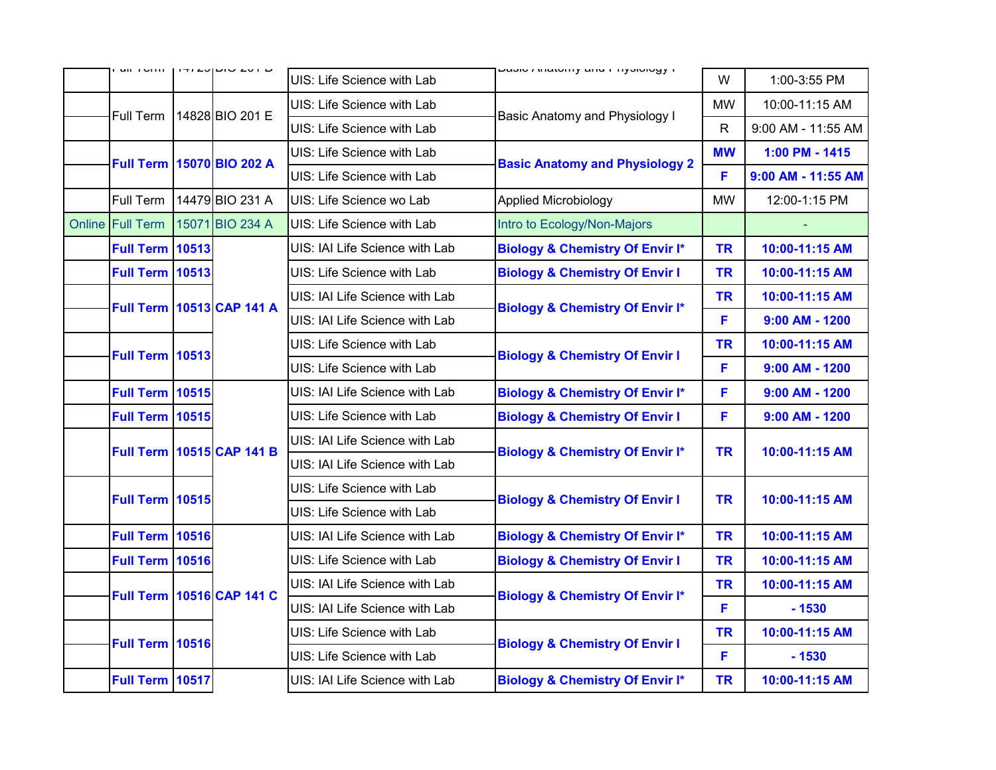|                        | UILI UNIU   ITIZU  UILU ZU I U   | UIS: Life Science with Lab     | ד מסור רוומנטווון מוועד וויוסוטוט                  | W            | 1:00-3:55 PM       |
|------------------------|----------------------------------|--------------------------------|----------------------------------------------------|--------------|--------------------|
| Full Term              | 14828 BIO 201 E                  | UIS: Life Science with Lab     |                                                    | <b>MW</b>    | 10:00-11:15 AM     |
|                        |                                  | UIS: Life Science with Lab     | Basic Anatomy and Physiology I                     | $\mathsf{R}$ | 9:00 AM - 11:55 AM |
|                        | Full Term 15070 BIO 202 A        | UIS: Life Science with Lab     | <b>MW</b><br><b>Basic Anatomy and Physiology 2</b> |              | 1:00 PM - 1415     |
|                        |                                  | UIS: Life Science with Lab     |                                                    | F            | 9:00 AM - 11:55 AM |
| Full Term              | 14479 BIO 231 A                  | UIS: Life Science wo Lab       | Applied Microbiology                               | <b>MW</b>    | 12:00-1:15 PM      |
| Online Full Term       | 15071 BIO 234 A                  | UIS: Life Science with Lab     | Intro to Ecology/Non-Majors                        |              |                    |
| <b>Full Term 10513</b> |                                  | UIS: IAI Life Science with Lab | <b>Biology &amp; Chemistry Of Envir I*</b>         | <b>TR</b>    | 10:00-11:15 AM     |
| <b>Full Term 10513</b> |                                  | UIS: Life Science with Lab     | <b>Biology &amp; Chemistry Of Envir I</b>          | <b>TR</b>    | 10:00-11:15 AM     |
|                        | Full Term 10513 CAP 141 A        | UIS: IAI Life Science with Lab | <b>Biology &amp; Chemistry Of Envir I*</b>         | <b>TR</b>    | 10:00-11:15 AM     |
|                        |                                  | UIS: IAI Life Science with Lab |                                                    | F            | $9:00$ AM - 1200   |
| <b>Full Term 10513</b> |                                  | UIS: Life Science with Lab     | <b>Biology &amp; Chemistry Of Envir I</b>          | <b>TR</b>    | 10:00-11:15 AM     |
|                        |                                  | UIS: Life Science with Lab     |                                                    | F            | $9:00$ AM - 1200   |
| <b>Full Term 10515</b> |                                  | UIS: IAI Life Science with Lab | <b>Biology &amp; Chemistry Of Envir I*</b>         | F            | $9:00$ AM - 1200   |
| <b>Full Term 10515</b> |                                  | UIS: Life Science with Lab     | <b>Biology &amp; Chemistry Of Envir I</b>          | F            | $9:00$ AM - 1200   |
|                        | Full Term 10515 CAP 141 B        | UIS: IAI Life Science with Lab | <b>Biology &amp; Chemistry Of Envir I*</b>         | <b>TR</b>    | 10:00-11:15 AM     |
|                        |                                  | UIS: IAI Life Science with Lab |                                                    |              |                    |
| <b>Full Term 10515</b> |                                  | UIS: Life Science with Lab     | <b>Biology &amp; Chemistry Of Envir I</b>          | <b>TR</b>    | 10:00-11:15 AM     |
|                        |                                  | UIS: Life Science with Lab     |                                                    |              |                    |
| <b>Full Term 10516</b> |                                  | UIS: IAI Life Science with Lab | <b>Biology &amp; Chemistry Of Envir I*</b>         | <b>TR</b>    | 10:00-11:15 AM     |
| <b>Full Term 10516</b> |                                  | UIS: Life Science with Lab     | <b>Biology &amp; Chemistry Of Envir I</b>          | <b>TR</b>    | 10:00-11:15 AM     |
|                        | <b>Full Term 10516 CAP 141 C</b> | UIS: IAI Life Science with Lab | <b>Biology &amp; Chemistry Of Envir I*</b>         | <b>TR</b>    | 10:00-11:15 AM     |
|                        |                                  | UIS: IAI Life Science with Lab |                                                    | F            | $-1530$            |
|                        |                                  | UIS: Life Science with Lab     |                                                    |              | 10:00-11:15 AM     |
| <b>Full Term 10516</b> |                                  | UIS: Life Science with Lab     | <b>Biology &amp; Chemistry Of Envir I</b>          | F            | $-1530$            |
| <b>Full Term 10517</b> |                                  | UIS: IAI Life Science with Lab | <b>Biology &amp; Chemistry Of Envir I*</b>         | <b>TR</b>    | 10:00-11:15 AM     |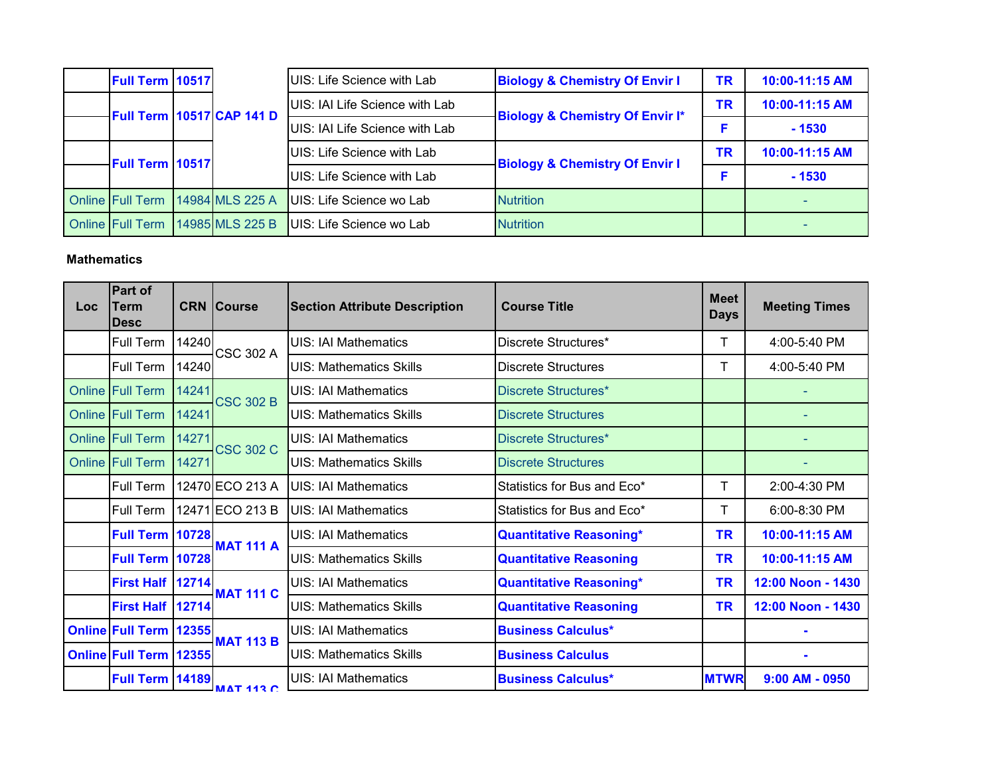| Full Term 10517         |                                  | UIS: Life Science with Lab     | <b>Biology &amp; Chemistry Of Envir I</b>  | TR | 10:00-11:15 AM |
|-------------------------|----------------------------------|--------------------------------|--------------------------------------------|----|----------------|
|                         | <b>Full Term 10517 CAP 141 D</b> | UIS: IAI Life Science with Lab | <b>Biology &amp; Chemistry Of Envir I*</b> | TR | 10:00-11:15 AM |
|                         |                                  | UIS: IAI Life Science with Lab |                                            |    | $-1530$        |
| Full Term 10517         |                                  | UIS: Life Science with Lab     | <b>Biology &amp; Chemistry Of Envir I</b>  | ΤR | 10:00-11:15 AM |
|                         |                                  | UIS: Life Science with Lab     |                                            | F  | $-1530$        |
| <b>Online Full Term</b> | 14984 MLS 225 A                  | UIS: Life Science wo Lab       | <b>Nutrition</b>                           |    |                |
| <b>Online Full Term</b> | 14985 MLS 225 B                  | UIS: Life Science wo Lab       | <b>Nutrition</b>                           |    |                |

### **Mathematics**

| <b>Loc</b> | Part of<br>Term<br><b>IDesc</b> |       | <b>CRN Course</b> | <b>Section Attribute Description</b> | <b>Course Title</b>            | <b>Meet</b><br><b>Days</b> | <b>Meeting Times</b> |
|------------|---------------------------------|-------|-------------------|--------------------------------------|--------------------------------|----------------------------|----------------------|
|            | Full Term                       | 14240 | <b>CSC 302 A</b>  | UIS: IAI Mathematics                 | Discrete Structures*           |                            | 4:00-5:40 PM         |
|            | Full Term                       | 14240 |                   | <b>UIS: Mathematics Skills</b>       | <b>Discrete Structures</b>     | Т                          | 4:00-5:40 PM         |
|            | Online Full Term                | 14241 | <b>CSC 302 B</b>  | <b>UIS: IAI Mathematics</b>          | Discrete Structures*           |                            |                      |
|            | Online Full Term                | 14241 |                   | <b>UIS: Mathematics Skills</b>       | <b>Discrete Structures</b>     |                            |                      |
|            | Online Full Term                | 14271 | <b>CSC 302 C</b>  | UIS: IAI Mathematics                 | Discrete Structures*           |                            |                      |
|            | Online Full Term                | 14271 |                   | <b>UIS: Mathematics Skills</b>       | <b>Discrete Structures</b>     |                            |                      |
|            | Full Term                       |       | 12470 ECO 213 A   | <b>UIS: IAI Mathematics</b>          | Statistics for Bus and Eco*    | Τ                          | 2:00-4:30 PM         |
|            | Full Term                       |       | 12471 ECO 213 B   | UIS: IAI Mathematics                 | Statistics for Bus and Eco*    | Т                          | 6:00-8:30 PM         |
|            | Full Term 10728                 |       | <b>MAT 111 A</b>  | <b>UIS: IAI Mathematics</b>          | <b>Quantitative Reasoning*</b> | <b>TR</b>                  | 10:00-11:15 AM       |
|            | <b>Full Term   10728</b>        |       |                   | <b>UIS: Mathematics Skills</b>       | <b>Quantitative Reasoning</b>  | <b>TR</b>                  | 10:00-11:15 AM       |
|            | First Half 12714                |       | <b>MAT 111 C</b>  | <b>UIS: IAI Mathematics</b>          | <b>Quantitative Reasoning*</b> | <b>TR</b>                  | 12:00 Noon - 1430    |
|            | First Half 12714                |       |                   | <b>UIS: Mathematics Skills</b>       | <b>Quantitative Reasoning</b>  | <b>TR</b>                  | 12:00 Noon - 1430    |
|            | <b>Online Full Term 12355</b>   |       | <b>MAT 113 B</b>  | <b>UIS: IAI Mathematics</b>          | <b>Business Calculus*</b>      |                            |                      |
|            | <b>Online Full Term 12355</b>   |       |                   | <b>UIS: Mathematics Skills</b>       | <b>Business Calculus</b>       |                            |                      |
|            | Full Term 14189                 |       | MAT 443C          | <b>UIS: IAI Mathematics</b>          | <b>Business Calculus*</b>      | <b>MTWR</b>                | $9:00$ AM - 0950     |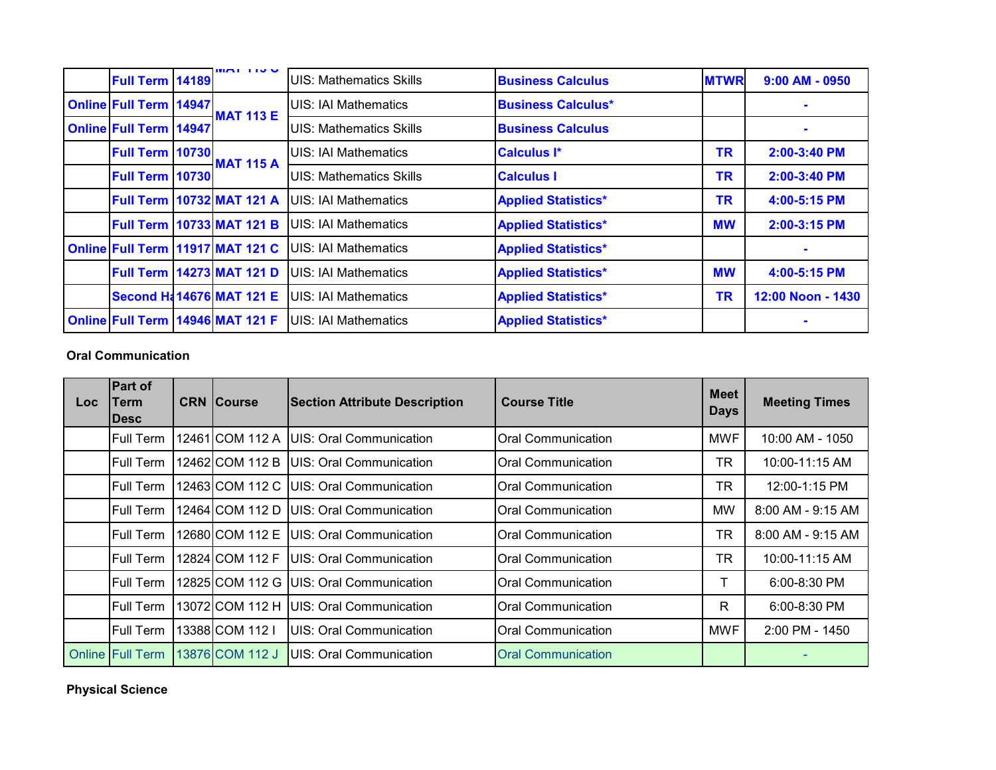| Full Term   14189             | $M$ $N$ $N$ $N$                      | <b>UIS: Mathematics Skills</b> | <b>Business Calculus</b>   | <b>MTWR</b> | $9:00$ AM - 0950  |
|-------------------------------|--------------------------------------|--------------------------------|----------------------------|-------------|-------------------|
| <b>Online Full Term 14947</b> | <b>MAT 113 E</b>                     | UIS: IAI Mathematics           | <b>Business Calculus*</b>  |             |                   |
| <b>Online Full Term 14947</b> |                                      | <b>UIS: Mathematics Skills</b> | <b>Business Calculus</b>   |             | $\blacksquare$    |
| <b>Full Term 10730</b>        | <b>MAT 115 A</b>                     | <b>UIS: IAI Mathematics</b>    | <b>Calculus I*</b>         | <b>TR</b>   | 2:00-3:40 PM      |
| Full Term 10730               |                                      | <b>UIS: Mathematics Skills</b> | <b>Calculus I</b>          | <b>TR</b>   | 2:00-3:40 PM      |
|                               | Full Term 10732 MAT 121 A            | <b>IUIS: IAI Mathematics</b>   | <b>Applied Statistics*</b> | TR          | 4:00-5:15 PM      |
|                               | Full Term 10733 MAT 121 B            | UIS: IAI Mathematics           | <b>Applied Statistics*</b> | <b>MW</b>   | 2:00-3:15 PM      |
|                               | Online Full Term 11917 MAT 121 C     | <b>IUIS: IAI Mathematics</b>   | <b>Applied Statistics*</b> |             |                   |
|                               | Full Term 14273 MAT 121 D            | <b>IUIS: IAI Mathematics</b>   | <b>Applied Statistics*</b> | <b>MW</b>   | 4:00-5:15 PM      |
|                               | <b>Second H&amp; 14676 MAT 121 E</b> | <b>IUIS: IAI Mathematics</b>   | <b>Applied Statistics*</b> | <b>TR</b>   | 12:00 Noon - 1430 |
|                               | Online Full Term   14946 MAT 121 F   | <b>IUIS: IAI Mathematics</b>   | <b>Applied Statistics*</b> |             |                   |

## **Oral Communication**

| Loc | <b>Part of</b><br>Term<br><b>IDesc</b> | <b>CRN Course</b> | <b>Section Attribute Description</b> | <b>Course Title</b>       | <b>Meet</b><br><b>Days</b> | <b>Meeting Times</b> |
|-----|----------------------------------------|-------------------|--------------------------------------|---------------------------|----------------------------|----------------------|
|     | Full Term                              | 12461 COM 112 A   | UIS: Oral Communication              | <b>Oral Communication</b> | <b>MWF</b>                 | 10:00 AM - 1050      |
|     | <b>Full Term</b>                       | 12462ICOM 112 B   | IUIS: Oral Communication             | <b>Oral Communication</b> | TR                         | 10:00-11:15 AM       |
|     | <b>Full Term</b>                       | 12463 COM 112 C   | UIS: Oral Communication              | <b>Oral Communication</b> | <b>TR</b>                  | 12:00-1:15 PM        |
|     | <b>Full Term</b>                       | 12464 COM 112 D   | UIS: Oral Communication              | <b>Oral Communication</b> | MW                         | 8:00 AM - 9:15 AM    |
|     | Full Term                              | 12680ICOM 112 E   | UIS: Oral Communication              | <b>Oral Communication</b> | <b>TR</b>                  | 8:00 AM - 9:15 AM    |
|     | Full Term                              | 12824 COM 112 F   | UIS: Oral Communication              | <b>Oral Communication</b> | <b>TR</b>                  | 10:00-11:15 AM       |
|     | Full Term                              | 12825 COM 112 G   | UIS: Oral Communication              | <b>Oral Communication</b> | T                          | 6:00-8:30 PM         |
|     | <b>Full Term</b>                       | 13072 COM 112 H   | UIS: Oral Communication              | <b>Oral Communication</b> | $\mathsf{R}$               | 6:00-8:30 PM         |
|     | Full Term                              | 13388 COM 112 I   | UIS: Oral Communication              | <b>Oral Communication</b> | <b>MWF</b>                 | 2:00 PM - 1450       |
|     | <b>Online Full Term</b>                | 13876 COM 112 J   | UIS: Oral Communication              | <b>Oral Communication</b> |                            |                      |

**Physical Science**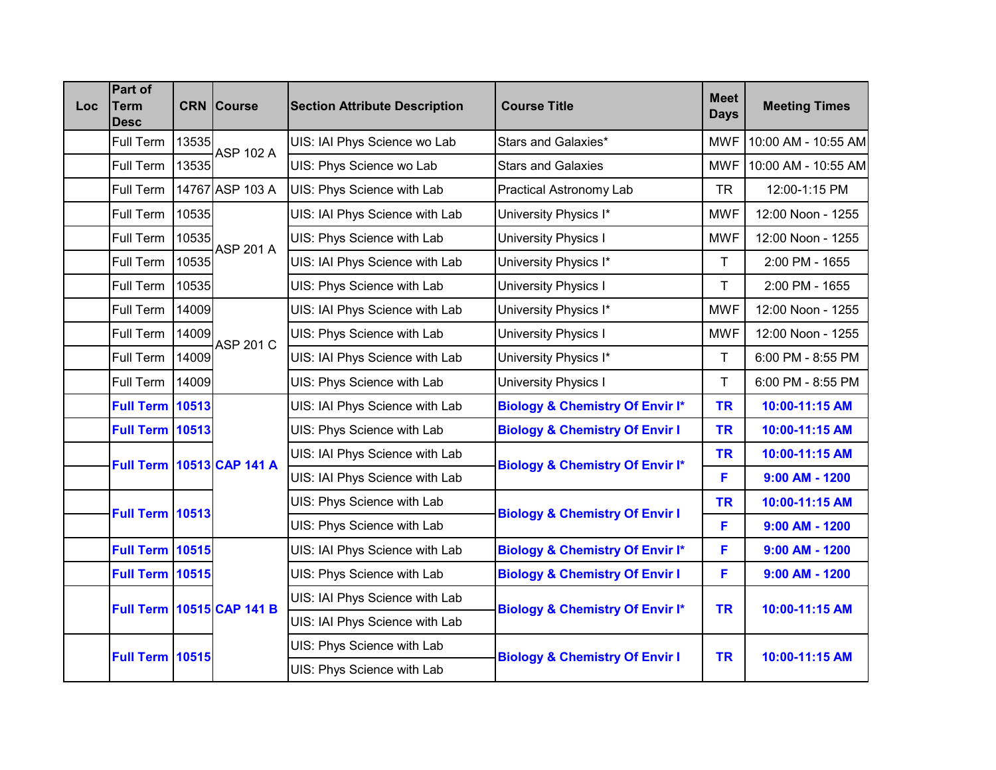| <b>Loc</b> | Part of<br><b>Term</b><br><b>Desc</b> |       | <b>CRN Course</b>                | <b>Section Attribute Description</b> | <b>Course Title</b>                        | <b>Meet</b><br><b>Days</b> | <b>Meeting Times</b> |
|------------|---------------------------------------|-------|----------------------------------|--------------------------------------|--------------------------------------------|----------------------------|----------------------|
|            | Full Term                             | 13535 | <b>ASP 102 A</b>                 | UIS: IAI Phys Science wo Lab         | Stars and Galaxies*                        | <b>MWF</b>                 | 10:00 AM - 10:55 AM  |
|            | Full Term                             | 13535 |                                  | UIS: Phys Science wo Lab             | <b>Stars and Galaxies</b>                  | <b>MWF</b>                 | 10:00 AM - 10:55 AM  |
|            | Full Term                             |       | 14767 ASP 103 A                  | UIS: Phys Science with Lab           | <b>Practical Astronomy Lab</b>             | <b>TR</b>                  | 12:00-1:15 PM        |
|            | Full Term                             | 10535 |                                  | UIS: IAI Phys Science with Lab       | University Physics I*                      | <b>MWF</b>                 | 12:00 Noon - 1255    |
|            | Full Term                             | 10535 | <b>ASP 201 A</b>                 | UIS: Phys Science with Lab           | University Physics I                       | <b>MWF</b>                 | 12:00 Noon - 1255    |
|            | Full Term                             | 10535 |                                  | UIS: IAI Phys Science with Lab       | University Physics I*                      | T                          | 2:00 PM - 1655       |
|            | Full Term                             | 10535 |                                  | UIS: Phys Science with Lab           | University Physics I                       | Τ                          | 2:00 PM - 1655       |
|            | Full Term                             | 14009 | <b>ASP 201 C</b>                 | UIS: IAI Phys Science with Lab       | University Physics I*                      | <b>MWF</b>                 | 12:00 Noon - 1255    |
|            | Full Term                             | 14009 |                                  | UIS: Phys Science with Lab           | <b>University Physics I</b>                | <b>MWF</b>                 | 12:00 Noon - 1255    |
|            | Full Term                             | 14009 |                                  | UIS: IAI Phys Science with Lab       | University Physics I*                      | T                          | 6:00 PM - 8:55 PM    |
|            | Full Term                             | 14009 |                                  | UIS: Phys Science with Lab           | <b>University Physics I</b>                | T                          | 6:00 PM - 8:55 PM    |
|            | <b>Full Term</b>                      | 10513 |                                  | UIS: IAI Phys Science with Lab       | <b>Biology &amp; Chemistry Of Envir I*</b> | <b>TR</b>                  | 10:00-11:15 AM       |
|            | <b>Full Term</b>                      | 10513 |                                  | UIS: Phys Science with Lab           | <b>Biology &amp; Chemistry Of Envir I</b>  | <b>TR</b>                  | 10:00-11:15 AM       |
|            |                                       |       | Full Term 10513 CAP 141 A        | UIS: IAI Phys Science with Lab       | <b>Biology &amp; Chemistry Of Envir I*</b> | <b>TR</b>                  | 10:00-11:15 AM       |
|            |                                       |       |                                  | UIS: IAI Phys Science with Lab       |                                            | F                          | $9:00$ AM - 1200     |
|            | <b>Full Term 10513</b>                |       |                                  | UIS: Phys Science with Lab           | <b>Biology &amp; Chemistry Of Envir I</b>  | <b>TR</b>                  | 10:00-11:15 AM       |
|            |                                       |       |                                  | UIS: Phys Science with Lab           |                                            | F                          | $9:00$ AM - 1200     |
|            | <b>Full Term 10515</b>                |       |                                  | UIS: IAI Phys Science with Lab       | <b>Biology &amp; Chemistry Of Envir I*</b> | F                          | $9:00$ AM - 1200     |
|            | <b>Full Term 10515</b>                |       |                                  | UIS: Phys Science with Lab           | <b>Biology &amp; Chemistry Of Envir I</b>  | F                          | $9:00$ AM - 1200     |
|            |                                       |       | <b>Full Term 10515 CAP 141 B</b> | UIS: IAI Phys Science with Lab       | <b>Biology &amp; Chemistry Of Envir I*</b> | <b>TR</b>                  | 10:00-11:15 AM       |
|            |                                       |       |                                  | UIS: IAI Phys Science with Lab       |                                            |                            |                      |
|            | <b>Full Term 10515</b>                |       |                                  | UIS: Phys Science with Lab           | <b>Biology &amp; Chemistry Of Envir I</b>  | <b>TR</b>                  | 10:00-11:15 AM       |
|            |                                       |       |                                  | UIS: Phys Science with Lab           |                                            |                            |                      |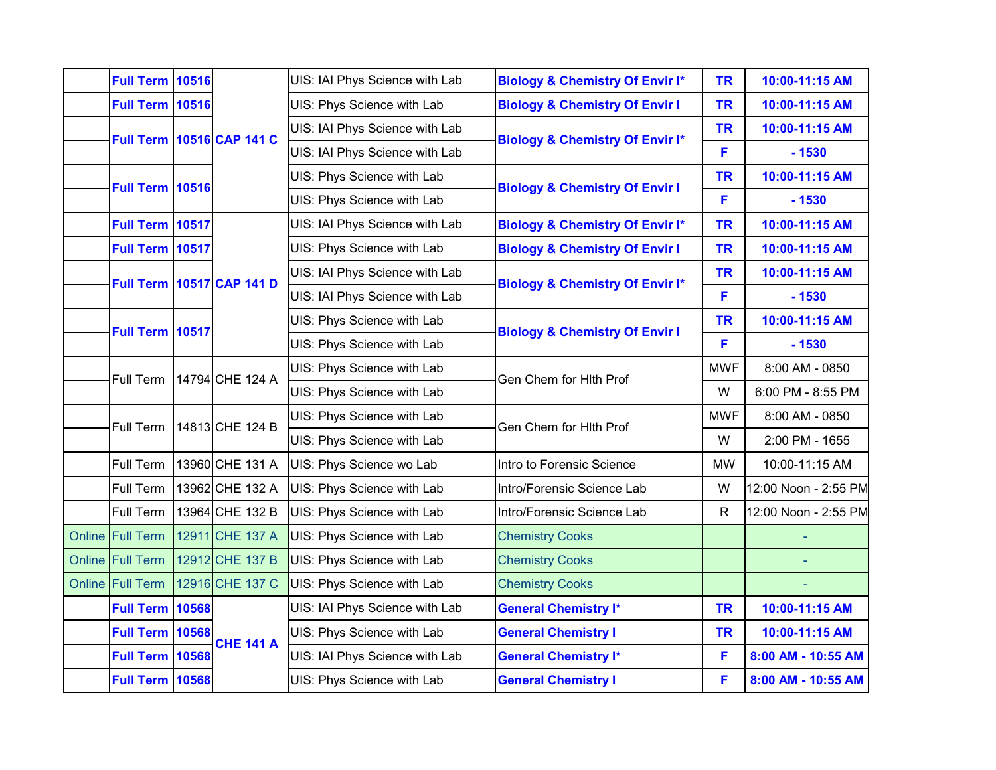| <b>Full Term 10516</b>   |  |                                  | UIS: IAI Phys Science with Lab | <b>Biology &amp; Chemistry Of Envir I*</b> | <b>TR</b>  | 10:00-11:15 AM       |  |                            |  |           |                |
|--------------------------|--|----------------------------------|--------------------------------|--------------------------------------------|------------|----------------------|--|----------------------------|--|-----------|----------------|
| <b>Full Term 10516</b>   |  |                                  | UIS: Phys Science with Lab     | <b>Biology &amp; Chemistry Of Envir I</b>  | <b>TR</b>  | 10:00-11:15 AM       |  |                            |  |           |                |
|                          |  | <b>Full Term 10516 CAP 141 C</b> | UIS: IAI Phys Science with Lab | <b>Biology &amp; Chemistry Of Envir I*</b> | <b>TR</b>  | 10:00-11:15 AM       |  |                            |  |           |                |
|                          |  |                                  | UIS: IAI Phys Science with Lab |                                            | F          | $-1530$              |  |                            |  |           |                |
| <b>Full Term 10516</b>   |  |                                  | UIS: Phys Science with Lab     | <b>Biology &amp; Chemistry Of Envir I</b>  | <b>TR</b>  | 10:00-11:15 AM       |  |                            |  |           |                |
|                          |  |                                  | UIS: Phys Science with Lab     |                                            | F          | $-1530$              |  |                            |  |           |                |
| Full Term 10517          |  |                                  | UIS: IAI Phys Science with Lab | <b>Biology &amp; Chemistry Of Envir I*</b> | <b>TR</b>  | 10:00-11:15 AM       |  |                            |  |           |                |
| Full Term 10517          |  |                                  | UIS: Phys Science with Lab     | <b>Biology &amp; Chemistry Of Envir I</b>  | <b>TR</b>  | 10:00-11:15 AM       |  |                            |  |           |                |
|                          |  | <b>Full Term 10517 CAP 141 D</b> | UIS: IAI Phys Science with Lab |                                            | <b>TR</b>  | 10:00-11:15 AM       |  |                            |  |           |                |
|                          |  |                                  | UIS: IAI Phys Science with Lab | <b>Biology &amp; Chemistry Of Envir I*</b> | F          | $-1530$              |  |                            |  |           |                |
|                          |  | Full Term 10517                  |                                |                                            |            |                      |  | UIS: Phys Science with Lab |  | <b>TR</b> | 10:00-11:15 AM |
|                          |  |                                  | UIS: Phys Science with Lab     | <b>Biology &amp; Chemistry Of Envir I</b>  | F          | $-1530$              |  |                            |  |           |                |
|                          |  | 14794 CHE 124 A                  | UIS: Phys Science with Lab     |                                            | <b>MWF</b> | 8:00 AM - 0850       |  |                            |  |           |                |
| Full Term                |  |                                  | UIS: Phys Science with Lab     | Gen Chem for Hith Prof                     | W          | 6:00 PM - 8:55 PM    |  |                            |  |           |                |
| Full Term                |  | 14813 CHE 124 B                  | UIS: Phys Science with Lab     |                                            | <b>MWF</b> | 8:00 AM - 0850       |  |                            |  |           |                |
|                          |  |                                  | UIS: Phys Science with Lab     | Gen Chem for Hith Prof                     | W          | 2:00 PM - 1655       |  |                            |  |           |                |
| Full Term                |  | 13960 CHE 131 A                  | UIS: Phys Science wo Lab       | Intro to Forensic Science                  | <b>MW</b>  | 10:00-11:15 AM       |  |                            |  |           |                |
| Full Term                |  | 13962 CHE 132 A                  | UIS: Phys Science with Lab     | Intro/Forensic Science Lab                 | W          | 12:00 Noon - 2:55 PM |  |                            |  |           |                |
| Full Term                |  | 13964 CHE 132 B                  | UIS: Phys Science with Lab     | Intro/Forensic Science Lab                 | R          | 12:00 Noon - 2:55 PM |  |                            |  |           |                |
| Online Full Term         |  | 12911 CHE 137 A                  | UIS: Phys Science with Lab     | <b>Chemistry Cooks</b>                     |            |                      |  |                            |  |           |                |
| Online Full Term         |  | 12912 CHE 137 B                  | UIS: Phys Science with Lab     | <b>Chemistry Cooks</b>                     |            |                      |  |                            |  |           |                |
| Online Full Term         |  | 12916 CHE 137 C                  | UIS: Phys Science with Lab     | <b>Chemistry Cooks</b>                     |            |                      |  |                            |  |           |                |
| <b>Full Term   10568</b> |  |                                  | UIS: IAI Phys Science with Lab | <b>General Chemistry I*</b>                | <b>TR</b>  | 10:00-11:15 AM       |  |                            |  |           |                |
| <b>Full Term   10568</b> |  |                                  | UIS: Phys Science with Lab     | <b>General Chemistry I</b>                 | <b>TR</b>  | 10:00-11:15 AM       |  |                            |  |           |                |
| <b>Full Term 10568</b>   |  | <b>CHE 141 A</b>                 | UIS: IAI Phys Science with Lab | <b>General Chemistry I*</b>                | F          | 8:00 AM - 10:55 AM   |  |                            |  |           |                |
| <b>Full Term 10568</b>   |  |                                  | UIS: Phys Science with Lab     | <b>General Chemistry I</b>                 | F          | 8:00 AM - 10:55 AM   |  |                            |  |           |                |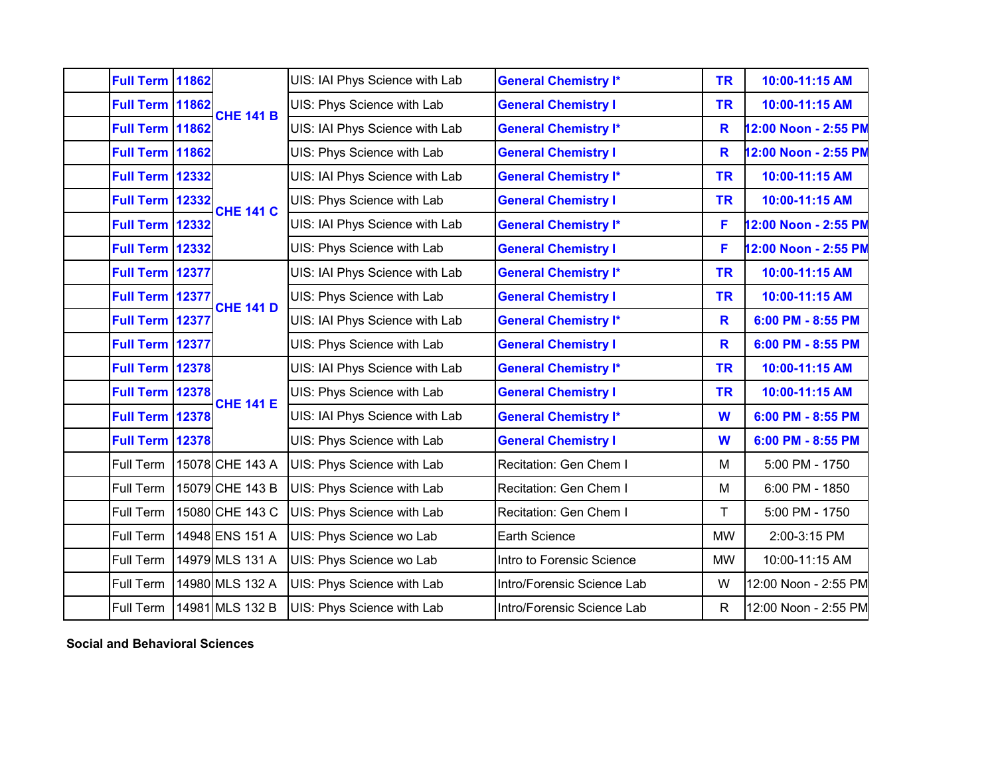| <b>Full Term 11862</b> |       | <b>CHE 141 B</b> | UIS: IAI Phys Science with Lab | <b>General Chemistry I*</b> | <b>TR</b>    | 10:00-11:15 AM       |
|------------------------|-------|------------------|--------------------------------|-----------------------------|--------------|----------------------|
| <b>Full Term 11862</b> |       |                  | UIS: Phys Science with Lab     | <b>General Chemistry I</b>  | <b>TR</b>    | 10:00-11:15 AM       |
| <b>Full Term 11862</b> |       |                  | UIS: IAI Phys Science with Lab | <b>General Chemistry I*</b> | $\mathbf R$  | 12:00 Noon - 2:55 PM |
| <b>Full Term 11862</b> |       |                  | UIS: Phys Science with Lab     | <b>General Chemistry I</b>  | $\mathbf R$  | 12:00 Noon - 2:55 PM |
| <b>Full Term 12332</b> |       |                  | UIS: IAI Phys Science with Lab | <b>General Chemistry I*</b> | <b>TR</b>    | 10:00-11:15 AM       |
| <b>Full Term 12332</b> |       | <b>CHE 141 C</b> | UIS: Phys Science with Lab     | <b>General Chemistry I</b>  | <b>TR</b>    | 10:00-11:15 AM       |
| <b>Full Term 12332</b> |       |                  | UIS: IAI Phys Science with Lab | <b>General Chemistry I*</b> | F            | 12:00 Noon - 2:55 PM |
| <b>Full Term</b>       | 12332 |                  | UIS: Phys Science with Lab     | <b>General Chemistry I</b>  | F            | 12:00 Noon - 2:55 PM |
| <b>Full Term 12377</b> |       |                  | UIS: IAI Phys Science with Lab | <b>General Chemistry I*</b> | <b>TR</b>    | 10:00-11:15 AM       |
| Full Term 12377        |       | <b>CHE 141 D</b> | UIS: Phys Science with Lab     | <b>General Chemistry I</b>  | <b>TR</b>    | 10:00-11:15 AM       |
| Full Term 12377        |       |                  | UIS: IAI Phys Science with Lab | <b>General Chemistry I*</b> | R            | 6:00 PM - 8:55 PM    |
| Full Term 12377        |       |                  | UIS: Phys Science with Lab     | <b>General Chemistry I</b>  | R            | 6:00 PM - 8:55 PM    |
| <b>Full Term 12378</b> |       |                  | UIS: IAI Phys Science with Lab | <b>General Chemistry I*</b> | <b>TR</b>    | 10:00-11:15 AM       |
| <b>Full Term 12378</b> |       | <b>CHE 141 E</b> | UIS: Phys Science with Lab     | <b>General Chemistry I</b>  | <b>TR</b>    | 10:00-11:15 AM       |
| <b>Full Term 12378</b> |       |                  | UIS: IAI Phys Science with Lab | <b>General Chemistry I*</b> | W            | 6:00 PM - 8:55 PM    |
| <b>Full Term 12378</b> |       |                  | UIS: Phys Science with Lab     | <b>General Chemistry I</b>  | W            | 6:00 PM - 8:55 PM    |
| Full Term              |       | 15078 CHE 143 A  | UIS: Phys Science with Lab     | Recitation: Gen Chem I      | M            | 5:00 PM - 1750       |
| Full Term              |       | 15079 CHE 143 B  | UIS: Phys Science with Lab     | Recitation: Gen Chem I      | M            | 6:00 PM - 1850       |
| Full Term              |       | 15080 CHE 143 C  | UIS: Phys Science with Lab     | Recitation: Gen Chem I      | T            | 5:00 PM - 1750       |
| Full Term              |       | 14948 ENS 151 A  | UIS: Phys Science wo Lab       | Earth Science               | <b>MW</b>    | 2:00-3:15 PM         |
| Full Term              |       | 14979 MLS 131 A  | UIS: Phys Science wo Lab       | Intro to Forensic Science   | <b>MW</b>    | 10:00-11:15 AM       |
| Full Term              |       | 14980 MLS 132 A  | UIS: Phys Science with Lab     | Intro/Forensic Science Lab  | W            | 12:00 Noon - 2:55 PM |
| Full Term              |       | 14981 MLS 132 B  | UIS: Phys Science with Lab     | Intro/Forensic Science Lab  | $\mathsf{R}$ | 12:00 Noon - 2:55 PM |
|                        |       |                  |                                |                             |              |                      |

**Social and Behavioral Sciences**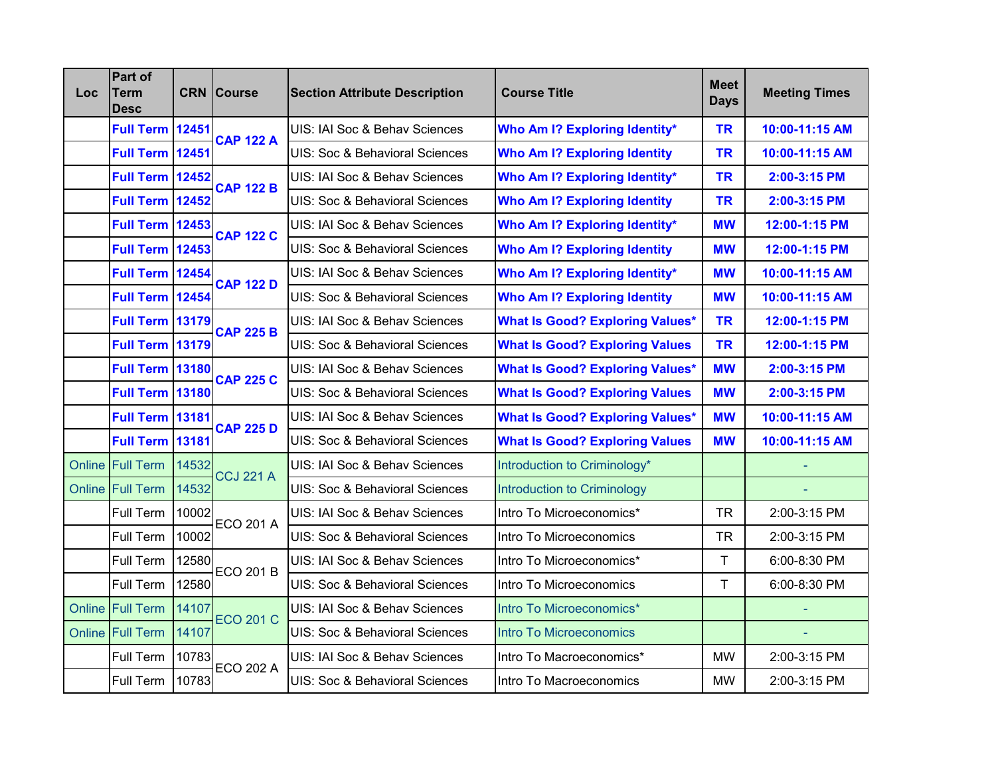| <b>Loc</b> | Part of<br><b>Term</b><br><b>Desc</b> |       | <b>CRN</b> Course | <b>Section Attribute Description</b> | <b>Course Title</b>                    | <b>Meet</b><br><b>Days</b> | <b>Meeting Times</b> |
|------------|---------------------------------------|-------|-------------------|--------------------------------------|----------------------------------------|----------------------------|----------------------|
|            | Full Term 12451                       |       | <b>CAP 122 A</b>  | UIS: IAI Soc & Behav Sciences        | Who Am I? Exploring Identity*          | <b>TR</b>                  | 10:00-11:15 AM       |
|            | <b>Full Term 12451</b>                |       |                   | UIS: Soc & Behavioral Sciences       | <b>Who Am I? Exploring Identity</b>    | <b>TR</b>                  | 10:00-11:15 AM       |
|            | <b>Full Term 12452</b>                |       | <b>CAP 122 B</b>  | UIS: IAI Soc & Behav Sciences        | <b>Who Am I? Exploring Identity*</b>   | <b>TR</b>                  | 2:00-3:15 PM         |
|            | Full Term 12452                       |       |                   | UIS: Soc & Behavioral Sciences       | <b>Who Am I? Exploring Identity</b>    | <b>TR</b>                  | 2:00-3:15 PM         |
|            | <b>Full Term 12453</b>                |       | <b>CAP 122 C</b>  | UIS: IAI Soc & Behav Sciences        | Who Am I? Exploring Identity*          | <b>MW</b>                  | 12:00-1:15 PM        |
|            | <b>Full Term 12453</b>                |       |                   | UIS: Soc & Behavioral Sciences       | <b>Who Am I? Exploring Identity</b>    | <b>MW</b>                  | 12:00-1:15 PM        |
|            | <b>Full Term 12454</b>                |       | <b>CAP 122 D</b>  | UIS: IAI Soc & Behav Sciences        | <b>Who Am I? Exploring Identity*</b>   | <b>MW</b>                  | 10:00-11:15 AM       |
|            | Full Term 12454                       |       |                   | UIS: Soc & Behavioral Sciences       | <b>Who Am I? Exploring Identity</b>    | <b>MW</b>                  | 10:00-11:15 AM       |
|            | Full Term 13179                       |       | <b>CAP 225 B</b>  | UIS: IAI Soc & Behav Sciences        | <b>What Is Good? Exploring Values*</b> | <b>TR</b>                  | 12:00-1:15 PM        |
|            | <b>Full Term 13179</b>                |       |                   | UIS: Soc & Behavioral Sciences       | <b>What Is Good? Exploring Values</b>  | <b>TR</b>                  | 12:00-1:15 PM        |
|            | <b>Full Term 13180</b>                |       | <b>CAP 225 C</b>  | UIS: IAI Soc & Behav Sciences        | <b>What Is Good? Exploring Values*</b> | <b>MW</b>                  | 2:00-3:15 PM         |
|            | <b>Full Term 13180</b>                |       |                   | UIS: Soc & Behavioral Sciences       | <b>What Is Good? Exploring Values</b>  | <b>MW</b>                  | 2:00-3:15 PM         |
|            | <b>Full Term 13181</b>                |       | <b>CAP 225 D</b>  | UIS: IAI Soc & Behav Sciences        | <b>What Is Good? Exploring Values*</b> | <b>MW</b>                  | 10:00-11:15 AM       |
|            | <b>Full Term 13181</b>                |       |                   | UIS: Soc & Behavioral Sciences       | <b>What Is Good? Exploring Values</b>  | <b>MW</b>                  | 10:00-11:15 AM       |
|            | Online Full Term                      | 14532 | <b>CCJ 221 A</b>  | UIS: IAI Soc & Behav Sciences        | Introduction to Criminology*           |                            |                      |
|            | Online Full Term                      | 14532 |                   | UIS: Soc & Behavioral Sciences       | <b>Introduction to Criminology</b>     |                            |                      |
|            | Full Term                             | 10002 | <b>ECO 201 A</b>  | UIS: IAI Soc & Behav Sciences        | Intro To Microeconomics*               | <b>TR</b>                  | 2:00-3:15 PM         |
|            | Full Term                             | 10002 |                   | UIS: Soc & Behavioral Sciences       | Intro To Microeconomics                | <b>TR</b>                  | 2:00-3:15 PM         |
|            | Full Term                             | 12580 | <b>ECO 201 B</b>  | UIS: IAI Soc & Behav Sciences        | Intro To Microeconomics*               | $\mathsf{T}$               | 6:00-8:30 PM         |
|            | Full Term                             | 12580 |                   | UIS: Soc & Behavioral Sciences       | Intro To Microeconomics                | T                          | 6:00-8:30 PM         |
|            | Online Full Term                      | 14107 | <b>ECO 201 C</b>  | UIS: IAI Soc & Behav Sciences        | Intro To Microeconomics*               |                            |                      |
|            | Online Full Term                      | 14107 |                   | UIS: Soc & Behavioral Sciences       | <b>Intro To Microeconomics</b>         |                            |                      |
|            | Full Term                             | 10783 | <b>ECO 202 A</b>  | UIS: IAI Soc & Behav Sciences        | Intro To Macroeconomics*               | <b>MW</b>                  | 2:00-3:15 PM         |
|            | Full Term                             | 10783 |                   | UIS: Soc & Behavioral Sciences       | Intro To Macroeconomics                | <b>MW</b>                  | 2:00-3:15 PM         |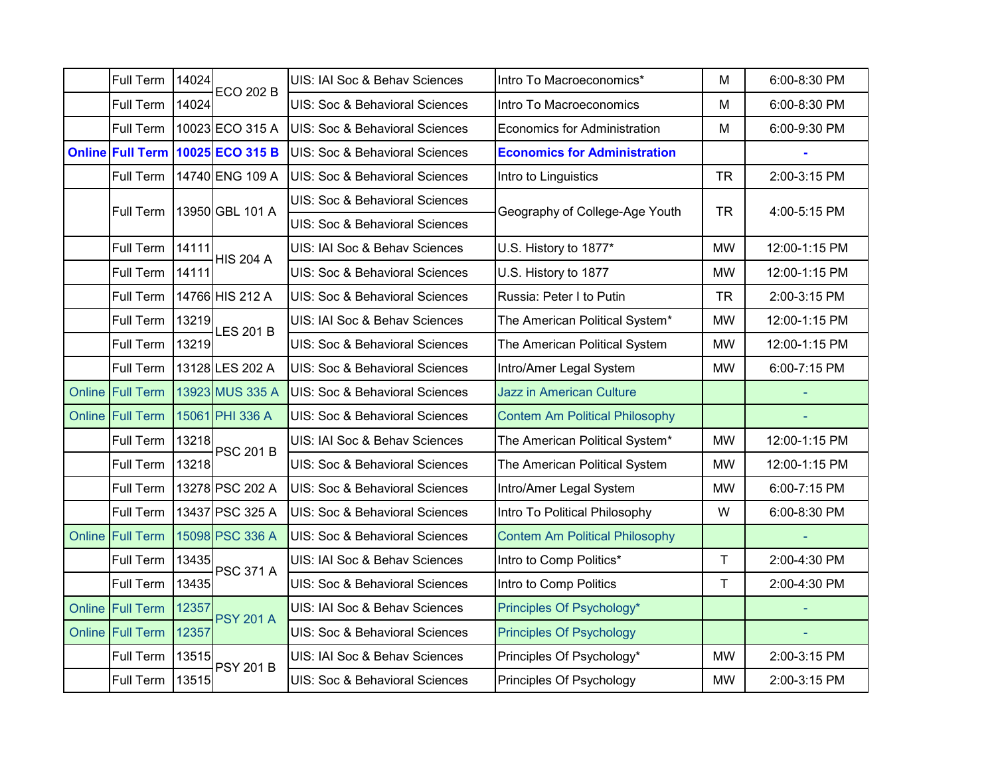| Full Term               | 14024 | <b>ECO 202 B</b>                 | UIS: IAI Soc & Behav Sciences  | Intro To Macroeconomics*              | M         | 6:00-8:30 PM  |
|-------------------------|-------|----------------------------------|--------------------------------|---------------------------------------|-----------|---------------|
| Full Term               | 14024 |                                  | UIS: Soc & Behavioral Sciences | Intro To Macroeconomics               | M         | 6:00-8:30 PM  |
| Full Term               |       | 10023 ECO 315 A                  | UIS: Soc & Behavioral Sciences | <b>Economics for Administration</b>   | M         | 6:00-9:30 PM  |
|                         |       | Online Full Term 10025 ECO 315 B | UIS: Soc & Behavioral Sciences | <b>Economics for Administration</b>   |           |               |
| Full Term               |       | 14740 ENG 109 A                  | UIS: Soc & Behavioral Sciences | Intro to Linguistics                  | <b>TR</b> | 2:00-3:15 PM  |
| <b>Full Term</b>        |       | 13950 GBL 101 A                  | UIS: Soc & Behavioral Sciences |                                       | <b>TR</b> | 4:00-5:15 PM  |
|                         |       |                                  | UIS: Soc & Behavioral Sciences | Geography of College-Age Youth        |           |               |
| Full Term               | 14111 | <b>HIS 204 A</b>                 | UIS: IAI Soc & Behav Sciences  | U.S. History to 1877*                 | <b>MW</b> | 12:00-1:15 PM |
| Full Term               | 14111 |                                  | UIS: Soc & Behavioral Sciences | U.S. History to 1877                  | <b>MW</b> | 12:00-1:15 PM |
| Full Term               |       | 14766 HIS 212 A                  | UIS: Soc & Behavioral Sciences | Russia: Peter I to Putin              | <b>TR</b> | 2:00-3:15 PM  |
| Full Term               | 13219 | <b>LES 201 B</b>                 | UIS: IAI Soc & Behav Sciences  | The American Political System*        | <b>MW</b> | 12:00-1:15 PM |
| Full Term               | 13219 |                                  | UIS: Soc & Behavioral Sciences | The American Political System         | <b>MW</b> | 12:00-1:15 PM |
| Full Term               |       | 13128 LES 202 A                  | UIS: Soc & Behavioral Sciences | Intro/Amer Legal System               | <b>MW</b> | 6:00-7:15 PM  |
| <b>Online Full Term</b> |       | 13923 MUS 335 A                  | UIS: Soc & Behavioral Sciences | <b>Jazz in American Culture</b>       |           |               |
| Online Full Term        |       | 15061 PHI 336 A                  | UIS: Soc & Behavioral Sciences | <b>Contem Am Political Philosophy</b> |           |               |
| Full Term               | 13218 | <b>PSC 201 B</b>                 | UIS: IAI Soc & Behav Sciences  | The American Political System*        | <b>MW</b> | 12:00-1:15 PM |
| Full Term               | 13218 |                                  | UIS: Soc & Behavioral Sciences | The American Political System         | <b>MW</b> | 12:00-1:15 PM |
| Full Term               |       | 13278 PSC 202 A                  | UIS: Soc & Behavioral Sciences | Intro/Amer Legal System               | <b>MW</b> | 6:00-7:15 PM  |
| Full Term               |       | 13437 PSC 325 A                  | UIS: Soc & Behavioral Sciences | Intro To Political Philosophy         | W         | 6:00-8:30 PM  |
| Online Full Term        |       | 15098 PSC 336 A                  | UIS: Soc & Behavioral Sciences | <b>Contem Am Political Philosophy</b> |           |               |
| Full Term               | 13435 | <b>PSC 371 A</b>                 | UIS: IAI Soc & Behav Sciences  | Intro to Comp Politics*               | T         | 2:00-4:30 PM  |
| Full Term               | 13435 |                                  | UIS: Soc & Behavioral Sciences | Intro to Comp Politics                | T         | 2:00-4:30 PM  |
| Online Full Term        | 12357 | <b>PSY 201 A</b>                 | UIS: IAI Soc & Behav Sciences  | Principles Of Psychology*             |           |               |
| Online Full Term        | 12357 |                                  | UIS: Soc & Behavioral Sciences | <b>Principles Of Psychology</b>       |           |               |
| Full Term               | 13515 | <b>PSY 201 B</b>                 | UIS: IAI Soc & Behav Sciences  | Principles Of Psychology*             | <b>MW</b> | 2:00-3:15 PM  |
| Full Term               | 13515 |                                  | UIS: Soc & Behavioral Sciences | Principles Of Psychology              | <b>MW</b> | 2:00-3:15 PM  |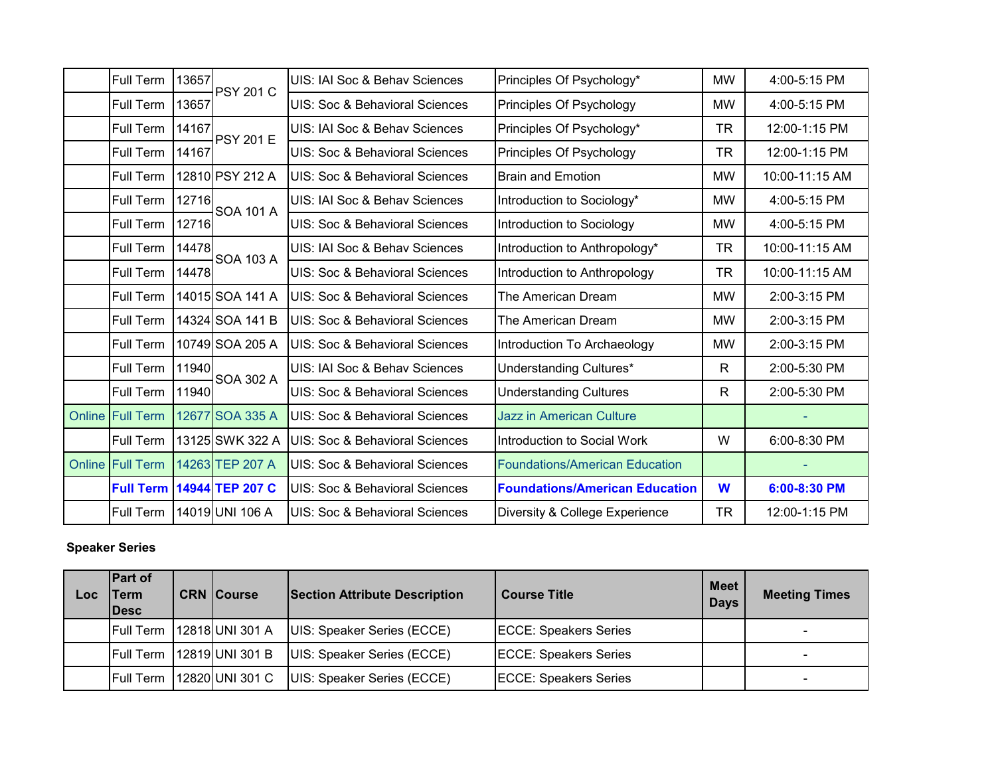| <b>Full Term</b>        | 13657 | <b>PSY 201 C</b> | UIS: IAI Soc & Behav Sciences  | Principles Of Psychology*             | <b>MW</b>    | 4:00-5:15 PM   |
|-------------------------|-------|------------------|--------------------------------|---------------------------------------|--------------|----------------|
| Full Term               | 13657 |                  | UIS: Soc & Behavioral Sciences | Principles Of Psychology              | <b>MW</b>    | 4:00-5:15 PM   |
| Full Term               | 14167 | <b>PSY 201 E</b> | UIS: IAI Soc & Behav Sciences  | Principles Of Psychology*             | <b>TR</b>    | 12:00-1:15 PM  |
| <b>Full Term</b>        | 14167 |                  | UIS: Soc & Behavioral Sciences | Principles Of Psychology              | <b>TR</b>    | 12:00-1:15 PM  |
| Full Term               |       | 12810 PSY 212 A  | UIS: Soc & Behavioral Sciences | <b>Brain and Emotion</b>              | <b>MW</b>    | 10:00-11:15 AM |
| Full Term               | 12716 | <b>SOA 101 A</b> | UIS: IAI Soc & Behav Sciences  | Introduction to Sociology*            | <b>MW</b>    | 4:00-5:15 PM   |
| Full Term               | 12716 |                  | UIS: Soc & Behavioral Sciences | Introduction to Sociology             | <b>MW</b>    | 4:00-5:15 PM   |
| Full Term               | 14478 | <b>SOA 103 A</b> | UIS: IAI Soc & Behav Sciences  | Introduction to Anthropology*         | <b>TR</b>    | 10:00-11:15 AM |
| Full Term               | 14478 |                  | UIS: Soc & Behavioral Sciences | Introduction to Anthropology          | <b>TR</b>    | 10:00-11:15 AM |
| Full Term               |       | 14015 SOA 141 A  | UIS: Soc & Behavioral Sciences | The American Dream                    | <b>MW</b>    | 2:00-3:15 PM   |
| Full Term               |       | 14324 SOA 141 B  | UIS: Soc & Behavioral Sciences | The American Dream                    | <b>MW</b>    | 2:00-3:15 PM   |
| <b>Full Term</b>        |       | 10749 SOA 205 A  | UIS: Soc & Behavioral Sciences | Introduction To Archaeology           | <b>MW</b>    | 2:00-3:15 PM   |
| Full Term               | 11940 | <b>SOA 302 A</b> | UIS: IAI Soc & Behav Sciences  | Understanding Cultures*               | $\mathsf{R}$ | 2:00-5:30 PM   |
| Full Term               | 11940 |                  | UIS: Soc & Behavioral Sciences | <b>Understanding Cultures</b>         | R            | 2:00-5:30 PM   |
| <b>Online Full Term</b> |       | 12677 SOA 335 A  | UIS: Soc & Behavioral Sciences | <b>Jazz in American Culture</b>       |              |                |
| Full Term               |       | 13125 SWK 322 A  | UIS: Soc & Behavioral Sciences | Introduction to Social Work           | W            | 6:00-8:30 PM   |
| <b>Online Full Term</b> |       | 14263 TEP 207 A  | UIS: Soc & Behavioral Sciences | <b>Foundations/American Education</b> |              |                |
| <b>Full Term</b>        |       | 14944 TEP 207 C  | UIS: Soc & Behavioral Sciences | <b>Foundations/American Education</b> | W            | 6:00-8:30 PM   |
| Full Term               |       | 14019 UNI 106 A  | UIS: Soc & Behavioral Sciences | Diversity & College Experience        | <b>TR</b>    | 12:00-1:15 PM  |

### **Speaker Series**

| Loc | <b>Part of</b><br><b>Term</b><br><b>IDesc</b> | <b>CRN Course</b>           | <b>Section Attribute Description</b> | <b>Course Title</b>          | Meet I<br><b>Days</b> | <b>Meeting Times</b> |
|-----|-----------------------------------------------|-----------------------------|--------------------------------------|------------------------------|-----------------------|----------------------|
|     |                                               | Full Term   12818 UNI 301 A | UIS: Speaker Series (ECCE)           | <b>ECCE: Speakers Series</b> |                       |                      |
|     | <b>Full Term</b>                              | 12819 UNI 301 B             | UIS: Speaker Series (ECCE)           | <b>ECCE: Speakers Series</b> |                       | -                    |
|     | <b>IFull Term</b>                             | 12820 UNI 301 C             | UIS: Speaker Series (ECCE)           | <b>ECCE: Speakers Series</b> |                       | -                    |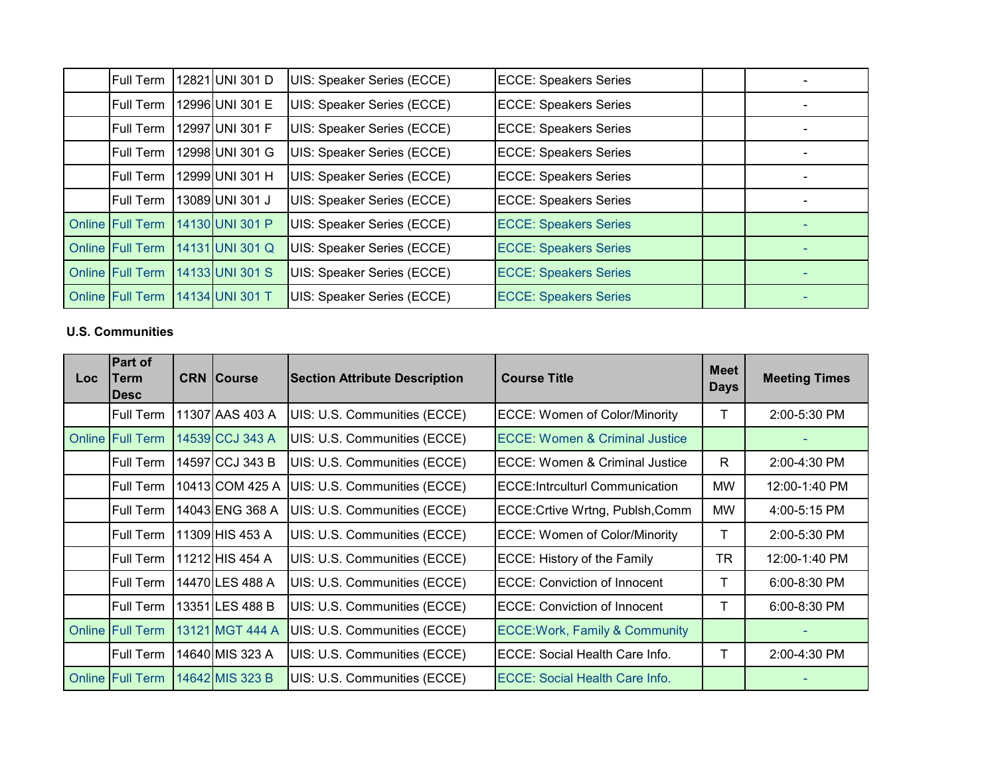| Full Term               | 12821 UNI 301 D | UIS: Speaker Series (ECCE) | <b>ECCE: Speakers Series</b> |  |
|-------------------------|-----------------|----------------------------|------------------------------|--|
| <b>Full Term</b>        | 12996 UNI 301 E | UIS: Speaker Series (ECCE) | <b>ECCE: Speakers Series</b> |  |
| <b>Full Term</b>        | 12997 UNI 301 F | UIS: Speaker Series (ECCE) | <b>ECCE: Speakers Series</b> |  |
| <b>Full Term</b>        | 12998 UNI 301 G | UIS: Speaker Series (ECCE) | <b>ECCE: Speakers Series</b> |  |
| <b>Full Term</b>        | 12999 UNI 301 H | UIS: Speaker Series (ECCE) | <b>ECCE: Speakers Series</b> |  |
| Full Term               | 13089 UNI 301 J | UIS: Speaker Series (ECCE) | <b>ECCE: Speakers Series</b> |  |
| <b>Online Full Term</b> | 14130 UNI 301 P | UIS: Speaker Series (ECCE) | <b>ECCE: Speakers Series</b> |  |
| <b>Online Full Term</b> | 14131 UNI 301 Q | UIS: Speaker Series (ECCE) | <b>ECCE: Speakers Series</b> |  |
| <b>Online Full Term</b> | 14133 UNI 301 S | UIS: Speaker Series (ECCE) | <b>ECCE: Speakers Series</b> |  |
| <b>Online Full Term</b> | 14134 UNI 301 T | UIS: Speaker Series (ECCE) | <b>ECCE: Speakers Series</b> |  |

### **U.S. Communities**

| <b>Loc</b> | Part of<br>Term<br><b>Desc</b> | <b>CRN Course</b> | <b>Section Attribute Description</b> | <b>Course Title</b>                       | <b>Meet</b><br><b>Days</b> | <b>Meeting Times</b> |
|------------|--------------------------------|-------------------|--------------------------------------|-------------------------------------------|----------------------------|----------------------|
|            | Full Term                      | 11307 AAS 403 A   | UIS: U.S. Communities (ECCE)         | <b>ECCE: Women of Color/Minority</b>      | т                          | 2:00-5:30 PM         |
|            | <b>Online Full Term</b>        | 14539 CCJ 343 A   | UIS: U.S. Communities (ECCE)         | ECCE: Women & Criminal Justice            |                            |                      |
|            | Full Term                      | 14597 CCJ 343 B   | UIS: U.S. Communities (ECCE)         | <b>ECCE: Women &amp; Criminal Justice</b> | R                          | 2:00-4:30 PM         |
|            | Full Term                      | 10413 COM 425 A   | UIS: U.S. Communities (ECCE)         | <b>ECCE:Intrculturl Communication</b>     | <b>MW</b>                  | 12:00-1:40 PM        |
|            | <b>Full Term</b>               | 14043IENG 368 A   | UIS: U.S. Communities (ECCE)         | ECCE: Crtive Wrtng, Publsh, Comm          | <b>MW</b>                  | 4:00-5:15 PM         |
|            | Full Term                      | 11309 HIS 453 A   | UIS: U.S. Communities (ECCE)         | <b>ECCE: Women of Color/Minority</b>      | T                          | 2:00-5:30 PM         |
|            | Full Term                      | 11212 HIS 454 A   | UIS: U.S. Communities (ECCE)         | ECCE: History of the Family               | <b>TR</b>                  | 12:00-1:40 PM        |
|            | Full Term                      | 14470 LES 488 A   | UIS: U.S. Communities (ECCE)         | <b>ECCE: Conviction of Innocent</b>       | т                          | 6:00-8:30 PM         |
|            | <b>Full Term</b>               | 13351 LES 488 B   | UIS: U.S. Communities (ECCE)         | <b>ECCE: Conviction of Innocent</b>       | Τ                          | 6:00-8:30 PM         |
|            | <b>Online Full Term</b>        | 13121 MGT 444 A   | UIS: U.S. Communities (ECCE)         | <b>ECCE: Work, Family &amp; Community</b> |                            |                      |
|            | <b>Full Term</b>               | 14640 MIS 323 A   | UIS: U.S. Communities (ECCE)         | ECCE: Social Health Care Info.            | т                          | 2:00-4:30 PM         |
|            | <b>Online Full Term</b>        | 14642 MIS 323 B   | UIS: U.S. Communities (ECCE)         | <b>ECCE: Social Health Care Info.</b>     |                            |                      |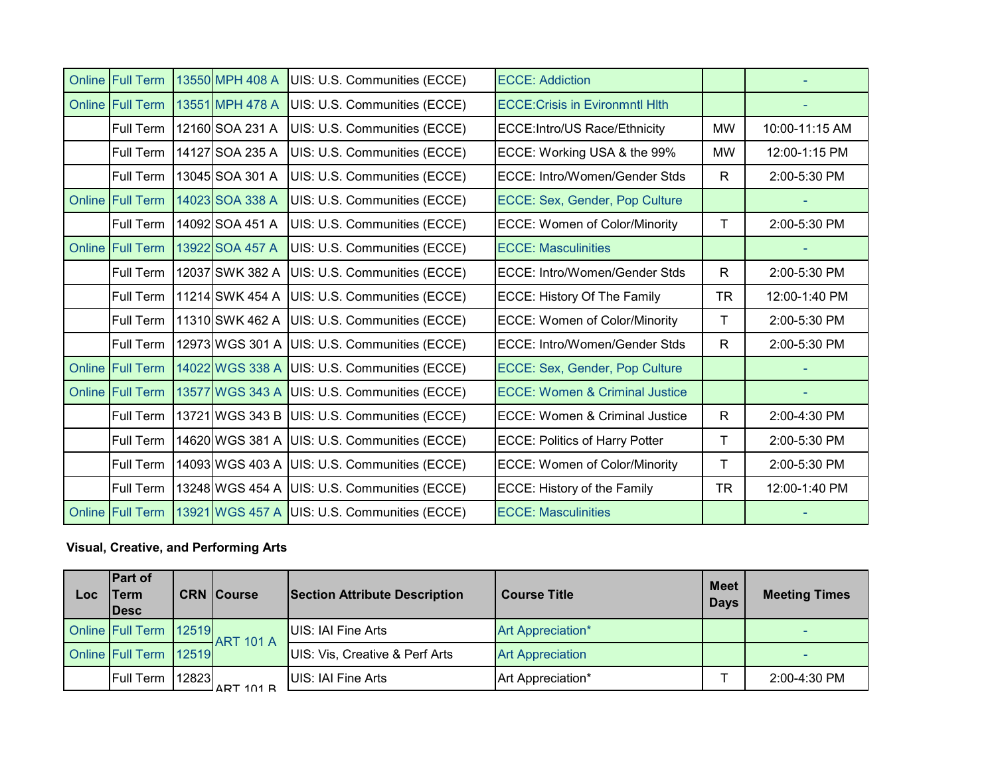| <b>Online Full Term</b> | 13550 MPH 408 A | UIS: U.S. Communities (ECCE)                 | <b>ECCE: Addiction</b>                    |              |                |
|-------------------------|-----------------|----------------------------------------------|-------------------------------------------|--------------|----------------|
| <b>Online Full Term</b> | 13551 MPH 478 A | UIS: U.S. Communities (ECCE)                 | <b>ECCE: Crisis in Evironmntl Hith</b>    |              |                |
| Full Term               | 12160 SOA 231 A | UIS: U.S. Communities (ECCE)                 | ECCE: Intro/US Race/Ethnicity             | <b>MW</b>    | 10:00-11:15 AM |
| Full Term               | 14127 SOA 235 A | UIS: U.S. Communities (ECCE)                 | ECCE: Working USA & the 99%               | <b>MW</b>    | 12:00-1:15 PM  |
| Full Term               | 13045 SOA 301 A | UIS: U.S. Communities (ECCE)                 | <b>ECCE: Intro/Women/Gender Stds</b>      | $\mathsf{R}$ | 2:00-5:30 PM   |
| Online Full Term        | 14023 SOA 338 A | UIS: U.S. Communities (ECCE)                 | ECCE: Sex, Gender, Pop Culture            |              |                |
| Full Term               | 14092 SOA 451 A | UIS: U.S. Communities (ECCE)                 | <b>ECCE: Women of Color/Minority</b>      | Τ            | 2:00-5:30 PM   |
| Online Full Term        | 13922 SOA 457 A | UIS: U.S. Communities (ECCE)                 | <b>ECCE: Masculinities</b>                |              |                |
| Full Term               | 12037 SWK 382 A | UIS: U.S. Communities (ECCE)                 | <b>ECCE: Intro/Women/Gender Stds</b>      | R.           | 2:00-5:30 PM   |
| Full Term               | 11214 SWK 454 A | UIS: U.S. Communities (ECCE)                 | ECCE: History Of The Family               | <b>TR</b>    | 12:00-1:40 PM  |
| Full Term               | 11310 SWK 462 A | UIS: U.S. Communities (ECCE)                 | <b>ECCE: Women of Color/Minority</b>      | т            | 2:00-5:30 PM   |
| Full Term               |                 | 12973 WGS 301 A UIS: U.S. Communities (ECCE) | ECCE: Intro/Women/Gender Stds             | R.           | 2:00-5:30 PM   |
| <b>Online Full Term</b> | 14022 WGS 338 A | UIS: U.S. Communities (ECCE)                 | ECCE: Sex, Gender, Pop Culture            |              |                |
| <b>Online Full Term</b> | 13577 WGS 343 A | UIS: U.S. Communities (ECCE)                 | <b>ECCE: Women &amp; Criminal Justice</b> |              |                |
| Full Term               | 13721 WGS 343 B | UIS: U.S. Communities (ECCE)                 | ECCE: Women & Criminal Justice            | $\mathsf{R}$ | 2:00-4:30 PM   |
| Full Term               |                 | 14620 WGS 381 A UIS: U.S. Communities (ECCE) | <b>ECCE: Politics of Harry Potter</b>     | T            | 2:00-5:30 PM   |
| Full Term               |                 | 14093 WGS 403 A UIS: U.S. Communities (ECCE) | <b>ECCE: Women of Color/Minority</b>      | T            | 2:00-5:30 PM   |
| Full Term               |                 | 13248 WGS 454 A UIS: U.S. Communities (ECCE) | ECCE: History of the Family               | <b>TR</b>    | 12:00-1:40 PM  |
| <b>Online Full Term</b> |                 | 13921 WGS 457 A UIS: U.S. Communities (ECCE) | <b>ECCE: Masculinities</b>                |              |                |

### **Visual, Creative, and Performing Arts**

| Loc | <b>Part of</b><br>Term<br><b>IDesc</b> |       | <b>CRN Course</b> | <b>Section Attribute Description</b> | <b>Course Title</b>     | Meet<br><b>Days</b> | <b>Meeting Times</b> |
|-----|----------------------------------------|-------|-------------------|--------------------------------------|-------------------------|---------------------|----------------------|
|     | Online Full Term   12519               |       | $ART$ 101 A       | UIS: IAI Fine Arts                   | Art Appreciation*       |                     |                      |
|     | Online Full Term 12519                 |       |                   | UIS: Vis, Creative & Perf Arts       | <b>Art Appreciation</b> |                     |                      |
|     | <b>Full Term</b>                       | 12823 | <b>JADT 101 D</b> | UIS: IAI Fine Arts                   | Art Appreciation*       |                     | 2:00-4:30 PM         |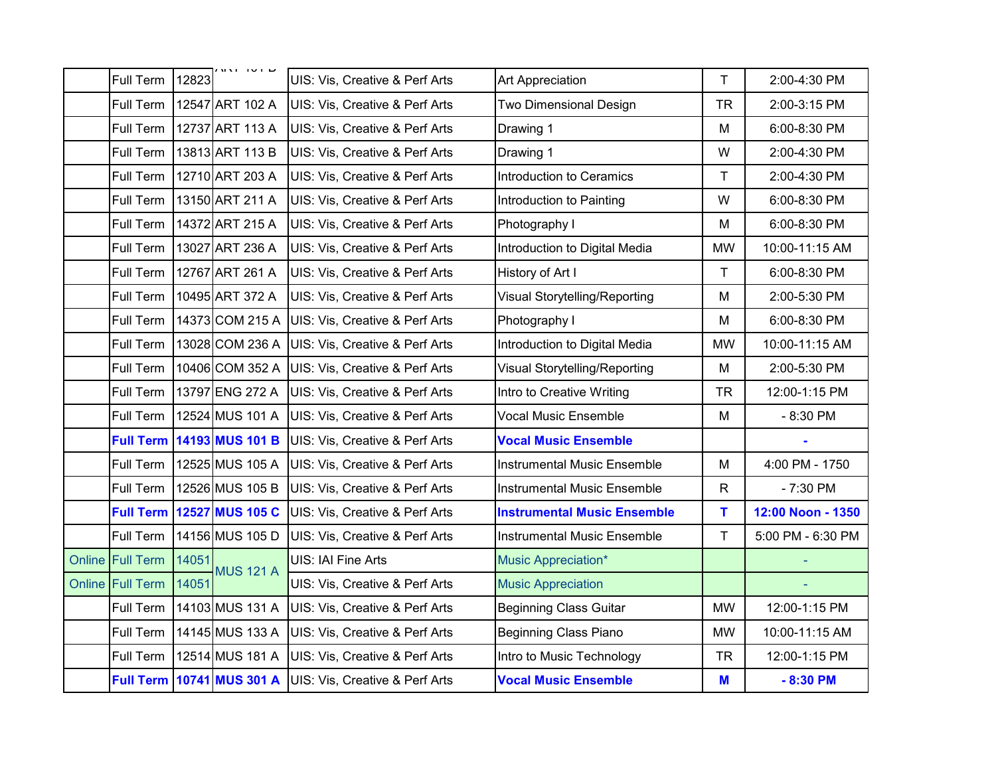| Full Term        | 12823 | שוטו וחח                           | UIS: Vis, Creative & Perf Arts            | <b>Art Appreciation</b>            | $\mathsf{T}$ | 2:00-4:30 PM      |
|------------------|-------|------------------------------------|-------------------------------------------|------------------------------------|--------------|-------------------|
| Full Term        |       | 12547 ART 102 A                    | UIS: Vis, Creative & Perf Arts            | Two Dimensional Design             | <b>TR</b>    | 2:00-3:15 PM      |
| Full Term        |       | 12737 ART 113 A                    | UIS: Vis, Creative & Perf Arts            | Drawing 1                          | M            | 6:00-8:30 PM      |
| Full Term        |       | 13813 ART 113 B                    | UIS: Vis, Creative & Perf Arts            | Drawing 1                          | W            | 2:00-4:30 PM      |
| <b>Full Term</b> |       | 12710 ART 203 A                    | UIS: Vis, Creative & Perf Arts            | <b>Introduction to Ceramics</b>    | T.           | 2:00-4:30 PM      |
| Full Term        |       | 13150 ART 211 A                    | UIS: Vis, Creative & Perf Arts            | Introduction to Painting           | W            | 6:00-8:30 PM      |
| Full Term        |       | 14372 ART 215 A                    | UIS: Vis, Creative & Perf Arts            | Photography I                      | M            | 6:00-8:30 PM      |
| Full Term        |       | 13027 ART 236 A                    | UIS: Vis, Creative & Perf Arts            | Introduction to Digital Media      | <b>MW</b>    | 10:00-11:15 AM    |
| Full Term        |       | 12767 ART 261 A                    | UIS: Vis, Creative & Perf Arts            | History of Art I                   | T.           | 6:00-8:30 PM      |
| Full Term        |       | 10495 ART 372 A                    | UIS: Vis, Creative & Perf Arts            | Visual Storytelling/Reporting      | M            | 2:00-5:30 PM      |
| Full Term        |       | 14373 COM 215 A                    | UIS: Vis, Creative & Perf Arts            | Photography I                      | M            | 6:00-8:30 PM      |
| Full Term        |       | 13028 COM 236 A                    | UIS: Vis, Creative & Perf Arts            | Introduction to Digital Media      | <b>MW</b>    | 10:00-11:15 AM    |
| Full Term        |       | 10406 COM 352 A                    | UIS: Vis, Creative & Perf Arts            | Visual Storytelling/Reporting      | M            | 2:00-5:30 PM      |
| Full Term        |       | 13797 ENG 272 A                    | UIS: Vis, Creative & Perf Arts            | Intro to Creative Writing          | <b>TR</b>    | 12:00-1:15 PM     |
| <b>Full Term</b> |       | 12524 MUS 101 A                    | UIS: Vis, Creative & Perf Arts            | <b>Vocal Music Ensemble</b>        | M            | $-8:30$ PM        |
|                  |       | <b>Full Term 14193 MUS 101 B</b>   | <b>UIS: Vis, Creative &amp; Perf Arts</b> | <b>Vocal Music Ensemble</b>        |              |                   |
| Full Term        |       | 12525 MUS 105 A                    | UIS: Vis, Creative & Perf Arts            | <b>Instrumental Music Ensemble</b> | M            | 4:00 PM - 1750    |
| Full Term        |       | 12526 MUS 105 B                    | UIS: Vis, Creative & Perf Arts            | <b>Instrumental Music Ensemble</b> | $\mathsf{R}$ | $-7:30$ PM        |
| <b>Full Term</b> |       | 12527 MUS 105 C                    | UIS: Vis, Creative & Perf Arts            | <b>Instrumental Music Ensemble</b> | T.           | 12:00 Noon - 1350 |
| Full Term        |       | 14156 MUS 105 D                    | UIS: Vis, Creative & Perf Arts            | <b>Instrumental Music Ensemble</b> | $\mathsf{T}$ | 5:00 PM - 6:30 PM |
| Online Full Term | 14051 | <b>MUS 121 A</b>                   | UIS: IAI Fine Arts                        | Music Appreciation*                |              |                   |
| Online Full Term | 14051 |                                    | UIS: Vis, Creative & Perf Arts            | <b>Music Appreciation</b>          |              |                   |
| Full Term        |       | 14103 MUS 131 A                    | UIS: Vis, Creative & Perf Arts            | <b>Beginning Class Guitar</b>      | <b>MW</b>    | 12:00-1:15 PM     |
| Full Term        |       | 14145 MUS 133 A                    | UIS: Vis, Creative & Perf Arts            | <b>Beginning Class Piano</b>       | <b>MW</b>    | 10:00-11:15 AM    |
| Full Term        |       | 12514 MUS 181 A                    | UIS: Vis, Creative & Perf Arts            | Intro to Music Technology          | <b>TR</b>    | 12:00-1:15 PM     |
|                  |       | <b>Full Term   10741 MUS 301 A</b> | UIS: Vis, Creative & Perf Arts            | <b>Vocal Music Ensemble</b>        | M            | $-8:30$ PM        |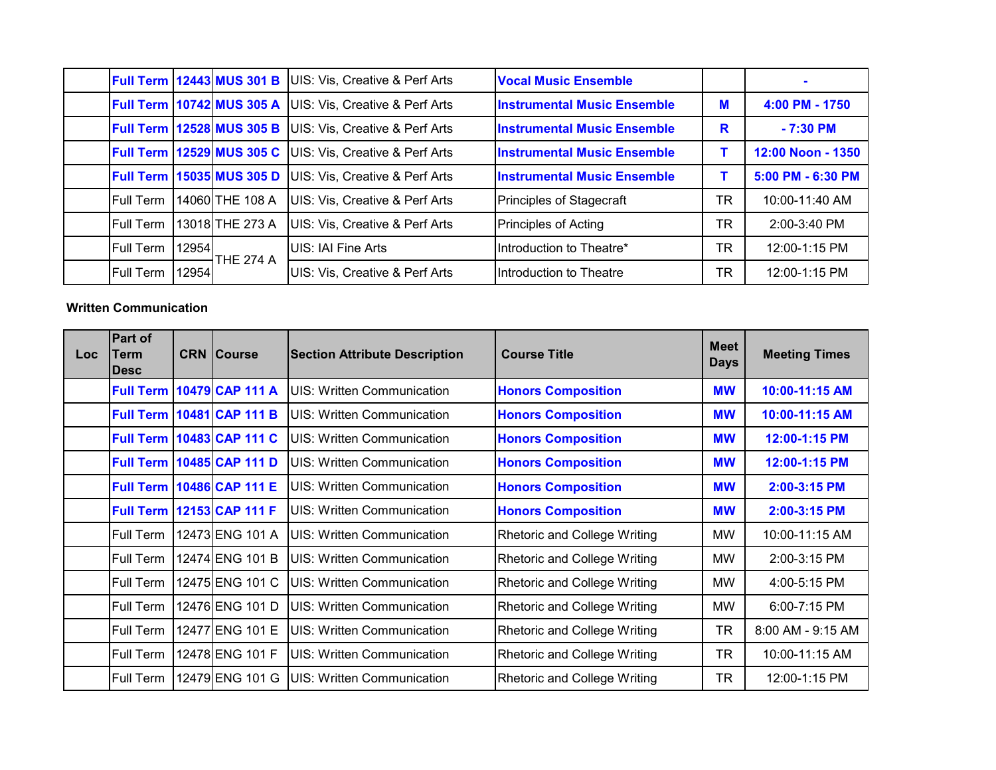|                  |       | <b>Full Term 12443 MUS 301 B</b> | UIS: Vis, Creative & Perf Arts            | <b>Vocal Music Ensemble</b>        |           |                   |
|------------------|-------|----------------------------------|-------------------------------------------|------------------------------------|-----------|-------------------|
|                  |       | <b>Full Term 10742 MUS 305 A</b> | UIS: Vis, Creative & Perf Arts            | <b>Instrumental Music Ensemble</b> | M         | 4:00 PM - 1750    |
|                  |       | <b>Full Term 12528 MUS 305 B</b> | <b>UIS: Vis, Creative &amp; Perf Arts</b> | <b>Instrumental Music Ensemble</b> | R         | $-7:30$ PM        |
|                  |       | <b>Full Term 12529 MUS 305 C</b> | <b>UIS: Vis, Creative &amp; Perf Arts</b> | <b>Instrumental Music Ensemble</b> |           | 12:00 Noon - 1350 |
|                  |       | <b>Full Term 15035 MUS 305 D</b> | UIS: Vis, Creative & Perf Arts            | <b>Instrumental Music Ensemble</b> |           | 5:00 PM - 6:30 PM |
| <b>Full Term</b> |       | 14060 THE 108 A                  | <b>UIS: Vis, Creative &amp; Perf Arts</b> | Principles of Stagecraft           | <b>TR</b> | 10:00-11:40 AM    |
| <b>Full Term</b> |       | 13018 THE 273 A                  | <b>UIS: Vis, Creative &amp; Perf Arts</b> | Principles of Acting               | <b>TR</b> | $2:00 - 3:40$ PM  |
| <b>Full Term</b> | 12954 | <b>ITHE 274 A</b>                | <b>UIS: IAI Fine Arts</b>                 | Introduction to Theatre*           | <b>TR</b> | 12:00-1:15 PM     |
| <b>Full Term</b> | 12954 |                                  | UIS: Vis, Creative & Perf Arts            | Introduction to Theatre            | TR        | 12:00-1:15 PM     |

#### **Written Communication**

| <b>Loc</b> | <b>Part of</b><br><b>Term</b><br><b>IDesc</b> | <b>CRN Course</b> | <b>Section Attribute Description</b> | <b>Course Title</b>                 | <b>Meet</b><br><b>Days</b> | <b>Meeting Times</b> |
|------------|-----------------------------------------------|-------------------|--------------------------------------|-------------------------------------|----------------------------|----------------------|
|            | <b>Full Term</b>                              | 10479 CAP 111 A   | <b>UIS: Written Communication</b>    | <b>Honors Composition</b>           | <b>MW</b>                  | 10:00-11:15 AM       |
|            | <b>Full Term</b>                              | 10481 CAP 111 B   | <b>UIS: Written Communication</b>    | <b>Honors Composition</b>           | <b>MW</b>                  | 10:00-11:15 AM       |
|            | <b>Full Term</b>                              | 10483 CAP 111 C   | UIS: Written Communication           | <b>Honors Composition</b>           | <b>MW</b>                  | 12:00-1:15 PM        |
|            | <b>Full Term</b>                              | 10485 CAP 111 D   | <b>UIS: Written Communication</b>    | <b>Honors Composition</b>           | <b>MW</b>                  | 12:00-1:15 PM        |
|            | <b>Full Term</b>                              | 10486 CAP 111 E   | <b>UIS: Written Communication</b>    | <b>Honors Composition</b>           | <b>MW</b>                  | 2:00-3:15 PM         |
|            | <b>Full Term</b>                              | 12153 CAP 111 F   | <b>UIS: Written Communication</b>    | <b>Honors Composition</b>           | <b>MW</b>                  | $2:00-3:15$ PM       |
|            | <b>Full Term</b>                              | 12473 ENG 101 A   | <b>UIS: Written Communication</b>    | <b>Rhetoric and College Writing</b> | <b>MW</b>                  | 10:00-11:15 AM       |
|            | Full Term                                     | 12474 ENG 101 B   | <b>UIS: Written Communication</b>    | <b>Rhetoric and College Writing</b> | MW                         | 2:00-3:15 PM         |
|            | Full Term                                     | 12475 ENG 101 C   | <b>UIS: Written Communication</b>    | <b>Rhetoric and College Writing</b> | <b>MW</b>                  | 4:00-5:15 PM         |
|            | Full Term                                     | 12476 ENG 101 D   | <b>UIS: Written Communication</b>    | <b>Rhetoric and College Writing</b> | <b>MW</b>                  | 6:00-7:15 PM         |
|            | <b>Full Term</b>                              | 12477 ENG 101 E   | <b>UIS: Written Communication</b>    | <b>Rhetoric and College Writing</b> | <b>TR</b>                  | 8:00 AM - 9:15 AM    |
|            | Full Term                                     | 12478 ENG 101 F   | <b>UIS: Written Communication</b>    | <b>Rhetoric and College Writing</b> | <b>TR</b>                  | 10:00-11:15 AM       |
|            | Full Term                                     | 12479 ENG 101 G   | <b>IUIS: Written Communication</b>   | <b>Rhetoric and College Writing</b> | <b>TR</b>                  | 12:00-1:15 PM        |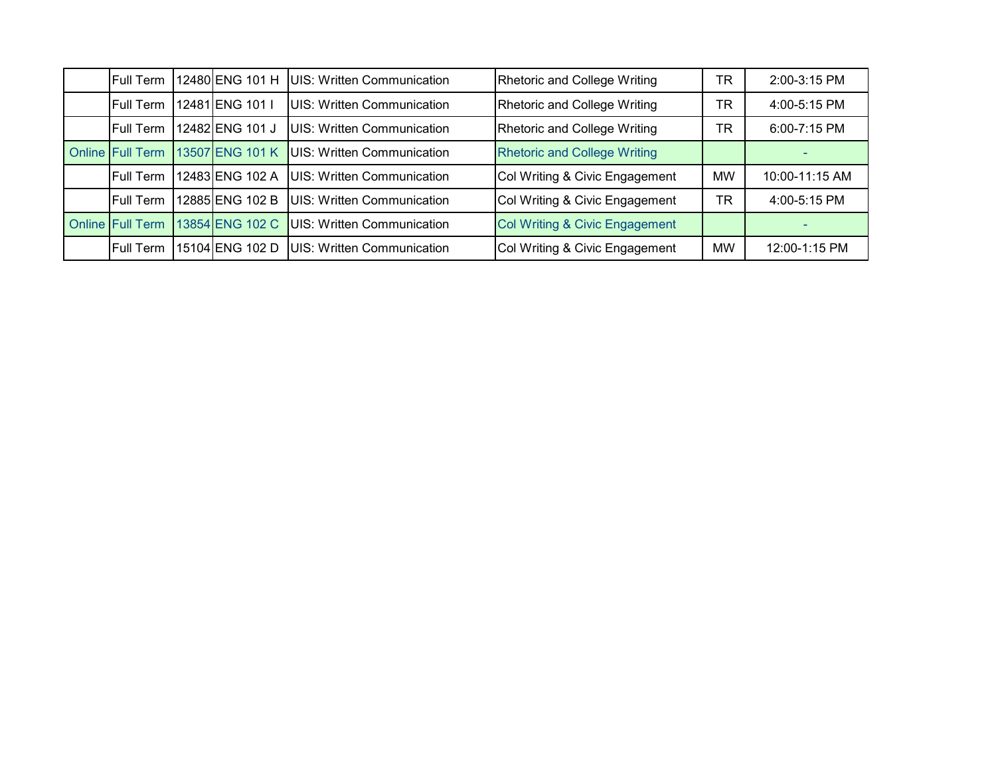| <b>Full Term</b>        | 12480 ENG 101 H | UIS: Written Communication         | Rhetoric and College Writing        | TR  | 2:00-3:15 PM   |
|-------------------------|-----------------|------------------------------------|-------------------------------------|-----|----------------|
| Full Term               | 12481 ENG 101 I | <b>UIS: Written Communication</b>  | Rhetoric and College Writing        | TR. | 4:00-5:15 PM   |
| Full Term               | 12482 ENG 101 J | UIS: Written Communication         | Rhetoric and College Writing        | TR  | 6:00-7:15 PM   |
| <b>Online Full Term</b> | 13507 ENG 101 K | <b>UIS: Written Communication</b>  | <b>Rhetoric and College Writing</b> |     |                |
| <b>Full Term</b>        | 12483 ENG 102 A | UIS: Written Communication         | Col Writing & Civic Engagement      | MW  | 10:00-11:15 AM |
| <b>Full Term</b>        | 12885 ENG 102 B | UIS: Written Communication         | Col Writing & Civic Engagement      | TR  | 4:00-5:15 PM   |
| <b>Online Full Term</b> | 13854 ENG 102 C | UIS: Written Communication         | Col Writing & Civic Engagement      |     |                |
| <b>Full Term</b>        | 15104 ENG 102 D | <b>IUIS: Written Communication</b> | Col Writing & Civic Engagement      | MW  | 12:00-1:15 PM  |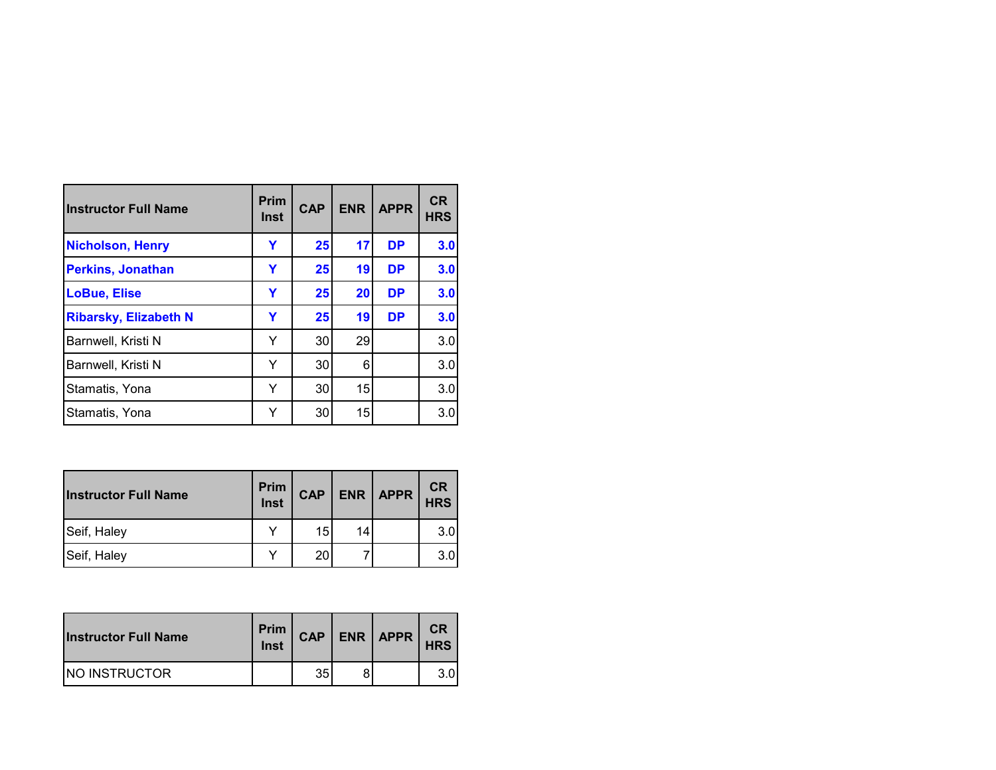| <b>Instructor Full Name</b>  | <b>Prim</b><br><b>Inst</b> | <b>CAP</b> | <b>ENR</b> | <b>APPR</b> | <b>CR</b><br><b>HRS</b> |
|------------------------------|----------------------------|------------|------------|-------------|-------------------------|
| <b>Nicholson, Henry</b>      | Y                          | 25         | 17         | <b>DP</b>   | 3.0                     |
| <b>Perkins, Jonathan</b>     | Υ                          | 25         | 19         | <b>DP</b>   | 3.0                     |
| <b>LoBue, Elise</b>          | Y                          | 25         | 20         | <b>DP</b>   | 3.0                     |
| <b>Ribarsky, Elizabeth N</b> | Y                          | 25         | 19         | <b>DP</b>   | 3.0                     |
| Barnwell, Kristi N           | Y                          | 30         | 29         |             | 3.0                     |
| Barnwell, Kristi N           | Y                          | 30         | 6          |             | 3.0                     |
| Stamatis, Yona               | Y                          | 30         | 15         |             | 3.0                     |
| Stamatis, Yona               | Y                          | 30         | 15         |             | 3.0                     |

| <b>Instructor Full Name</b> | Prim<br>Inst | <b>CAP</b>      |    | $ENR$ $APPR$ | <b>CR</b><br><b>HRS</b> |
|-----------------------------|--------------|-----------------|----|--------------|-------------------------|
| Seif, Haley                 |              | 15              | 14 |              | 3.0                     |
| Seif, Haley                 |              | 20 <sub>1</sub> |    |              | 3.0                     |

| <b>Instructor Full Name</b> | Prim<br><b>Inst</b> | <b>CAP</b> | $ENR$ $APPR$ | CR<br><b>HRS</b> |
|-----------------------------|---------------------|------------|--------------|------------------|
| <b>INO INSTRUCTOR</b>       |                     | 35         |              | 3.0              |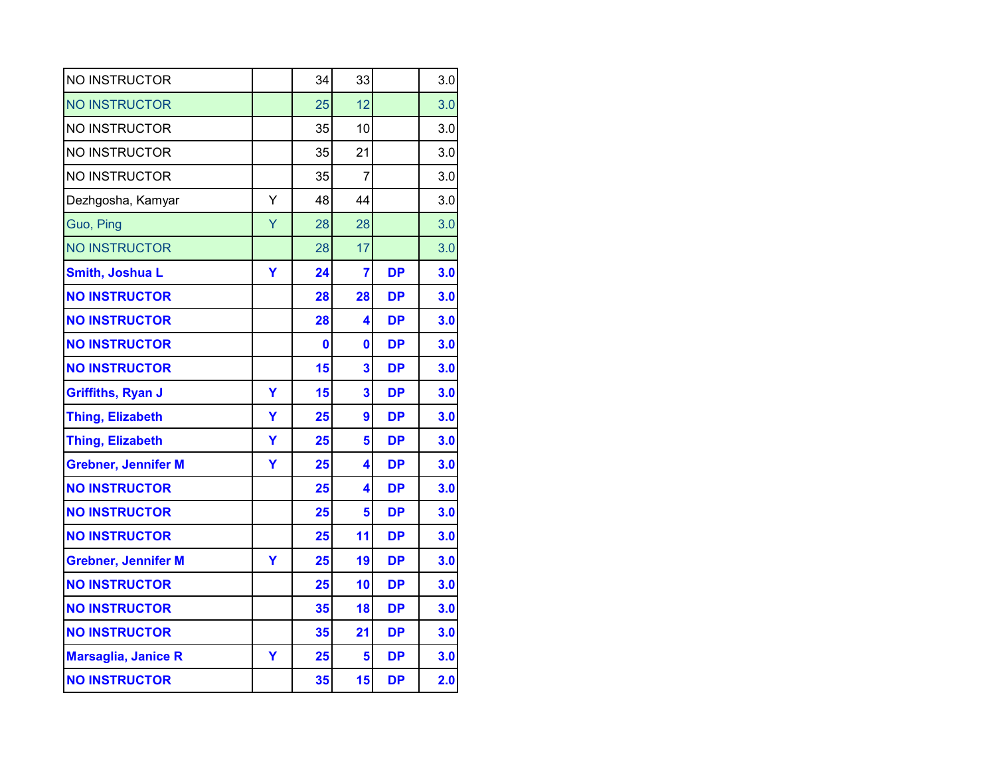| NO INSTRUCTOR              |   | 34 | 33             |           | 3.0 |
|----------------------------|---|----|----------------|-----------|-----|
| <b>NO INSTRUCTOR</b>       |   | 25 | 12             |           | 3.0 |
| <b>NO INSTRUCTOR</b>       |   | 35 | 10             |           | 3.0 |
| <b>NO INSTRUCTOR</b>       |   | 35 | 21             |           | 3.0 |
| <b>NO INSTRUCTOR</b>       |   | 35 | $\overline{7}$ |           | 3.0 |
| Dezhgosha, Kamyar          | Y | 48 | 44             |           | 3.0 |
| Guo, Ping                  | Ÿ | 28 | 28             |           | 3.0 |
| <b>NO INSTRUCTOR</b>       |   | 28 | 17             |           | 3.0 |
| Smith, Joshua L            | Y | 24 | $\overline{7}$ | <b>DP</b> | 3.0 |
| <b>NO INSTRUCTOR</b>       |   | 28 | 28             | <b>DP</b> | 3.0 |
| <b>NO INSTRUCTOR</b>       |   | 28 | 4              | <b>DP</b> | 3.0 |
| <b>NO INSTRUCTOR</b>       |   | 0  | 0              | <b>DP</b> | 3.0 |
| <b>NO INSTRUCTOR</b>       |   | 15 | 3              | <b>DP</b> | 3.0 |
| <b>Griffiths, Ryan J</b>   | Ÿ | 15 | 3              | DP        | 3.0 |
|                            |   |    |                |           |     |
| <b>Thing, Elizabeth</b>    | Y | 25 | 9              | <b>DP</b> | 3.0 |
| <b>Thing, Elizabeth</b>    | Ÿ | 25 | 5              | <b>DP</b> | 3.0 |
| <b>Grebner, Jennifer M</b> | Ÿ | 25 | 4              | <b>DP</b> | 3.0 |
| <b>NO INSTRUCTOR</b>       |   | 25 | 4              | <b>DP</b> | 3.0 |
| <b>NO INSTRUCTOR</b>       |   | 25 | 5              | <b>DP</b> | 3.0 |
| <b>NO INSTRUCTOR</b>       |   | 25 | 11             | <b>DP</b> | 3.0 |
| <b>Grebner, Jennifer M</b> | Υ | 25 | 19             | <b>DP</b> | 3.0 |
| <b>NO INSTRUCTOR</b>       |   | 25 | 10             | <b>DP</b> | 3.0 |
| <b>NO INSTRUCTOR</b>       |   | 35 | 18             | <b>DP</b> | 3.0 |
| <b>NO INSTRUCTOR</b>       |   | 35 | 21             | <b>DP</b> | 3.0 |
| <b>Marsaglia, Janice R</b> | Y | 25 | 5              | <b>DP</b> | 3.0 |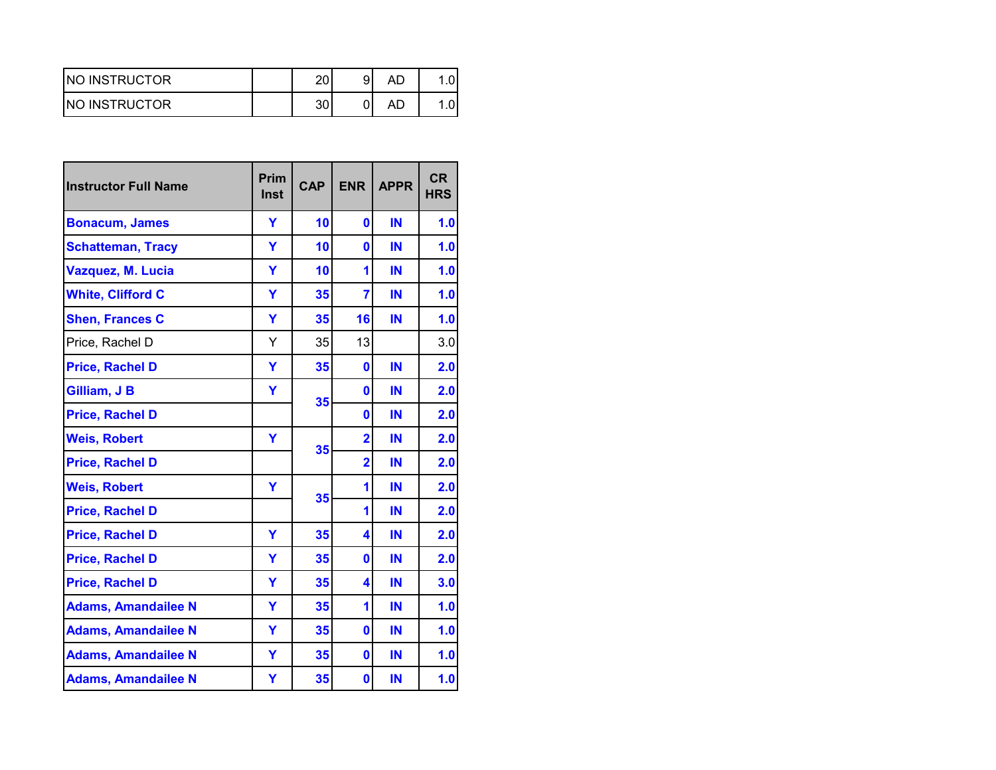| <b>INO INSTRUCTOR</b> | ົ  | ΑL |  |
|-----------------------|----|----|--|
| <b>INO INSTRUCTOR</b> | າດ | AD |  |

| <b>Instructor Full Name</b> | Prim<br>Inst | <b>CAP</b> | <b>ENR</b>     | <b>APPR</b> | <b>CR</b><br><b>HRS</b> |
|-----------------------------|--------------|------------|----------------|-------------|-------------------------|
| <b>Bonacum, James</b>       | Y            | 10         | $\mathbf{0}$   | IN          | 1.0                     |
| <b>Schatteman, Tracy</b>    | Ÿ            | 10         | $\bf{0}$       | IN          | 1.0                     |
| Vazquez, M. Lucia           | Ý            | 10         | 1              | IN          | 1.0                     |
| <b>White, Clifford C</b>    | Ÿ            | 35         | $\overline{7}$ | IN          | 1.0                     |
| <b>Shen, Frances C</b>      | Y            | 35         | 16             | IN          | 1.0                     |
| Price, Rachel D             | Y            | 35         | 13             |             | 3.0                     |
| <b>Price, Rachel D</b>      | Ÿ            | 35         | $\bf{0}$       | IN          | 2.0                     |
| Gilliam, J B                | Ÿ            |            | $\bf{0}$       | IN          | 2.0                     |
| <b>Price, Rachel D</b>      |              | 35         | $\bf{0}$       | IN          | 2.0                     |
| <b>Weis, Robert</b>         | Ÿ            |            | $\overline{2}$ | IN          | 2.0                     |
| <b>Price, Rachel D</b>      |              | 35         | $\overline{2}$ | IN          | 2.0                     |
| <b>Weis, Robert</b>         | Y            |            | 1              | IN          | 2.0                     |
| <b>Price, Rachel D</b>      |              | 35         | 1              | IN          | 2.0                     |
| <b>Price, Rachel D</b>      | Ÿ            | 35         | 4              | IN          | 2.0                     |
| <b>Price, Rachel D</b>      | Y            | 35         | $\bf{0}$       | IN          | 2.0                     |
| <b>Price, Rachel D</b>      | Ÿ            | 35         | 4              | IN          | 3.0                     |
| <b>Adams, Amandailee N</b>  | Y            | 35         | 1              | IN          | 1.0                     |
| <b>Adams, Amandailee N</b>  | Ÿ            | 35         | $\bf{0}$       | IN          | 1.0                     |
| <b>Adams, Amandailee N</b>  | Ÿ            | 35         | $\bf{0}$       | IN          | 1.0                     |
| <b>Adams, Amandailee N</b>  | Υ            | 35         | 0              | IN          | 1.0                     |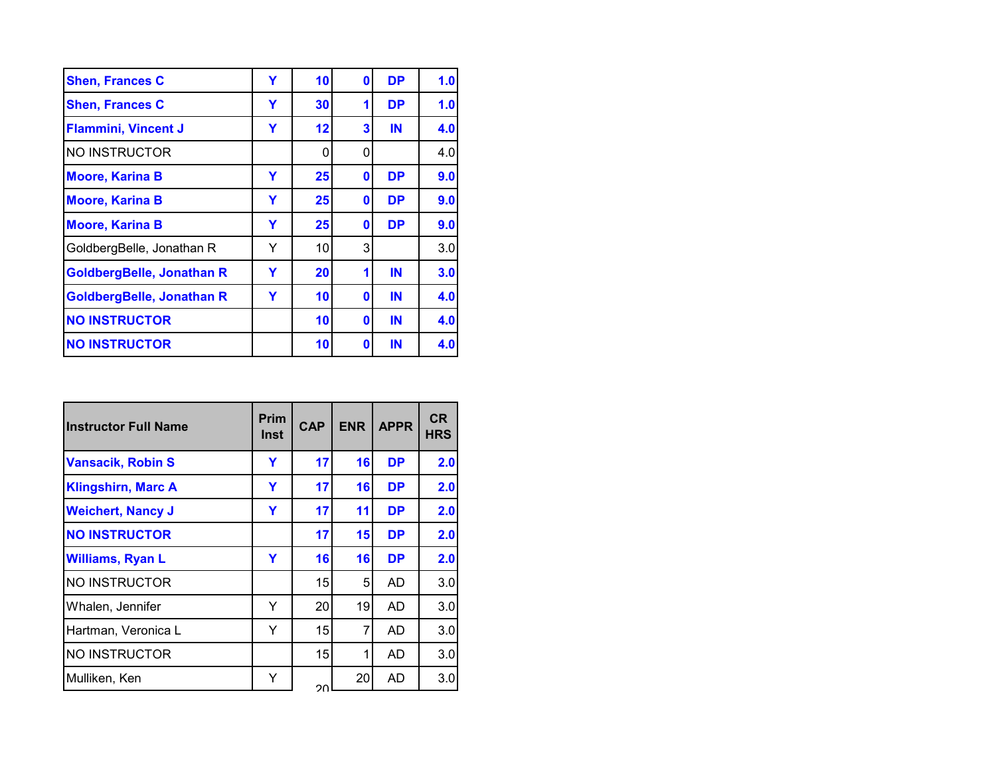| <b>Shen, Frances C</b>           | Y | 10 | 0        | <b>DP</b> | 1.0 |
|----------------------------------|---|----|----------|-----------|-----|
| <b>Shen, Frances C</b>           | Y | 30 |          | <b>DP</b> | 1.0 |
| <b>Flammini, Vincent J</b>       | Y | 12 | 3        | IN        | 4.0 |
| <b>NO INSTRUCTOR</b>             |   | 0  | 0        |           | 4.0 |
| <b>Moore, Karina B</b>           | Y | 25 | 0        | <b>DP</b> | 9.0 |
| <b>Moore, Karina B</b>           | Y | 25 | 0        | <b>DP</b> | 9.0 |
| <b>Moore, Karina B</b>           | Y | 25 | 0        | <b>DP</b> | 9.0 |
| GoldbergBelle, Jonathan R        | Y | 10 | 3        |           | 3.0 |
| <b>GoldbergBelle, Jonathan R</b> | Y | 20 | 1        | IN        | 3.0 |
| <b>GoldbergBelle, Jonathan R</b> | Y | 10 | 0        | IN        | 4.0 |
| <b>NO INSTRUCTOR</b>             |   | 10 | $\bf{0}$ | IN        | 4.0 |
| <b>NO INSTRUCTOR</b>             |   | 10 | 0        | IN        | 4.0 |

| <b>Instructor Full Name</b> | Prim<br>Inst | <b>CAP</b> | <b>ENR</b>      | <b>APPR</b> | <b>CR</b><br><b>HRS</b> |
|-----------------------------|--------------|------------|-----------------|-------------|-------------------------|
| <b>Vansacik, Robin S</b>    | Y            | 17         | 16              | <b>DP</b>   | 2.0                     |
| <b>Klingshirn, Marc A</b>   | Y            | 17         | 16              | <b>DP</b>   | 2.0                     |
| <b>Weichert, Nancy J</b>    | Y            | 17         | 11              | <b>DP</b>   | 2.0                     |
| <b>NO INSTRUCTOR</b>        |              | 17         | 15 <sup>1</sup> | <b>DP</b>   | 2.0                     |
| <b>Williams, Ryan L</b>     | Y            | 16         | 16              | <b>DP</b>   | 2.0                     |
| NO INSTRUCTOR               |              | 15         | 5               | AD          | 3.0                     |
| Whalen, Jennifer            | Y            | 20         | 19              | AD          | 3.0                     |
| Hartman, Veronica L         | Y            | 15         | 7               | AD          | 3.0                     |
| NO INSTRUCTOR               |              | 15         | 1               | AD          | 3.0                     |
| Mulliken, Ken               | Y            | ററ         | 20              | AD          | 3.0                     |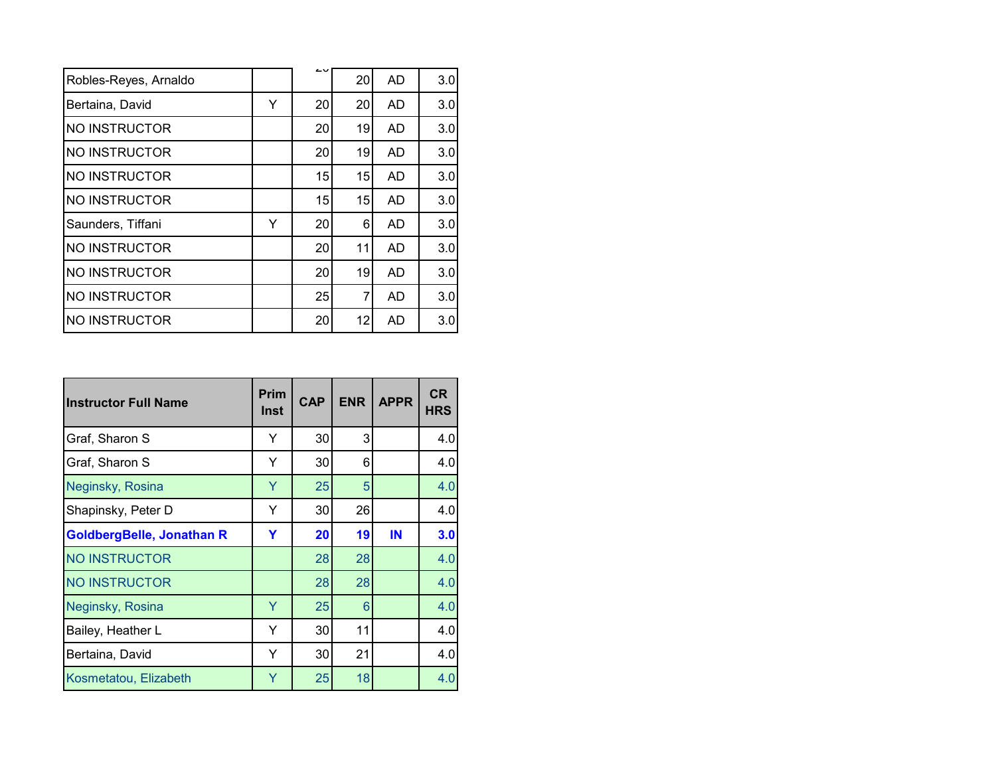|                       |   | ∠⊾ |    |    |     |
|-----------------------|---|----|----|----|-----|
| Robles-Reyes, Arnaldo |   |    | 20 | AD | 3.0 |
| Bertaina, David       | Y | 20 | 20 | AD | 3.0 |
| <b>NO INSTRUCTOR</b>  |   | 20 | 19 | AD | 3.0 |
| <b>NO INSTRUCTOR</b>  |   | 20 | 19 | AD | 3.0 |
| NO INSTRUCTOR         |   | 15 | 15 | AD | 3.0 |
| NO INSTRUCTOR         |   | 15 | 15 | AD | 3.0 |
| Saunders, Tiffani     | Y | 20 | 6  | AD | 3.0 |
| <b>NO INSTRUCTOR</b>  |   | 20 | 11 | AD | 3.0 |
| NO INSTRUCTOR         |   | 20 | 19 | AD | 3.0 |
| <b>NO INSTRUCTOR</b>  |   | 25 | 7  | AD | 3.0 |
| NO INSTRUCTOR         |   | 20 | 12 | AD | 3.0 |
|                       |   |    |    |    |     |

| <b>Instructor Full Name</b> | Prim<br>Inst | <b>CAP</b> | <b>ENR</b> | <b>APPR</b> | <b>CR</b><br><b>HRS</b> |
|-----------------------------|--------------|------------|------------|-------------|-------------------------|
| Graf, Sharon S              | Y            | 30         | 3          |             | 4.0                     |
| Graf, Sharon S              | Y            | 30         | 6          |             | 4.0                     |
| Neginsky, Rosina            | Y            | 25         | 5          |             | 4.0                     |
| Shapinsky, Peter D          | Y            | 30         | 26         |             | 4.0                     |
| GoldbergBelle, Jonathan R   | Y            | 20         | 19         | IN          | 3.0                     |
| NO INSTRUCTOR               |              | 28         | 28         |             | 4.0                     |
| <b>NO INSTRUCTOR</b>        |              | 28         | 28         |             | 4.0                     |
| Neginsky, Rosina            | Y            | 25         | 6          |             | 4.0                     |
| Bailey, Heather L           | Y            | 30         | 11         |             | 4.0                     |
| Bertaina, David             | Y            | 30         | 21         |             | 4.0                     |
| Kosmetatou, Elizabeth       | Y            | 25         | 18         |             | 4.0                     |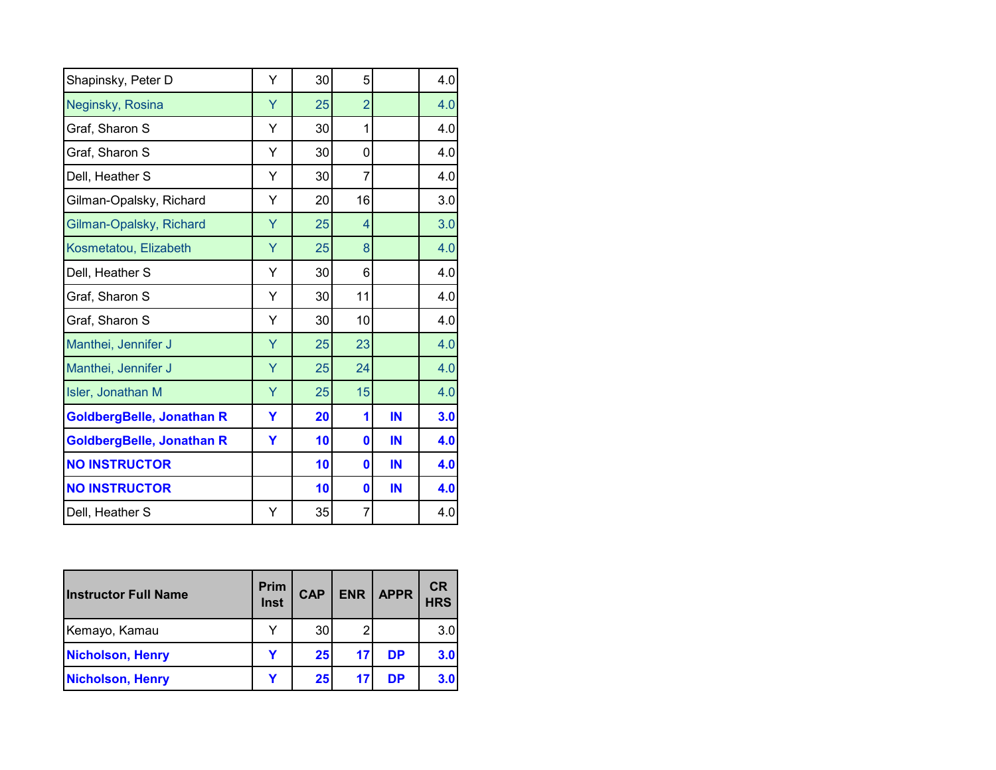| Shapinsky, Peter D               | Y | 30 | 5              |    | 4.0 |
|----------------------------------|---|----|----------------|----|-----|
| Neginsky, Rosina                 | Ÿ | 25 | $\overline{2}$ |    | 4.0 |
| Graf, Sharon S                   | Ý | 30 | 1              |    | 4.0 |
| Graf, Sharon S                   | Υ | 30 | 0              |    | 4.0 |
| Dell, Heather S                  | Υ | 30 | 7              |    | 4.0 |
| Gilman-Opalsky, Richard          | Υ | 20 | 16             |    | 3.0 |
| Gilman-Opalsky, Richard          | Y | 25 | 4              |    | 3.0 |
| Kosmetatou, Elizabeth            | Y | 25 | 8              |    | 4.0 |
| Dell, Heather S                  | Y | 30 | 6              |    | 4.0 |
| Graf, Sharon S                   | Υ | 30 | 11             |    | 4.0 |
| Graf, Sharon S                   | Υ | 30 | 10             |    | 4.0 |
| Manthei, Jennifer J              | Y | 25 | 23             |    | 4.0 |
| Manthei, Jennifer J              | Υ | 25 | 24             |    | 4.0 |
| Isler, Jonathan M                | Ÿ | 25 | 15             |    | 4.0 |
| GoldbergBelle, Jonathan R        | Y | 20 | 1              | IN | 3.0 |
| <b>GoldbergBelle, Jonathan R</b> | Ÿ | 10 | $\bf{0}$       | IN | 4.0 |
| <b>NO INSTRUCTOR</b>             |   | 10 | 0              | IN | 4.0 |
| <b>NO INSTRUCTOR</b>             |   | 10 | 0              | IN | 4.0 |
| Dell, Heather S                  | Y | 35 | 7              |    | 4.0 |

| <b>Instructor Full Name</b> | Prim<br>Inst | <b>CAP</b>      | <b>ENR</b> | <b>APPR</b> | <b>CR</b><br><b>HRS</b> |
|-----------------------------|--------------|-----------------|------------|-------------|-------------------------|
| Kemayo, Kamau               |              | 30              |            |             | 3.0                     |
| <b>Nicholson, Henry</b>     |              | 25 <sub>l</sub> | 17         | <b>DP</b>   | 3.0                     |
| <b>Nicholson, Henry</b>     |              | 25              |            | DP          | 3.0                     |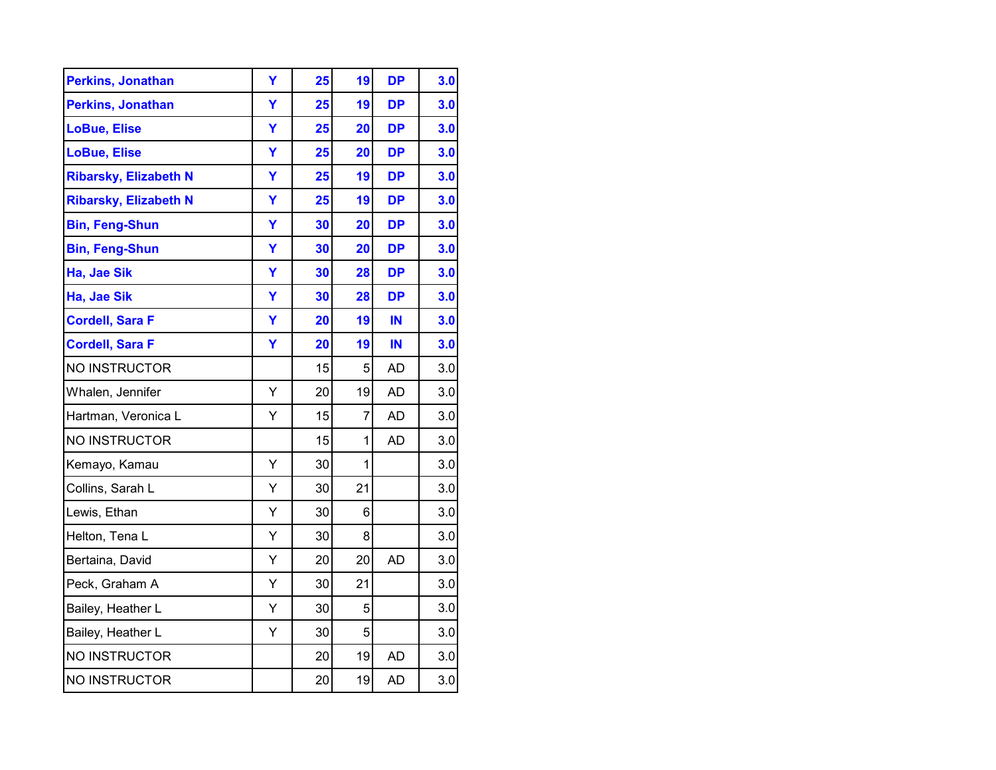| <b>Perkins, Jonathan</b>     | Y | 25 | 19             | <b>DP</b> | 3.0 |
|------------------------------|---|----|----------------|-----------|-----|
| <b>Perkins, Jonathan</b>     | Ÿ | 25 | 19             | <b>DP</b> | 3.0 |
| <b>LoBue, Elise</b>          | Y | 25 | 20             | <b>DP</b> | 3.0 |
| <b>LoBue, Elise</b>          | Ÿ | 25 | 20             | <b>DP</b> | 3.0 |
| <b>Ribarsky, Elizabeth N</b> | Y | 25 | 19             | DP        | 3.0 |
| <b>Ribarsky, Elizabeth N</b> | Y | 25 | 19             | <b>DP</b> | 3.0 |
| <b>Bin, Feng-Shun</b>        | Ÿ | 30 | 20             | <b>DP</b> | 3.0 |
| <b>Bin, Feng-Shun</b>        | Ÿ | 30 | 20             | <b>DP</b> | 3.0 |
| Ha, Jae Sik                  | Ÿ | 30 | 28             | <b>DP</b> | 3.0 |
| Ha, Jae Sik                  | Ÿ | 30 | 28             | <b>DP</b> | 3.0 |
| <b>Cordell, Sara F</b>       | Ÿ | 20 | 19             | IN        | 3.0 |
| <b>Cordell, Sara F</b>       | Ÿ | 20 | 19             | IN        | 3.0 |
| NO INSTRUCTOR                |   | 15 | 5              | <b>AD</b> | 3.0 |
| Whalen, Jennifer             | Ý | 20 | 19             | <b>AD</b> | 3.0 |
| Hartman, Veronica L          | Y | 15 | $\overline{7}$ | <b>AD</b> | 3.0 |
| NO INSTRUCTOR                |   | 15 | 1              | <b>AD</b> | 3.0 |
| Kemayo, Kamau                | Υ | 30 | 1              |           | 3.0 |
| Collins, Sarah L             | Υ | 30 | 21             |           | 3.0 |
| Lewis, Ethan                 | Υ | 30 | 6              |           | 3.0 |
| Helton, Tena L               | Υ | 30 | 8              |           | 3.0 |
| Bertaina, David              | Υ | 20 | 20             | <b>AD</b> | 3.0 |
| Peck, Graham A               | Y | 30 | 21             |           | 3.0 |
| Bailey, Heather L            | Y | 30 | 5              |           | 3.0 |
| Bailey, Heather L            | Y | 30 | 5              |           | 3.0 |
| NO INSTRUCTOR                |   | 20 | 19             | <b>AD</b> | 3.0 |
| NO INSTRUCTOR                |   | 20 | 19             | <b>AD</b> | 3.0 |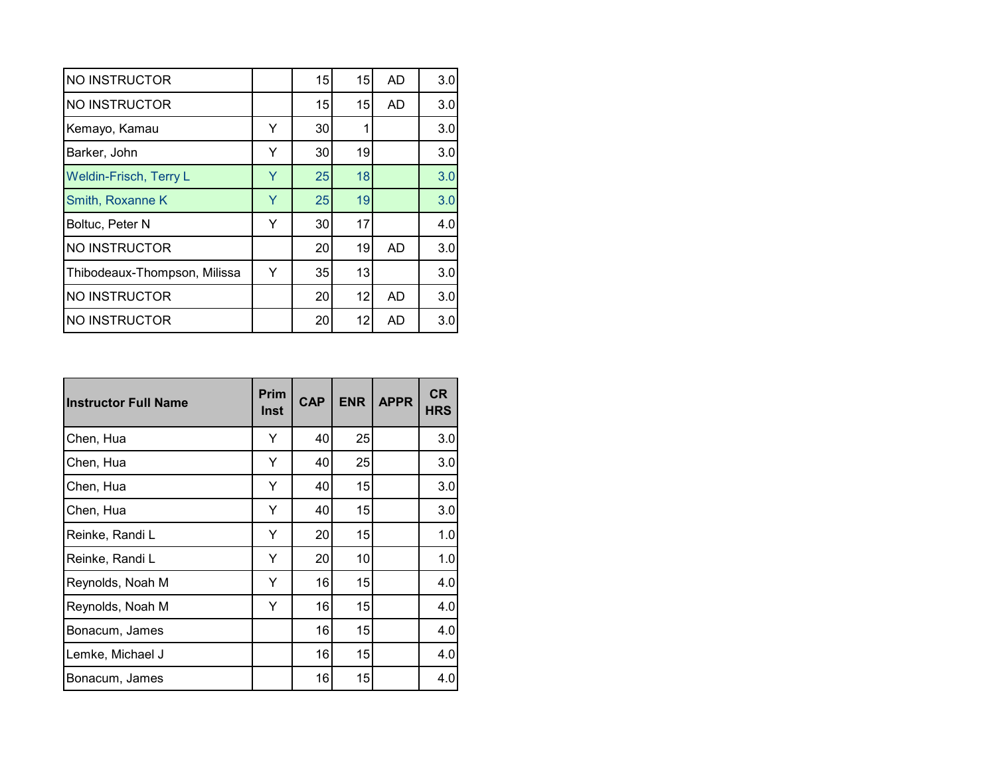| NO INSTRUCTOR                |   | 15 | 15 | <b>AD</b> | 3.0 |
|------------------------------|---|----|----|-----------|-----|
| NO INSTRUCTOR                |   | 15 | 15 | <b>AD</b> | 3.0 |
| Kemayo, Kamau                | Y | 30 |    |           | 3.0 |
| Barker, John                 | Y | 30 | 19 |           | 3.0 |
| Weldin-Frisch, Terry L       | Y | 25 | 18 |           | 3.0 |
| Smith, Roxanne K             | Y | 25 | 19 |           | 3.0 |
| Boltuc, Peter N              | Y | 30 | 17 |           | 4.0 |
| <b>NO INSTRUCTOR</b>         |   | 20 | 19 | AD        | 3.0 |
| Thibodeaux-Thompson, Milissa | Y | 35 | 13 |           | 3.0 |
| NO INSTRUCTOR                |   | 20 | 12 | <b>AD</b> | 3.0 |
| <b>NO INSTRUCTOR</b>         |   | 20 | 12 | AD        | 3.0 |

| <b>Instructor Full Name</b> | Prim<br>Inst | <b>CAP</b> | <b>ENR</b> | <b>APPR</b> | <b>CR</b><br><b>HRS</b> |
|-----------------------------|--------------|------------|------------|-------------|-------------------------|
| Chen, Hua                   | Y            | 40         | 25         |             | 3.0                     |
| Chen, Hua                   | Y            | 40         | 25         |             | 3.0                     |
| Chen, Hua                   | Y            | 40         | 15         |             | 3.0                     |
| Chen, Hua                   | Y            | 40         | 15         |             | 3.0                     |
| Reinke, Randi L             | Y            | 20         | 15         |             | 1.0                     |
| Reinke, Randi L             | Y            | 20         | 10         |             | 1.0                     |
| Reynolds, Noah M            | Y            | 16         | 15         |             | 4.0                     |
| Reynolds, Noah M            | Y            | 16         | 15         |             | 4.0                     |
| Bonacum, James              |              | 16         | 15         |             | 4.0                     |
| Lemke, Michael J            |              | 16         | 15         |             | 4.0                     |
| Bonacum, James              |              | 16         | 15         |             | 4.0                     |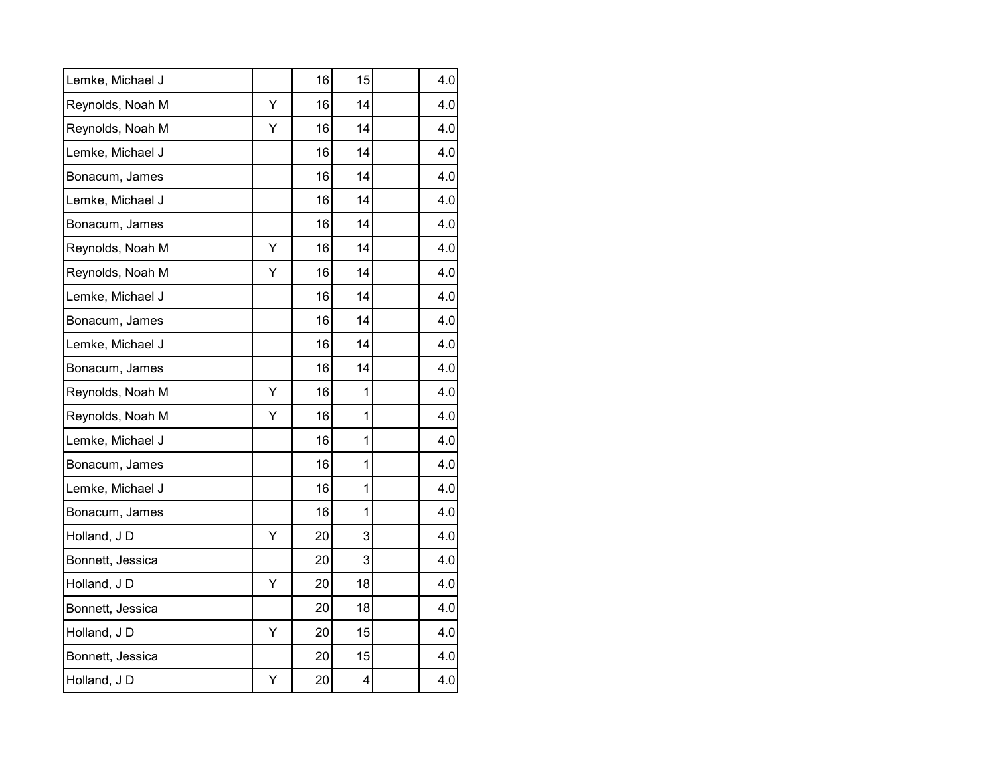| Lemke, Michael J |   | 16 | 15           | 4.0 |
|------------------|---|----|--------------|-----|
| Reynolds, Noah M | Υ | 16 | 14           | 4.0 |
| Reynolds, Noah M | Υ | 16 | 14           | 4.0 |
| Lemke, Michael J |   | 16 | 14           | 4.0 |
| Bonacum, James   |   | 16 | 14           | 4.0 |
| Lemke, Michael J |   | 16 | 14           | 4.0 |
| Bonacum, James   |   | 16 | 14           | 4.0 |
| Reynolds, Noah M | Υ | 16 | 14           | 4.0 |
| Reynolds, Noah M | Υ | 16 | 14           | 4.0 |
| Lemke, Michael J |   | 16 | 14           | 4.0 |
| Bonacum, James   |   | 16 | 14           | 4.0 |
| Lemke, Michael J |   | 16 | 14           | 4.0 |
| Bonacum, James   |   | 16 | 14           | 4.0 |
| Reynolds, Noah M | Υ | 16 | $\mathbf{1}$ | 4.0 |
| Reynolds, Noah M | Y | 16 | $\mathbf{1}$ | 4.0 |
| Lemke, Michael J |   | 16 | 1            | 4.0 |
| Bonacum, James   |   | 16 | 1            | 4.0 |
| Lemke, Michael J |   | 16 | 1            | 4.0 |
| Bonacum, James   |   | 16 | 1            | 4.0 |
| Holland, JD      | Y | 20 | 3            | 4.0 |
| Bonnett, Jessica |   | 20 | 3            | 4.0 |
| Holland, JD      | Υ | 20 | 18           | 4.0 |
| Bonnett, Jessica |   | 20 | 18           | 4.0 |
| Holland, JD      | Υ | 20 | 15           | 4.0 |
| Bonnett, Jessica |   | 20 | 15           | 4.0 |
| Holland, JD      | Υ | 20 | 4            | 4.0 |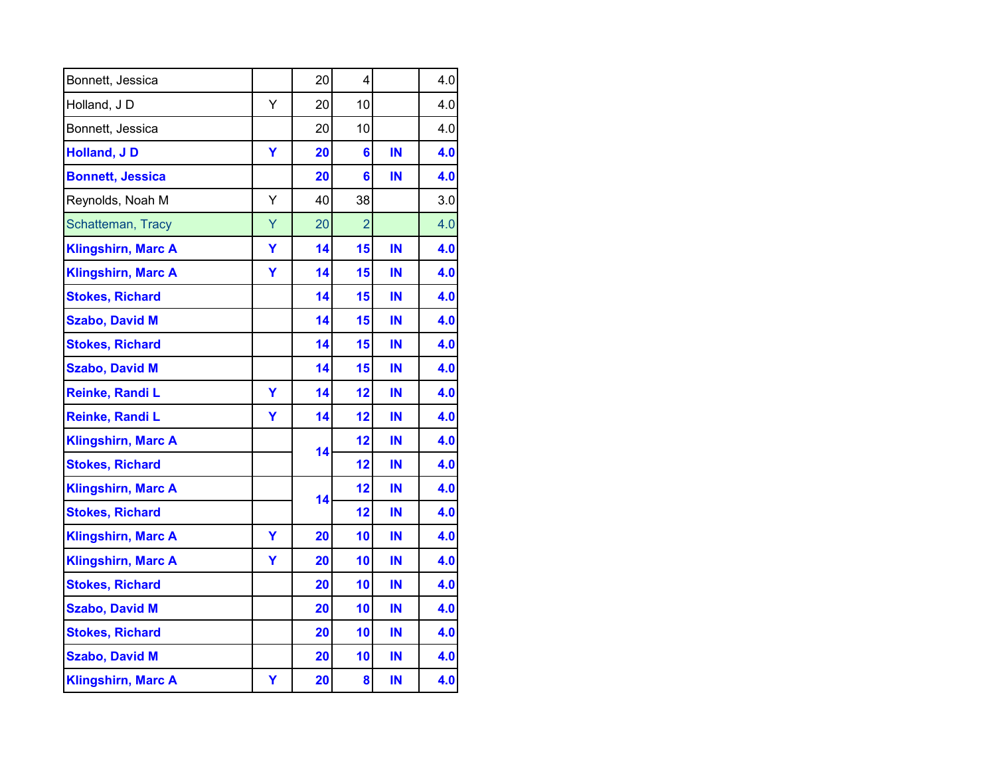| Bonnett, Jessica          |   | 20 | 4              |    | 4.0 |
|---------------------------|---|----|----------------|----|-----|
| Holland, JD               | Y | 20 | 10             |    | 4.0 |
| Bonnett, Jessica          |   | 20 | 10             |    | 4.0 |
| <b>Holland, JD</b>        | Υ | 20 | 6              | IN | 4.0 |
| <b>Bonnett, Jessica</b>   |   | 20 | 6              | IN | 4.0 |
| Reynolds, Noah M          | Υ | 40 | 38             |    | 3.0 |
| Schatteman, Tracy         | Ÿ | 20 | $\overline{2}$ |    | 4.0 |
| <b>Klingshirn, Marc A</b> | Ÿ | 14 | 15             | IN | 4.0 |
| <b>Klingshirn, Marc A</b> | Ÿ | 14 | 15             | IN | 4.0 |
| <b>Stokes, Richard</b>    |   | 14 | 15             | IN | 4.0 |
| <b>Szabo, David M</b>     |   | 14 | 15             | IN | 4.0 |
| <b>Stokes, Richard</b>    |   | 14 | 15             | IN | 4.0 |
| <b>Szabo, David M</b>     |   | 14 | 15             | IN | 4.0 |
| Reinke, Randi L           | Ÿ | 14 | 12             | IN | 4.0 |
| Reinke, Randi L           | Y | 14 | 12             | IN | 4.0 |
| <b>Klingshirn, Marc A</b> |   | 14 | 12             | IN | 4.0 |
| <b>Stokes, Richard</b>    |   |    | 12             | IN | 4.0 |
| <b>Klingshirn, Marc A</b> |   | 14 | 12             | IN | 4.0 |
| <b>Stokes, Richard</b>    |   |    | 12             | IN | 4.0 |
| <b>Klingshirn, Marc A</b> | Ÿ | 20 | 10             | IN | 4.0 |
| <b>Klingshirn, Marc A</b> | Y | 20 | 10             | IN | 4.0 |
| <b>Stokes, Richard</b>    |   | 20 | 10             | IN | 4.0 |
| <b>Szabo, David M</b>     |   | 20 | 10             | IN | 4.0 |
| <b>Stokes, Richard</b>    |   | 20 | 10             | IN | 4.0 |
| <b>Szabo, David M</b>     |   | 20 | 10             | IN | 4.0 |
| <b>Klingshirn, Marc A</b> | Υ | 20 | 8              | IN | 4.0 |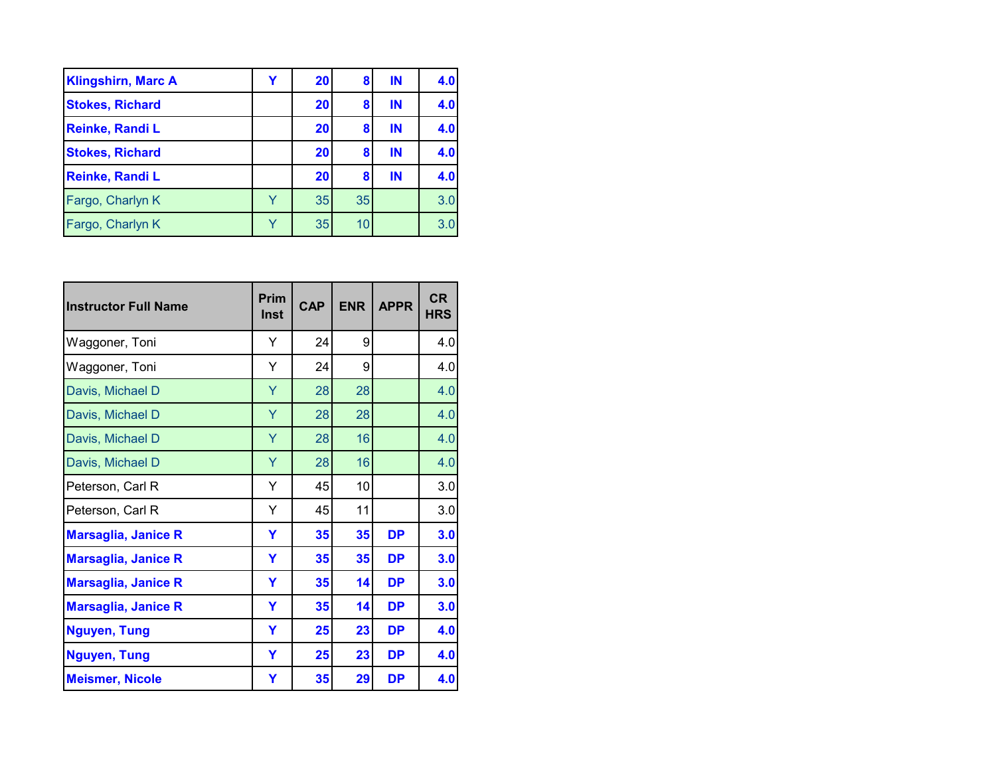| <b>Klingshirn, Marc A</b> | 20 | 8  | IN | 4.0 |
|---------------------------|----|----|----|-----|
| <b>Stokes, Richard</b>    | 20 | 8  | IN | 4.0 |
| Reinke, Randi L           | 20 | 8  | IN | 4.0 |
| <b>Stokes, Richard</b>    | 20 | 8  | IN | 4.0 |
| Reinke, Randi L           | 20 | 8  | IN | 4.0 |
| Fargo, Charlyn K          | 35 | 35 |    | 3.0 |
| Fargo, Charlyn K          | 35 | 10 |    | 3.0 |

| <b>Instructor Full Name</b> | Prim<br><b>Inst</b> | <b>CAP</b> | <b>ENR</b> | <b>APPR</b> | <b>CR</b><br><b>HRS</b> |
|-----------------------------|---------------------|------------|------------|-------------|-------------------------|
| Waggoner, Toni              | Y                   | 24         | 9          |             | 4.0                     |
| Waggoner, Toni              | Y                   | 24         | 9          |             | 4.0                     |
| Davis, Michael D            | Y                   | 28         | 28         |             | 4.0                     |
| Davis, Michael D            | Y                   | 28         | 28         |             | 4.0                     |
| Davis, Michael D            | Y                   | 28         | 16         |             | 4.0                     |
| Davis, Michael D            | Ÿ                   | 28         | 16         |             | 4.0                     |
| Peterson, Carl R            | Υ                   | 45         | 10         |             | 3.0                     |
| Peterson, Carl R            | Υ                   | 45         | 11         |             | 3.0                     |
| <b>Marsaglia, Janice R</b>  | Y                   | 35         | 35         | <b>DP</b>   | 3.0                     |
| <b>Marsaglia, Janice R</b>  | Y                   | 35         | 35         | <b>DP</b>   | 3.0                     |
| <b>Marsaglia, Janice R</b>  | Y                   | 35         | 14         | <b>DP</b>   | 3.0                     |
| <b>Marsaglia, Janice R</b>  | Y                   | 35         | 14         | <b>DP</b>   | 3.0                     |
| <b>Nguyen, Tung</b>         | Y                   | 25         | 23         | <b>DP</b>   | 4.0                     |
| <b>Nguyen, Tung</b>         | Y                   | 25         | 23         | <b>DP</b>   | 4.0                     |
| <b>Meismer, Nicole</b>      | Υ                   | 35         | 29         | <b>DP</b>   | 4.0                     |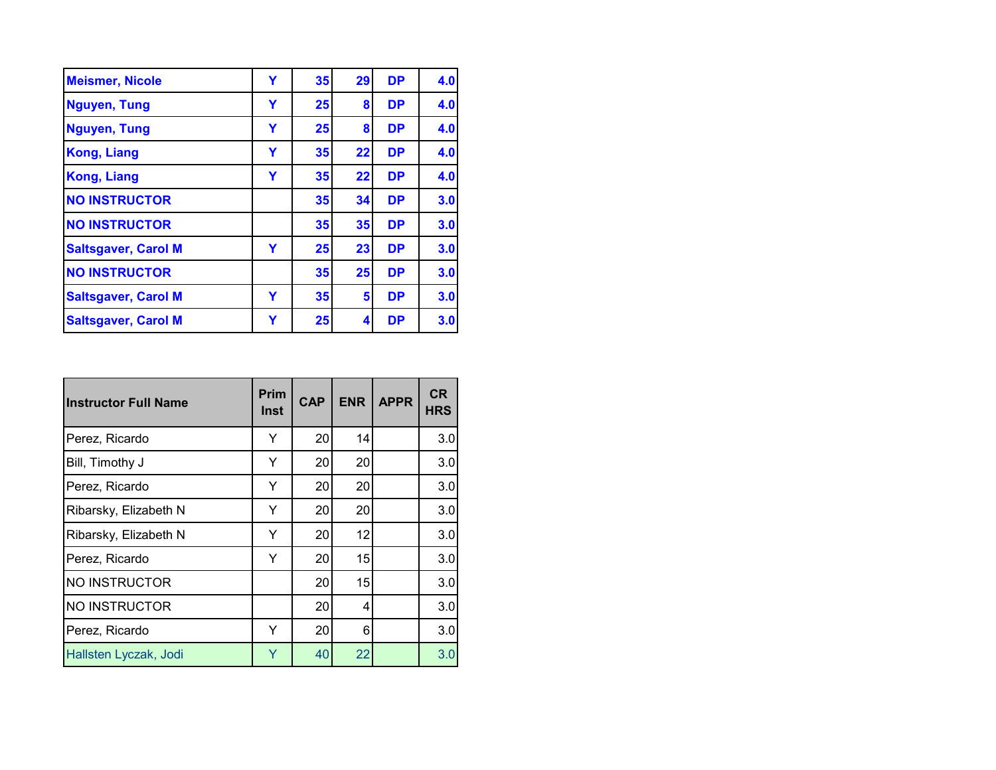| <b>Meismer, Nicole</b>     | Υ | 35 | 29 | <b>DP</b> | 4.0 |
|----------------------------|---|----|----|-----------|-----|
| <b>Nguyen, Tung</b>        | Y | 25 | 8  | <b>DP</b> | 4.0 |
| <b>Nguyen, Tung</b>        | Y | 25 | 8  | <b>DP</b> | 4.0 |
| <b>Kong, Liang</b>         | Υ | 35 | 22 | <b>DP</b> | 4.0 |
| <b>Kong, Liang</b>         | Y | 35 | 22 | <b>DP</b> | 4.0 |
| <b>NO INSTRUCTOR</b>       |   | 35 | 34 | <b>DP</b> | 3.0 |
| <b>NO INSTRUCTOR</b>       |   | 35 | 35 | <b>DP</b> | 3.0 |
| <b>Saltsgaver, Carol M</b> | Y | 25 | 23 | <b>DP</b> | 3.0 |
| <b>NO INSTRUCTOR</b>       |   | 35 | 25 | <b>DP</b> | 3.0 |
| <b>Saltsgaver, Carol M</b> | Y | 35 | 5  | <b>DP</b> | 3.0 |
| <b>Saltsgaver, Carol M</b> | Y | 25 | 4  | <b>DP</b> | 3.0 |

| <b>Instructor Full Name</b> | <b>Prim</b><br>Inst | <b>CAP</b> | <b>ENR</b> | <b>APPR</b> | <b>CR</b><br><b>HRS</b> |
|-----------------------------|---------------------|------------|------------|-------------|-------------------------|
| Perez, Ricardo              | Y                   | 20         | 14         |             | 3.0                     |
| Bill, Timothy J             | Y                   | 20         | 20         |             | 3.0                     |
| Perez, Ricardo              | Y                   | 20         | 20         |             | 3.0                     |
| Ribarsky, Elizabeth N       | Y                   | 20         | 20         |             | 3.0                     |
| Ribarsky, Elizabeth N       | Y                   | 20         | 12         |             | 3.0                     |
| Perez, Ricardo              | Y                   | 20         | 15         |             | 3.0                     |
| NO INSTRUCTOR               |                     | 20         | 15         |             | 3.0                     |
| NO INSTRUCTOR               |                     | 20         | 4          |             | 3.0                     |
| Perez, Ricardo              | Y                   | 20         | 6          |             | 3.0                     |
| Hallsten Lyczak, Jodi       | Y                   | 40         | 22         |             | 3.0                     |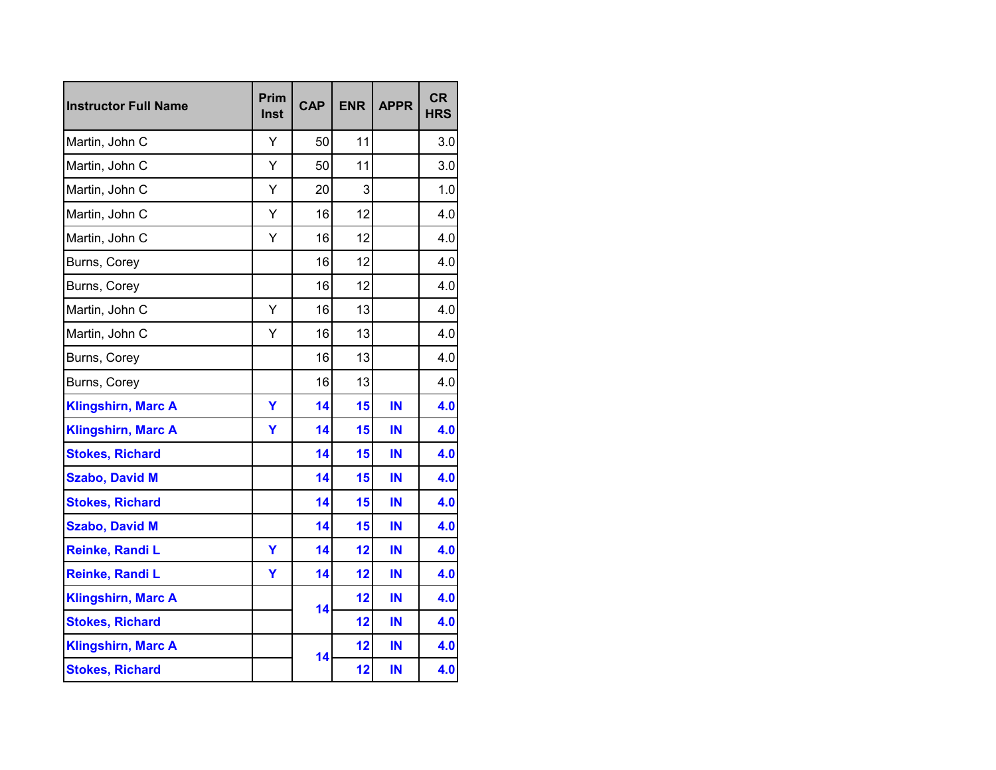| <b>Instructor Full Name</b> | Prim<br>Inst | <b>CAP</b> | <b>ENR</b> | <b>APPR</b> | <b>CR</b><br><b>HRS</b> |
|-----------------------------|--------------|------------|------------|-------------|-------------------------|
| Martin, John C              | Y            | 50         | 11         |             | 3.0                     |
| Martin, John C              | Y            | 50         | 11         |             | 3.0                     |
| Martin, John C              | Y            | 20         | 3          |             | 1.0                     |
| Martin, John C              | Y            | 16         | 12         |             | 4.0                     |
| Martin, John C              | Y            | 16         | 12         |             | 4.0                     |
| Burns, Corey                |              | 16         | 12         |             | 4.0                     |
| Burns, Corey                |              | 16         | 12         |             | 4.0                     |
| Martin, John C              | Y            | 16         | 13         |             | 4.0                     |
| Martin, John C              | Y            | 16         | 13         |             | 4.0                     |
| Burns, Corey                |              | 16         | 13         |             | 4.0                     |
| Burns, Corey                |              | 16         | 13         |             | 4.0                     |
| <b>Klingshirn, Marc A</b>   | Y            | 14         | 15         | IN          | 4.0                     |
| <b>Klingshirn, Marc A</b>   | Y            | 14         | 15         | IN          | 4.0                     |
| <b>Stokes, Richard</b>      |              | 14         | 15         | IN          | 4.0                     |
| <b>Szabo, David M</b>       |              | 14         | 15         | IN          | 4.0                     |
| <b>Stokes, Richard</b>      |              | 14         | 15         | IN          | 4.0                     |
| <b>Szabo, David M</b>       |              | 14         | 15         | IN          | 4.0                     |
| Reinke, Randi L             | Y            | 14         | 12         | IN          | 4.0                     |
| Reinke, Randi L             | Y            | 14         | 12         | IN          | 4.0                     |
| <b>Klingshirn, Marc A</b>   |              | 14         | 12         | IN          | 4.0                     |
| <b>Stokes, Richard</b>      |              |            | 12         | IN          | 4.0                     |
| <b>Klingshirn, Marc A</b>   |              | 14         | 12         | IN          | 4.0                     |
| <b>Stokes, Richard</b>      |              |            | 12         | IN          | 4.0                     |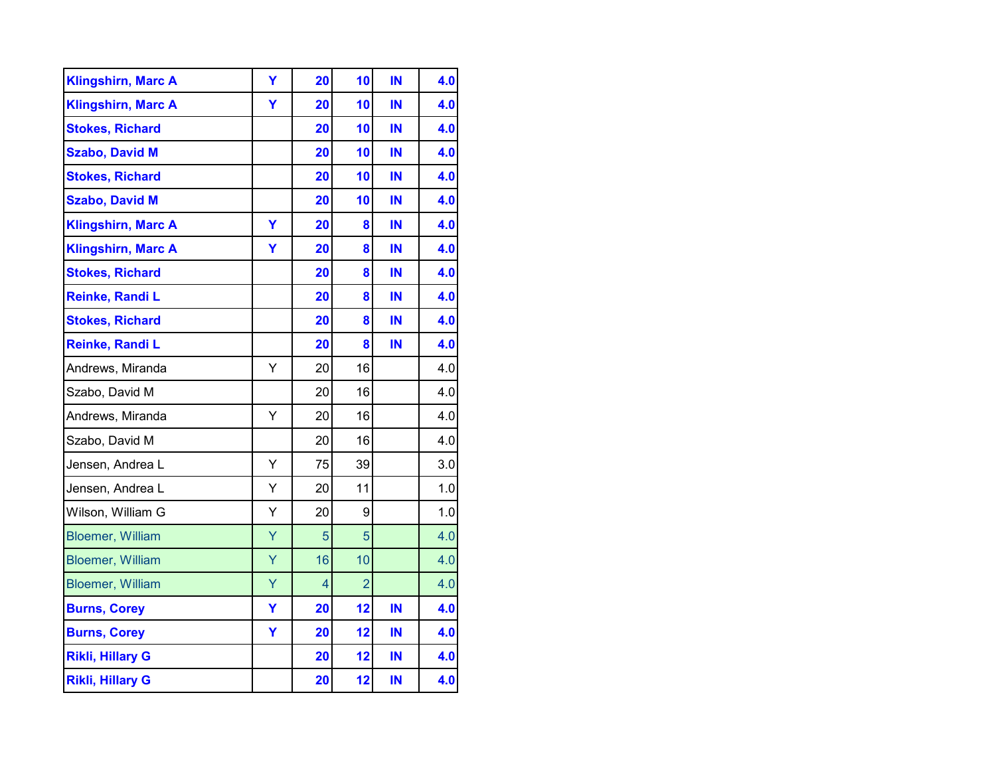| <b>Klingshirn, Marc A</b> | Υ | 20 | 10             | IN | 4.0 |
|---------------------------|---|----|----------------|----|-----|
| <b>Klingshirn, Marc A</b> | Ÿ | 20 | 10             | IN | 4.0 |
| <b>Stokes, Richard</b>    |   | 20 | 10             | IN | 4.0 |
| <b>Szabo, David M</b>     |   | 20 | 10             | IN | 4.0 |
| <b>Stokes, Richard</b>    |   | 20 | 10             | IN | 4.0 |
| <b>Szabo, David M</b>     |   | 20 | 10             | IN | 4.0 |
| <b>Klingshirn, Marc A</b> | Ÿ | 20 | 8              | IN | 4.0 |
| <b>Klingshirn, Marc A</b> | Y | 20 | 8              | IN | 4.0 |
| <b>Stokes, Richard</b>    |   | 20 | 8              | IN | 4.0 |
| Reinke, Randi L           |   | 20 | 8              | IN | 4.0 |
| <b>Stokes, Richard</b>    |   | 20 | 8              | IN | 4.0 |
| Reinke, Randi L           |   | 20 | 8              | IN | 4.0 |
| Andrews, Miranda          | Y | 20 | 16             |    | 4.0 |
| Szabo, David M            |   | 20 | 16             |    | 4.0 |
| Andrews, Miranda          | Υ | 20 | 16             |    | 4.0 |
| Szabo, David M            |   | 20 | 16             |    | 4.0 |
| Jensen, Andrea L          | Y | 75 | 39             |    | 3.0 |
| Jensen, Andrea L          | Υ | 20 | 11             |    | 1.0 |
| Wilson, William G         | Υ | 20 | 9              |    | 1.0 |
| <b>Bloemer, William</b>   | Ÿ | 5  | 5              |    | 4.0 |
| <b>Bloemer, William</b>   | Ÿ | 16 | 10             |    | 4.0 |
| <b>Bloemer, William</b>   | Ÿ | 4  | $\overline{2}$ |    | 4.0 |
| <b>Burns, Corey</b>       | Y | 20 | 12             | IN | 4.0 |
| <b>Burns, Corey</b>       | Ÿ | 20 | 12             | IN | 4.0 |
| <b>Rikli, Hillary G</b>   |   | 20 | 12             | IN | 4.0 |
| <b>Rikli, Hillary G</b>   |   | 20 | 12             | IN | 4.0 |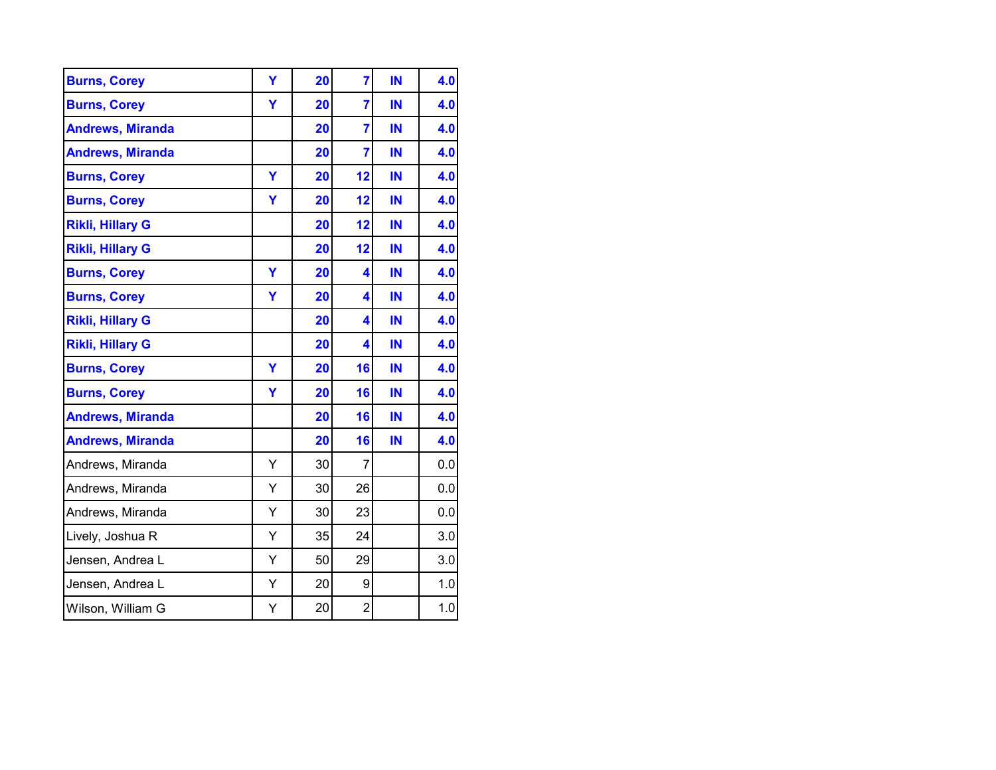| <b>Burns, Corey</b>     | Ÿ | 20 | $\overline{7}$          | IN | 4.0 |
|-------------------------|---|----|-------------------------|----|-----|
| <b>Burns, Corey</b>     | Y | 20 | $\overline{7}$          | IN | 4.0 |
| <b>Andrews, Miranda</b> |   | 20 | $\overline{7}$          | IN | 4.0 |
| <b>Andrews, Miranda</b> |   | 20 | $\overline{7}$          | IN | 4.0 |
| <b>Burns, Corey</b>     | Ÿ | 20 | 12                      | IN | 4.0 |
| <b>Burns, Corey</b>     | Y | 20 | 12                      | IN | 4.0 |
| <b>Rikli, Hillary G</b> |   | 20 | 12                      | IN | 4.0 |
| <b>Rikli, Hillary G</b> |   | 20 | 12                      | IN | 4.0 |
| <b>Burns, Corey</b>     | Ÿ | 20 | 4                       | IN | 4.0 |
| <b>Burns, Corey</b>     | Y | 20 | 4                       | IN | 4.0 |
| <b>Rikli, Hillary G</b> |   | 20 | 4                       | IN | 4.0 |
| <b>Rikli, Hillary G</b> |   | 20 | 4                       | IN | 4.0 |
| <b>Burns, Corey</b>     | Ÿ | 20 | 16                      | IN | 4.0 |
| <b>Burns, Corey</b>     | Y | 20 | 16                      | IN | 4.0 |
| <b>Andrews, Miranda</b> |   | 20 | 16                      | IN | 4.0 |
| <b>Andrews, Miranda</b> |   | 20 | 16                      | IN | 4.0 |
| Andrews, Miranda        | Y | 30 | $\overline{7}$          |    | 0.0 |
| Andrews, Miranda        | Y | 30 | 26                      |    | 0.0 |
| Andrews, Miranda        | Υ | 30 | 23                      |    | 0.0 |
| Lively, Joshua R        | Υ | 35 | 24                      |    | 3.0 |
| Jensen, Andrea L        | Y | 50 | 29                      |    | 3.0 |
| Jensen, Andrea L        | Υ | 20 | 9                       |    | 1.0 |
| Wilson, William G       | Υ | 20 | $\overline{\mathbf{c}}$ |    | 1.0 |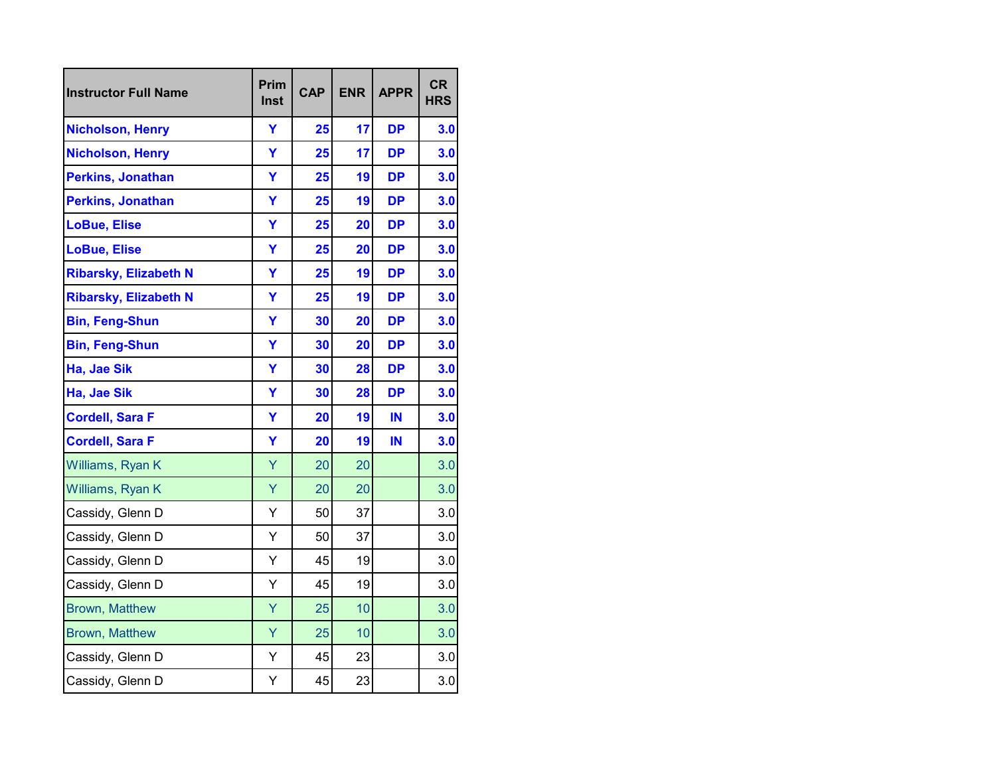| <b>Instructor Full Name</b>  | Prim<br>Inst | <b>CAP</b> | <b>ENR</b> | <b>APPR</b> | <b>CR</b><br><b>HRS</b> |
|------------------------------|--------------|------------|------------|-------------|-------------------------|
| <b>Nicholson, Henry</b>      | Ÿ            | 25         | 17         | <b>DP</b>   | 3.0                     |
| <b>Nicholson, Henry</b>      | Ÿ            | 25         | 17         | <b>DP</b>   | 3.0                     |
| <b>Perkins, Jonathan</b>     | Ÿ            | 25         | 19         | <b>DP</b>   | 3.0                     |
| <b>Perkins, Jonathan</b>     | Y            | 25         | 19         | <b>DP</b>   | 3.0                     |
| <b>LoBue, Elise</b>          | Ÿ            | 25         | 20         | <b>DP</b>   | 3.0                     |
| <b>LoBue, Elise</b>          | Y            | 25         | 20         | <b>DP</b>   | 3.0                     |
| <b>Ribarsky, Elizabeth N</b> | Ÿ            | 25         | 19         | <b>DP</b>   | 3.0                     |
| <b>Ribarsky, Elizabeth N</b> | Y            | 25         | 19         | <b>DP</b>   | 3.0                     |
| <b>Bin, Feng-Shun</b>        | Ÿ            | 30         | 20         | <b>DP</b>   | 3.0                     |
| <b>Bin, Feng-Shun</b>        | Ÿ            | 30         | 20         | <b>DP</b>   | 3.0                     |
| Ha, Jae Sik                  | Ÿ            | 30         | 28         | <b>DP</b>   | 3.0                     |
| Ha, Jae Sik                  | Y            | 30         | 28         | <b>DP</b>   | 3.0                     |
| <b>Cordell, Sara F</b>       | Ÿ            | 20         | 19         | IN          | 3.0                     |
| <b>Cordell, Sara F</b>       | Ÿ            | 20         | 19         | IN          | 3.0                     |
| Williams, Ryan K             | Ÿ            | 20         | 20         |             | 3.0                     |
| Williams, Ryan K             | Ÿ            | 20         | 20         |             | 3.0                     |
| Cassidy, Glenn D             | Υ            | 50         | 37         |             | 3.0                     |
| Cassidy, Glenn D             | Υ            | 50         | 37         |             | 3.0                     |
| Cassidy, Glenn D             | Y            | 45         | 19         |             | 3.0                     |
| Cassidy, Glenn D             | Y            | 45         | 19         |             | 3.0                     |
| <b>Brown, Matthew</b>        | Ÿ            | 25         | 10         |             | 3.0                     |
| <b>Brown, Matthew</b>        | Ÿ            | 25         | 10         |             | 3.0                     |
| Cassidy, Glenn D             | Y            | 45         | 23         |             | 3.0                     |
| Cassidy, Glenn D             | Υ            | 45         | 23         |             | 3.0                     |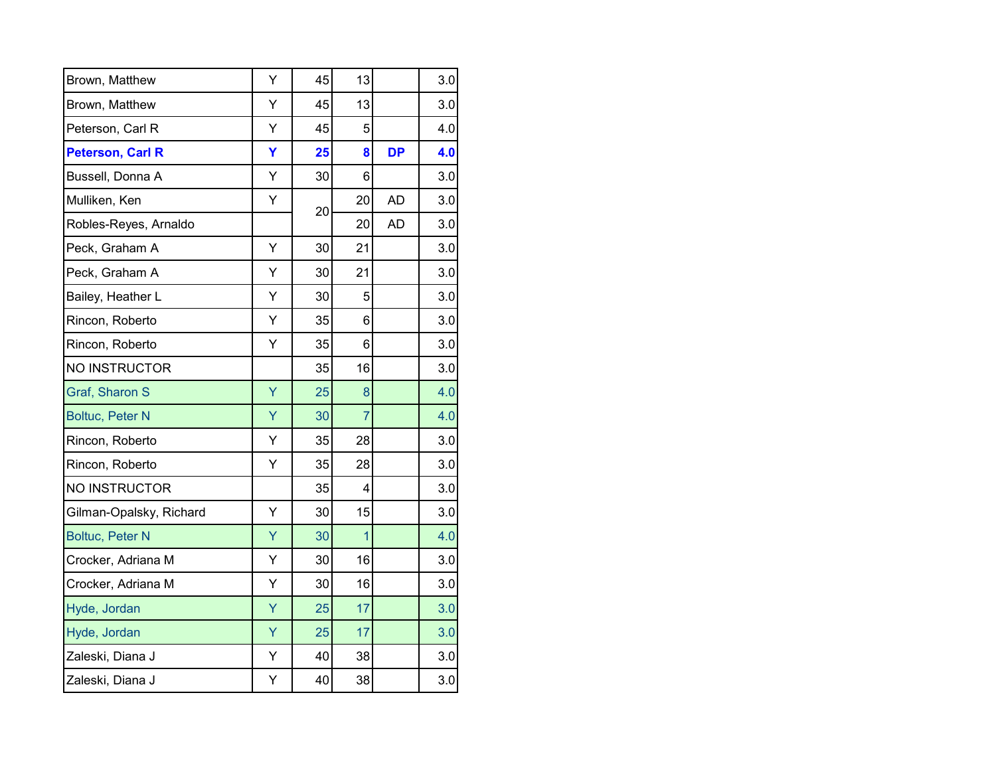| Brown, Matthew          | Υ | 45 | 13             |           | 3.0 |
|-------------------------|---|----|----------------|-----------|-----|
| Brown, Matthew          | Υ | 45 | 13             |           | 3.0 |
| Peterson, Carl R        | Υ | 45 | 5              |           | 4.0 |
| <b>Peterson, Carl R</b> | Ÿ | 25 | 8              | <b>DP</b> | 4.0 |
| Bussell, Donna A        | Y | 30 | 6              |           | 3.0 |
| Mulliken, Ken           | Υ | 20 | 20             | <b>AD</b> | 3.0 |
| Robles-Reyes, Arnaldo   |   |    | 20             | <b>AD</b> | 3.0 |
| Peck, Graham A          | Y | 30 | 21             |           | 3.0 |
| Peck, Graham A          | Y | 30 | 21             |           | 3.0 |
| Bailey, Heather L       | Y | 30 | 5              |           | 3.0 |
| Rincon, Roberto         | Υ | 35 | 6              |           | 3.0 |
| Rincon, Roberto         | Y | 35 | 6              |           | 3.0 |
| NO INSTRUCTOR           |   | 35 | 16             |           | 3.0 |
| Graf, Sharon S          | Ÿ | 25 | 8              |           | 4.0 |
| <b>Boltuc, Peter N</b>  | Ÿ | 30 | $\overline{7}$ |           | 4.0 |
| Rincon, Roberto         | Y | 35 | 28             |           | 3.0 |
| Rincon, Roberto         | Y | 35 | 28             |           | 3.0 |
| NO INSTRUCTOR           |   | 35 | 4              |           | 3.0 |
| Gilman-Opalsky, Richard | Υ | 30 | 15             |           | 3.0 |
| <b>Boltuc, Peter N</b>  | Ÿ | 30 | 1              |           | 4.0 |
| Crocker, Adriana M      | Y | 30 | 16             |           | 3.0 |
| Crocker, Adriana M      | Υ | 30 | 16             |           | 3.0 |
| Hyde, Jordan            | Ÿ | 25 | 17             |           | 3.0 |
| Hyde, Jordan            | Ÿ | 25 | 17             |           | 3.0 |
| Zaleski, Diana J        | Y | 40 | 38             |           | 3.0 |
| Zaleski, Diana J        | Υ | 40 | 38             |           | 3.0 |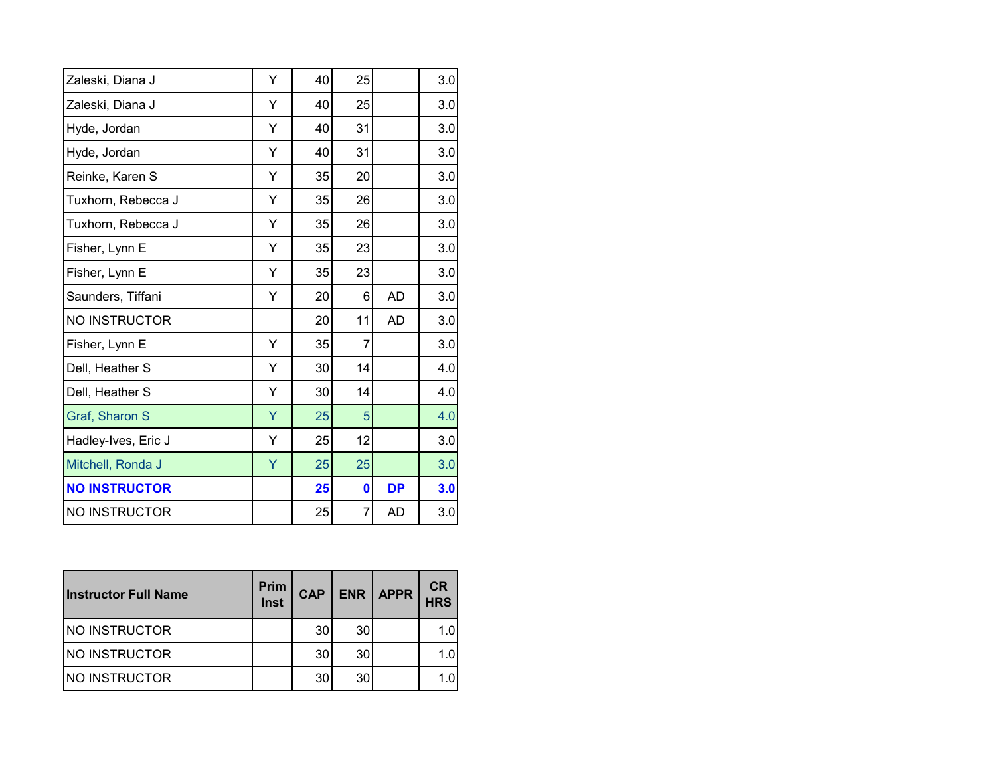| Zaleski, Diana J     | Ý | 40 | 25 |           | 3.0     |
|----------------------|---|----|----|-----------|---------|
| Zaleski, Diana J     | Ý | 40 | 25 |           | 3.0     |
| Hyde, Jordan         | Ý | 40 | 31 |           | 3.0     |
| Hyde, Jordan         | Y | 40 | 31 |           | $3.0\,$ |
| Reinke, Karen S      | Y | 35 | 20 |           | 3.0     |
| Tuxhorn, Rebecca J   | Y | 35 | 26 |           | 3.0     |
| Tuxhorn, Rebecca J   | Ý | 35 | 26 |           | 3.0     |
| Fisher, Lynn E       | Ý | 35 | 23 |           | 3.0     |
| Fisher, Lynn E       | Υ | 35 | 23 |           | 3.0     |
| Saunders, Tiffani    | Υ | 20 | 6  | <b>AD</b> | 3.0     |
| NO INSTRUCTOR        |   | 20 | 11 | <b>AD</b> | 3.0     |
| Fisher, Lynn E       | Y | 35 | 7  |           | 3.0     |
| Dell, Heather S      | Υ | 30 | 14 |           | 4.0     |
| Dell, Heather S      | Y | 30 | 14 |           | 4.0     |
| Graf, Sharon S       | Y | 25 | 5  |           | 4.0     |
| Hadley-Ives, Eric J  | Y | 25 | 12 |           | 3.0     |
| Mitchell, Ronda J    | Ÿ | 25 | 25 |           | 3.0     |
| <b>NO INSTRUCTOR</b> |   | 25 | 0  | <b>DP</b> | 3.0     |
| NO INSTRUCTOR        |   | 25 | 7  | <b>AD</b> | 3.0     |

| <b>Instructor Full Name</b> | <b>Prim</b><br>Inst | <b>CAP</b> |    | <b>ENR   APPR</b> | <b>CR</b><br>HRS |
|-----------------------------|---------------------|------------|----|-------------------|------------------|
| <b>NO INSTRUCTOR</b>        |                     | 30         | 30 |                   | 1.0              |
| <b>NO INSTRUCTOR</b>        |                     | 30         | 30 |                   | 1.0              |
| <b>INO INSTRUCTOR</b>       |                     | 30         | 30 |                   | 1.0              |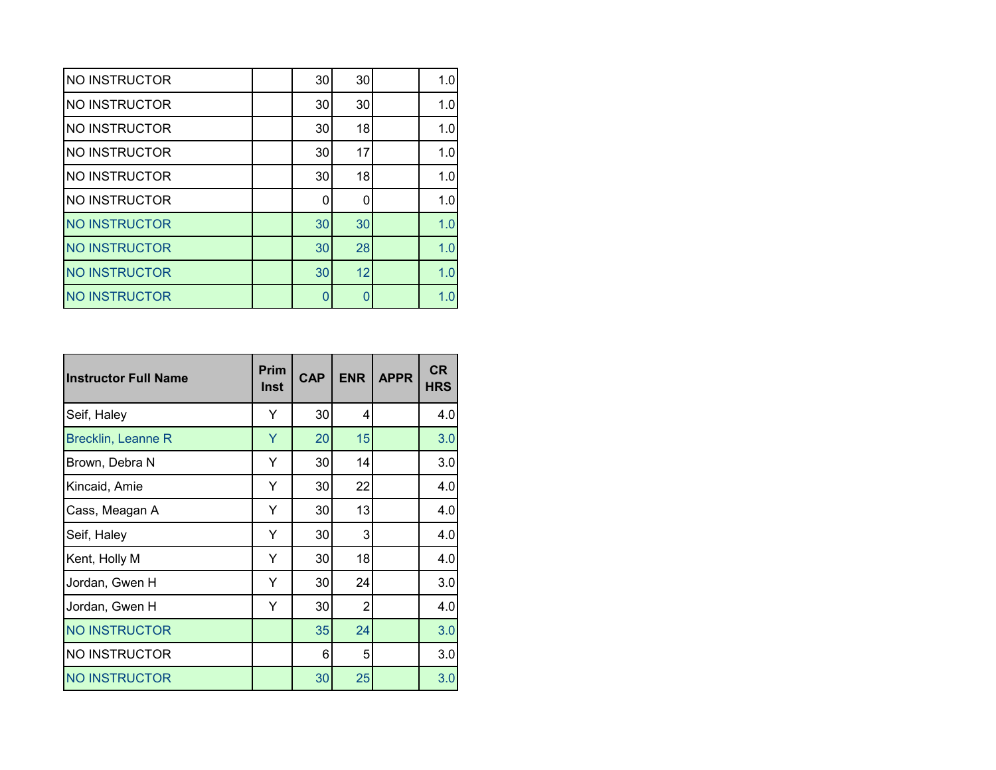| <b>NO INSTRUCTOR</b> | 30 | 30 | 1.0 |
|----------------------|----|----|-----|
| <b>NO INSTRUCTOR</b> | 30 | 30 | 1.0 |
| <b>NO INSTRUCTOR</b> | 30 | 18 | 1.0 |
| <b>NO INSTRUCTOR</b> | 30 | 17 | 1.0 |
| <b>NO INSTRUCTOR</b> | 30 | 18 | 1.0 |
| NO INSTRUCTOR        | ∩  | 0  | 1.0 |
| <b>NO INSTRUCTOR</b> | 30 | 30 | 1.0 |
| <b>NO INSTRUCTOR</b> | 30 | 28 | 1.0 |
| <b>NO INSTRUCTOR</b> | 30 | 12 | 1.0 |
| <b>NO INSTRUCTOR</b> |    |    | 1.0 |

| <b>Instructor Full Name</b> | <b>Prim</b><br><b>Inst</b> | <b>CAP</b> | <b>ENR</b>     | <b>APPR</b> | <b>CR</b><br><b>HRS</b> |
|-----------------------------|----------------------------|------------|----------------|-------------|-------------------------|
| Seif, Haley                 | Y                          | 30         | 4              |             | 4.0                     |
| <b>Brecklin, Leanne R</b>   | Y                          | 20         | 15             |             | 3.0                     |
| Brown, Debra N              | Y                          | 30         | 14             |             | 3.0                     |
| Kincaid, Amie               | Y                          | 30         | 22             |             | 4.0                     |
| Cass, Meagan A              | Y                          | 30         | 13             |             | 4.0                     |
| Seif, Haley                 | Y                          | 30         | 3              |             | 4.0                     |
| Kent, Holly M               | Y                          | 30         | 18             |             | 4.0                     |
| Jordan, Gwen H              | Y                          | 30         | 24             |             | 3.0                     |
| Jordan, Gwen H              | Y                          | 30         | $\overline{2}$ |             | 4.0                     |
| <b>NO INSTRUCTOR</b>        |                            | 35         | 24             |             | 3.0                     |
| <b>NO INSTRUCTOR</b>        |                            | 6          | 5              |             | 3.0                     |
| <b>NO INSTRUCTOR</b>        |                            | 30         | 25             |             | 3.0                     |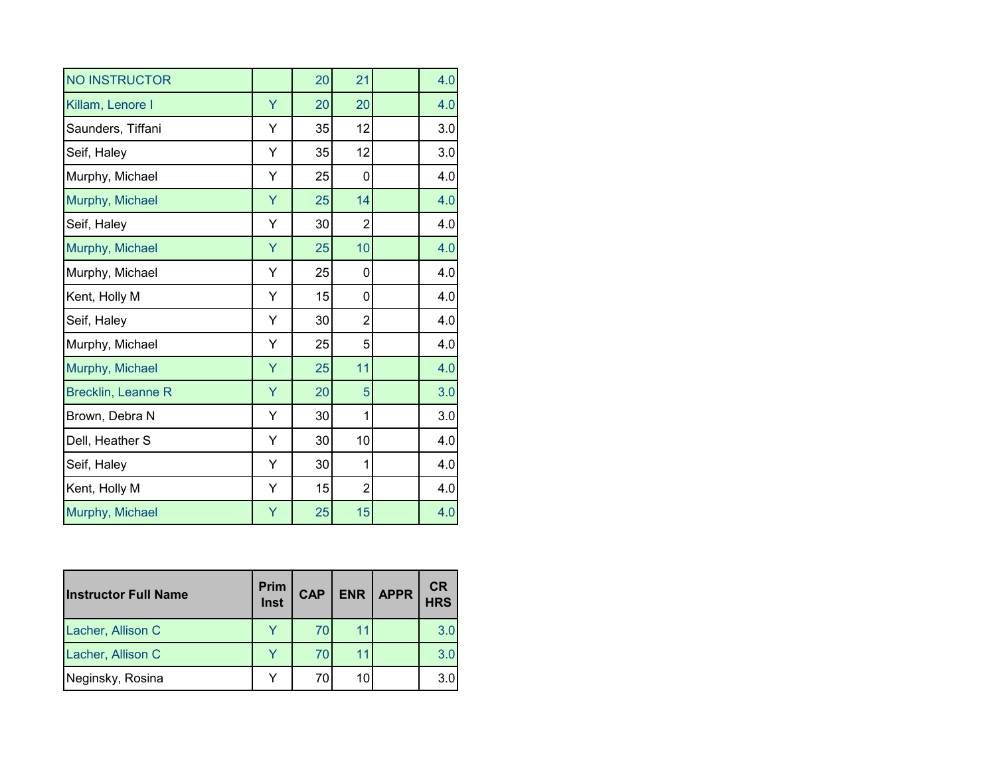| <b>NO INSTRUCTOR</b>      |   | 20 | 21             | 4.0 |
|---------------------------|---|----|----------------|-----|
| Killam, Lenore I          | Ÿ | 20 | 20             | 4.0 |
| Saunders, Tiffani         | Y | 35 | 12             | 3.0 |
| Seif, Haley               | Y | 35 | 12             | 3.0 |
| Murphy, Michael           | Y | 25 | 0              | 4.0 |
| Murphy, Michael           | Ÿ | 25 | 14             | 4.0 |
| Seif, Haley               | Y | 30 | $\overline{2}$ | 4.0 |
| Murphy, Michael           | Y | 25 | 10             | 4.0 |
| Murphy, Michael           | Υ | 25 | 0              | 4.0 |
| Kent, Holly M             | Υ | 15 | 0              | 4.0 |
| Seif, Haley               | Υ | 30 | $\overline{2}$ | 4.0 |
| Murphy, Michael           | Υ | 25 | 5              | 4.0 |
| Murphy, Michael           | Ÿ | 25 | 11             | 4.0 |
| <b>Brecklin, Leanne R</b> | Y | 20 | 5              | 3.0 |
| Brown, Debra N            | Y | 30 | 1              | 3.0 |
| Dell, Heather S           | Y | 30 | 10             | 4.0 |
| Seif, Haley               | Y | 30 | 1              | 4.0 |
| Kent, Holly M             | Υ | 15 | $\overline{2}$ | 4.0 |
| Murphy, Michael           | Ÿ | 25 | 15             | 4.0 |

| <b>Instructor Full Name</b> | Prim<br>Inst | <b>CAP</b> | ENR   APPR | <b>CR</b><br><b>HRS</b> |
|-----------------------------|--------------|------------|------------|-------------------------|
| Lacher, Allison C           |              | 70         |            | 3.0                     |
| Lacher, Allison C           |              | 70         |            | 3.0                     |
| Neginsky, Rosina            |              | 70         |            | 3.0                     |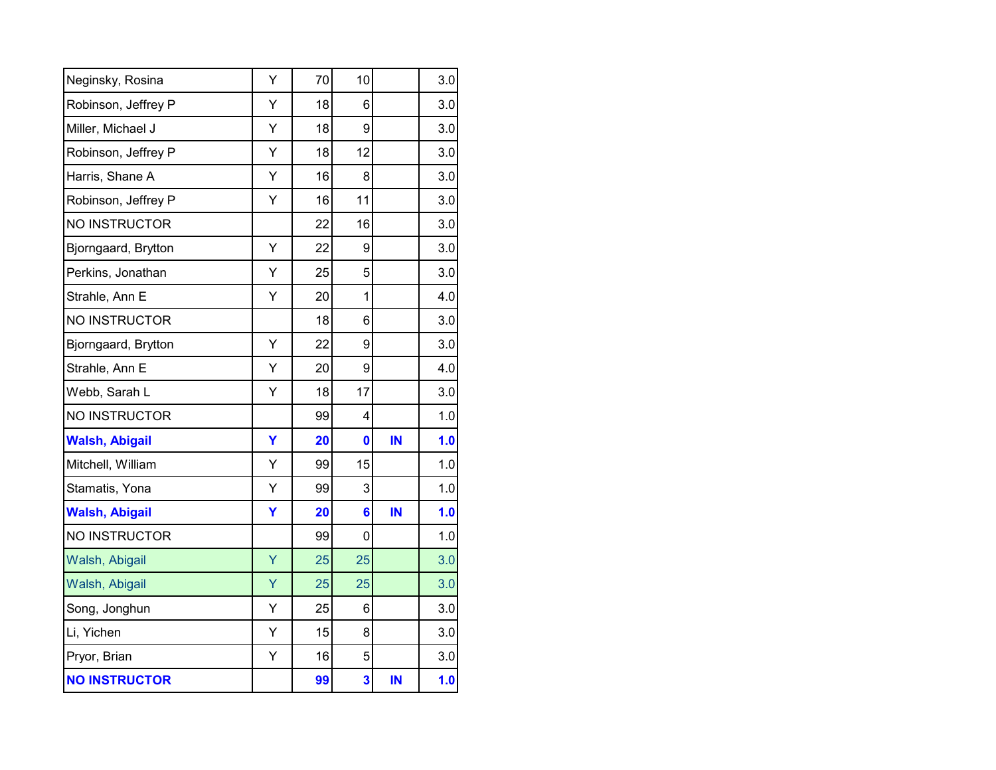| Neginsky, Rosina      | Υ | 70 | 10 |    | 3.0 |
|-----------------------|---|----|----|----|-----|
| Robinson, Jeffrey P   | Υ | 18 | 6  |    | 3.0 |
| Miller, Michael J     | Υ | 18 | 9  |    | 3.0 |
| Robinson, Jeffrey P   | Υ | 18 | 12 |    | 3.0 |
| Harris, Shane A       | Υ | 16 | 8  |    | 3.0 |
| Robinson, Jeffrey P   | Y | 16 | 11 |    | 3.0 |
| NO INSTRUCTOR         |   | 22 | 16 |    | 3.0 |
| Bjorngaard, Brytton   | Υ | 22 | 9  |    | 3.0 |
| Perkins, Jonathan     | Y | 25 | 5  |    | 3.0 |
| Strahle, Ann E        | Υ | 20 | 1  |    | 4.0 |
| NO INSTRUCTOR         |   | 18 | 6  |    | 3.0 |
| Bjorngaard, Brytton   | Y | 22 | 9  |    | 3.0 |
| Strahle, Ann E        | Υ | 20 | 9  |    | 4.0 |
| Webb, Sarah L         | Ý | 18 | 17 |    | 3.0 |
| NO INSTRUCTOR         |   | 99 | 4  |    | 1.0 |
| <b>Walsh, Abigail</b> | Ÿ | 20 | 0  | IN | 1.0 |
| Mitchell, William     | Υ | 99 | 15 |    | 1.0 |
| Stamatis, Yona        | Y | 99 | 3  |    | 1.0 |
| <b>Walsh, Abigail</b> | Ÿ | 20 | 6  | IN | 1.0 |
| <b>NO INSTRUCTOR</b>  |   | 99 | 0  |    | 1.0 |
| Walsh, Abigail        | Ÿ | 25 | 25 |    | 3.0 |
| Walsh, Abigail        | Ÿ | 25 | 25 |    | 3.0 |
| Song, Jonghun         | Υ | 25 | 6  |    | 3.0 |
| Li, Yichen            | Y | 15 | 8  |    | 3.0 |
| Pryor, Brian          | Y | 16 | 5  |    | 3.0 |
| <b>NO INSTRUCTOR</b>  |   | 99 | 3  | IN | 1.0 |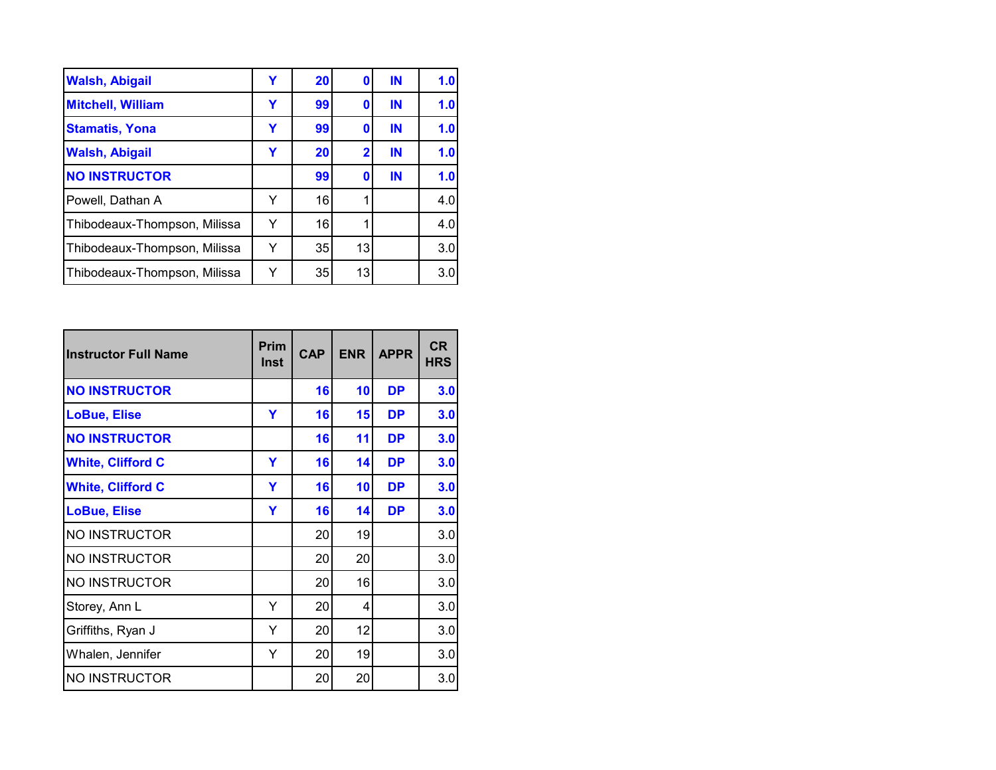| <b>Walsh, Abigail</b>        | Y | 20 | 0                       | IN | 1.0 |
|------------------------------|---|----|-------------------------|----|-----|
| <b>Mitchell, William</b>     | Y | 99 | 0                       | IN | 1.0 |
| <b>Stamatis, Yona</b>        | Y | 99 | 0                       | IN | 1.0 |
| <b>Walsh, Abigail</b>        | Y | 20 | $\overline{\mathbf{2}}$ | IN | 1.0 |
| <b>NO INSTRUCTOR</b>         |   | 99 | 0                       | IN | 1.0 |
| Powell, Dathan A             | Y | 16 |                         |    | 4.0 |
| Thibodeaux-Thompson, Milissa | Y | 16 |                         |    | 4.0 |
| Thibodeaux-Thompson, Milissa | Y | 35 | 13                      |    | 3.0 |
| Thibodeaux-Thompson, Milissa | Y | 35 | 13                      |    | 3.0 |

| <b>Instructor Full Name</b> | Prim<br><b>Inst</b> | <b>CAP</b> | <b>ENR</b> | <b>APPR</b> | <b>CR</b><br><b>HRS</b> |
|-----------------------------|---------------------|------------|------------|-------------|-------------------------|
| <b>NO INSTRUCTOR</b>        |                     | 16         | 10         | <b>DP</b>   | 3.0                     |
| <b>LoBue, Elise</b>         | Y                   | 16         | 15         | <b>DP</b>   | 3.0                     |
| <b>NO INSTRUCTOR</b>        |                     | 16         | 11         | <b>DP</b>   | 3.0                     |
| <b>White, Clifford C</b>    | Y                   | 16         | 14         | <b>DP</b>   | 3.0                     |
| <b>White, Clifford C</b>    | Y                   | 16         | 10         | <b>DP</b>   | 3.0                     |
| <b>LoBue, Elise</b>         | Y                   | 16         | 14         | <b>DP</b>   | 3.0                     |
| <b>NO INSTRUCTOR</b>        |                     | 20         | 19         |             | 3.0                     |
| <b>NO INSTRUCTOR</b>        |                     | 20         | 20         |             | 3.0                     |
| <b>NO INSTRUCTOR</b>        |                     | 20         | 16         |             | 3.0                     |
| Storey, Ann L               | Y                   | 20         | 4          |             | 3.0                     |
| Griffiths, Ryan J           | Y                   | 20         | 12         |             | 3.0                     |
| Whalen, Jennifer            | Y                   | 20         | 19         |             | 3.0                     |
| <b>NO INSTRUCTOR</b>        |                     | 20         | 20         |             | 3.0                     |